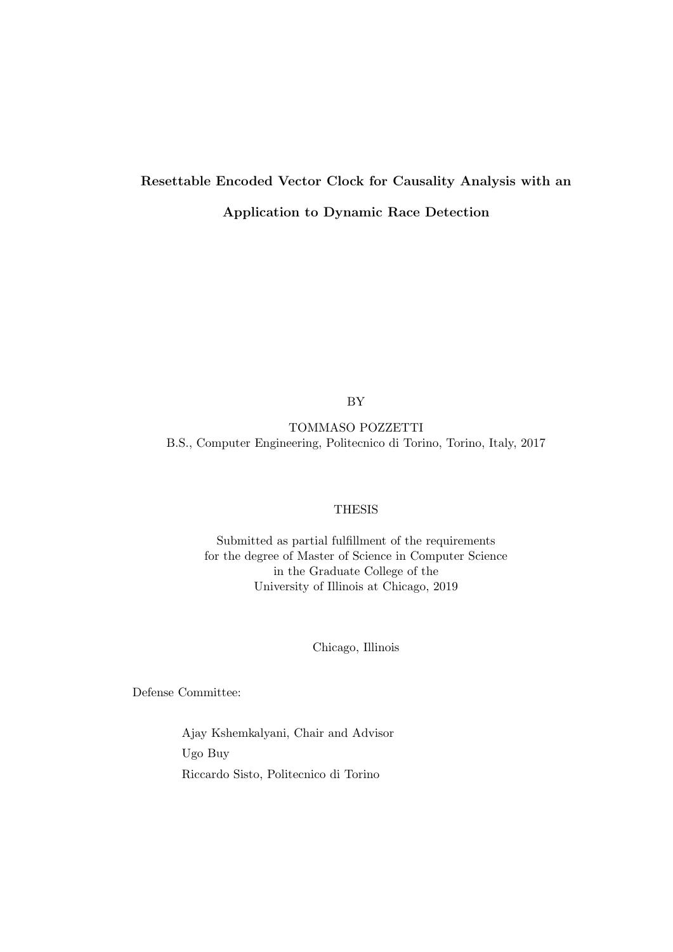# Resettable Encoded Vector Clock for Causality Analysis with an Application to Dynamic Race Detection

BY

TOMMASO POZZETTI B.S., Computer Engineering, Politecnico di Torino, Torino, Italy, 2017

#### THESIS

Submitted as partial fulfillment of the requirements for the degree of Master of Science in Computer Science in the Graduate College of the University of Illinois at Chicago, 2019

Chicago, Illinois

Defense Committee:

Ajay Kshemkalyani, Chair and Advisor Ugo Buy Riccardo Sisto, Politecnico di Torino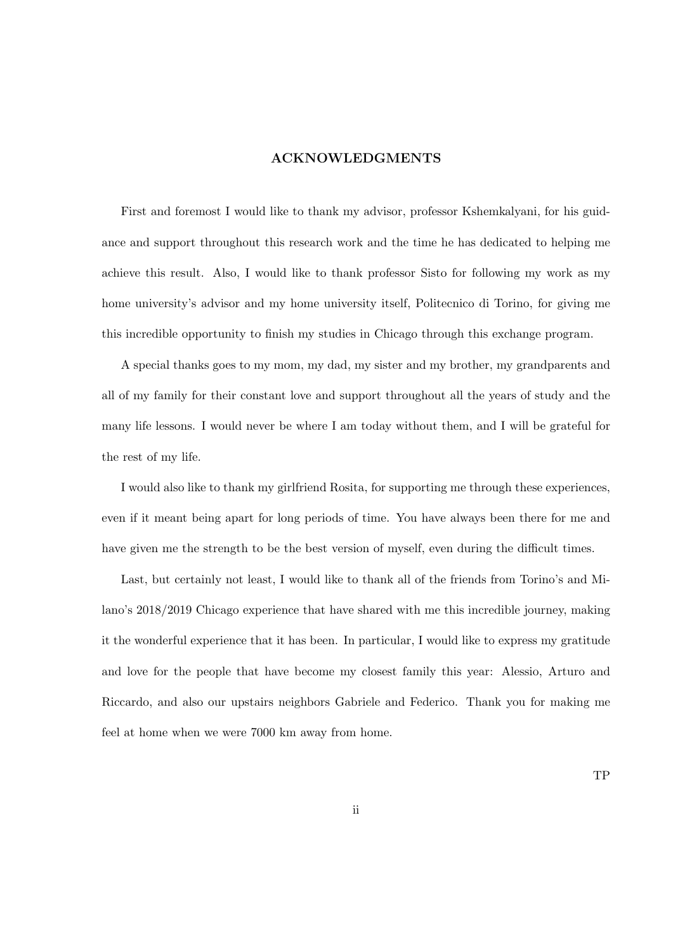## ACKNOWLEDGMENTS

First and foremost I would like to thank my advisor, professor Kshemkalyani, for his guidance and support throughout this research work and the time he has dedicated to helping me achieve this result. Also, I would like to thank professor Sisto for following my work as my home university's advisor and my home university itself, Politecnico di Torino, for giving me this incredible opportunity to finish my studies in Chicago through this exchange program.

A special thanks goes to my mom, my dad, my sister and my brother, my grandparents and all of my family for their constant love and support throughout all the years of study and the many life lessons. I would never be where I am today without them, and I will be grateful for the rest of my life.

I would also like to thank my girlfriend Rosita, for supporting me through these experiences, even if it meant being apart for long periods of time. You have always been there for me and have given me the strength to be the best version of myself, even during the difficult times.

Last, but certainly not least, I would like to thank all of the friends from Torino's and Milano's 2018/2019 Chicago experience that have shared with me this incredible journey, making it the wonderful experience that it has been. In particular, I would like to express my gratitude and love for the people that have become my closest family this year: Alessio, Arturo and Riccardo, and also our upstairs neighbors Gabriele and Federico. Thank you for making me feel at home when we were 7000 km away from home.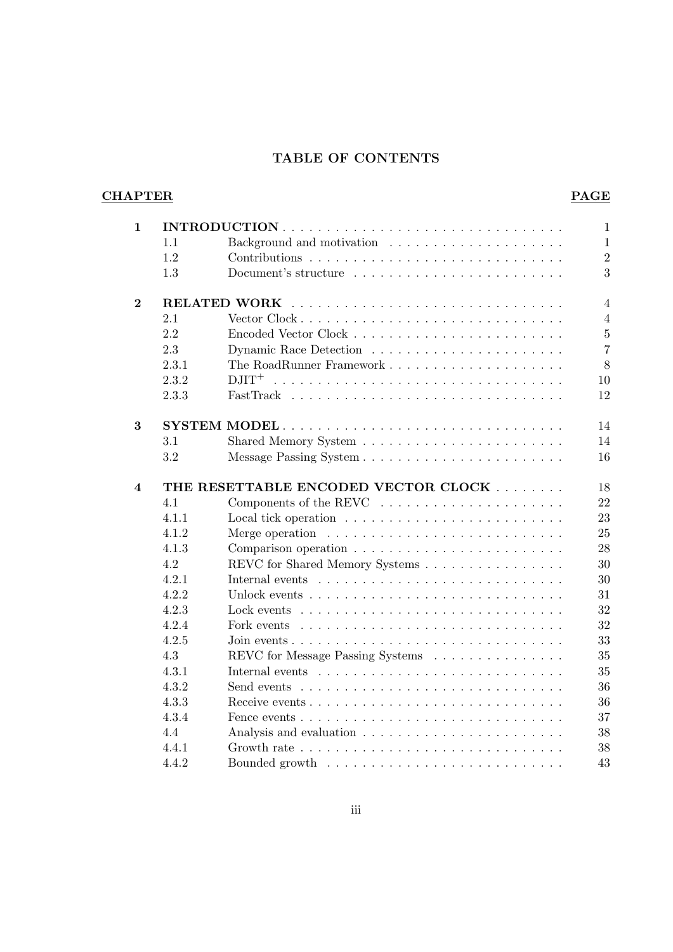# TABLE OF CONTENTS

# **CHAPTER** PAGE

| $\mathbf{1}$            |       | $\mathbf{1}$                                                                                |
|-------------------------|-------|---------------------------------------------------------------------------------------------|
|                         | 1.1   | $\mathbf{1}$                                                                                |
|                         | 1.2   | $\overline{2}$                                                                              |
|                         | 1.3   | 3                                                                                           |
| $\overline{2}$          |       | $\overline{4}$                                                                              |
|                         | 2.1   | $\overline{4}$                                                                              |
|                         | 2.2   | $\overline{5}$                                                                              |
|                         | 2.3   | $\overline{7}$                                                                              |
|                         | 2.3.1 | 8                                                                                           |
|                         | 2.3.2 | 10                                                                                          |
|                         | 2.3.3 | 12                                                                                          |
| 3                       |       | 14                                                                                          |
|                         | 3.1   | 14                                                                                          |
|                         | 3.2   | 16                                                                                          |
| $\overline{\mathbf{4}}$ |       | THE RESETTABLE ENCODED VECTOR CLOCK<br>18                                                   |
|                         | 4.1   | 22                                                                                          |
|                         | 4.1.1 | 23                                                                                          |
|                         | 4.1.2 | 25<br>Merge operation $\dots \dots \dots \dots \dots \dots \dots \dots \dots$               |
|                         |       |                                                                                             |
|                         | 4.1.3 | 28                                                                                          |
|                         | 4.2   | 30                                                                                          |
|                         | 4.2.1 | REVC for Shared Memory Systems<br>30                                                        |
|                         | 4.2.2 | 31                                                                                          |
|                         | 4.2.3 | 32<br>Lock events $\dots \dots \dots \dots \dots \dots \dots \dots \dots \dots \dots$       |
|                         | 4.2.4 | 32<br>Fork events $\dots \dots \dots \dots \dots \dots \dots \dots \dots \dots \dots$       |
|                         | 4.2.5 | 33                                                                                          |
|                         | 4.3   | 35<br>REVC for Message Passing Systems                                                      |
|                         | 4.3.1 | 35                                                                                          |
|                         | 4.3.2 | 36<br>Send events $\dots \dots \dots \dots \dots \dots \dots \dots \dots \dots \dots \dots$ |
|                         | 4.3.3 | 36                                                                                          |
|                         | 4.3.4 | 37<br>Fence events $\dots \dots \dots \dots \dots \dots \dots \dots \dots \dots \dots$      |
|                         | 4.4   | 38                                                                                          |
|                         | 4.4.1 | 38                                                                                          |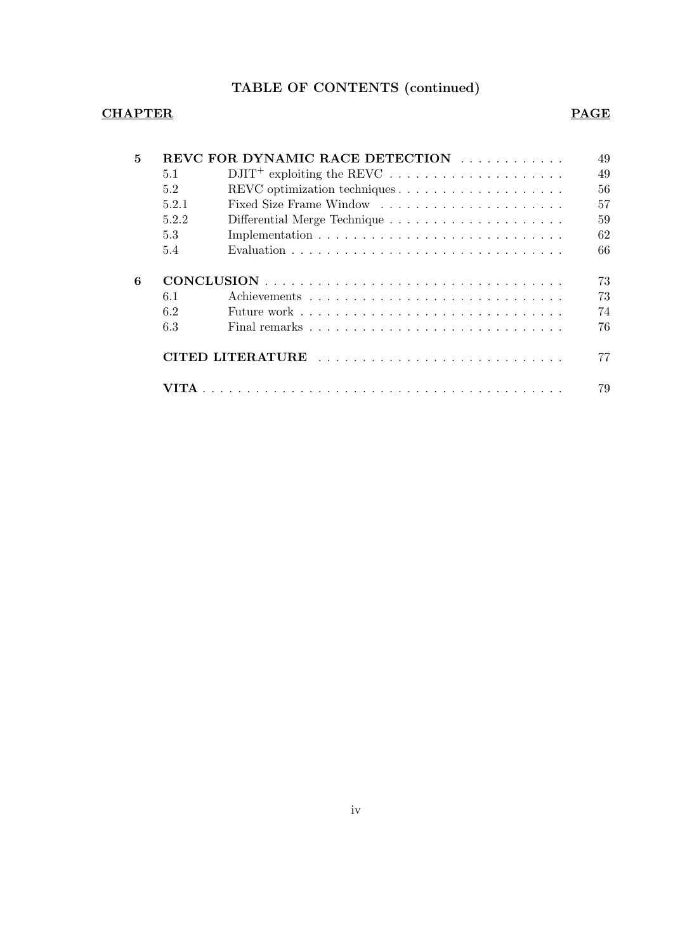# TABLE OF CONTENTS (continued)

# CHAPTER PAGE

|       | REVC FOR DYNAMIC RACE DETECTION |
|-------|---------------------------------|
| 5.1   |                                 |
| 5.2   |                                 |
| 5.2.1 |                                 |
| 5.2.2 |                                 |
| 5.3   |                                 |
|       |                                 |
| 5.4   |                                 |
| 6.1   |                                 |
| 6.2   |                                 |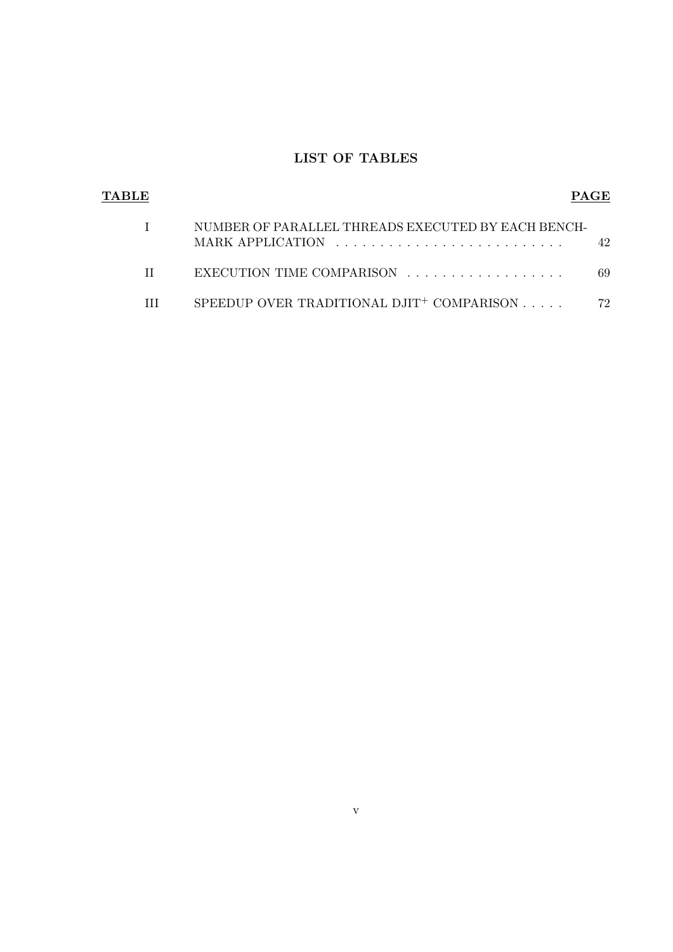# LIST OF TABLES

| TABLE |                                                                        | PAGE |
|-------|------------------------------------------------------------------------|------|
|       | NUMBER OF PARALLEL THREADS EXECUTED BY EACH BENCH-<br>MARK APPLICATION | 42.  |
|       | EXECUTION TIME COMPARISON                                              | 69   |
|       | SPEEDUP OVER TRADITIONAL DJIT <sup>+</sup> COMPARISON $\ldots$ .       | 72   |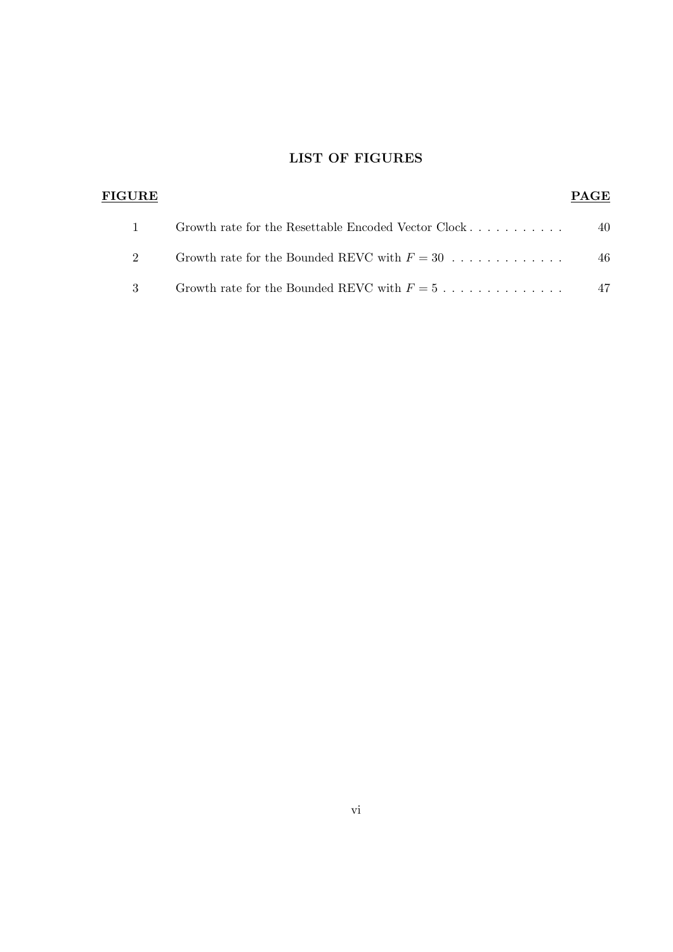# LIST OF FIGURES

| <b>FIGURE</b> |                                                                       | <b>PAGE</b> |
|---------------|-----------------------------------------------------------------------|-------------|
|               | Growth rate for the Resettable Encoded Vector Clock                   | 40          |
| 2             | Growth rate for the Bounded REVC with $F = 30$                        | 46          |
| $\mathcal{R}$ | Growth rate for the Bounded REVC with $F = 5, \ldots, \ldots, \ldots$ | 47          |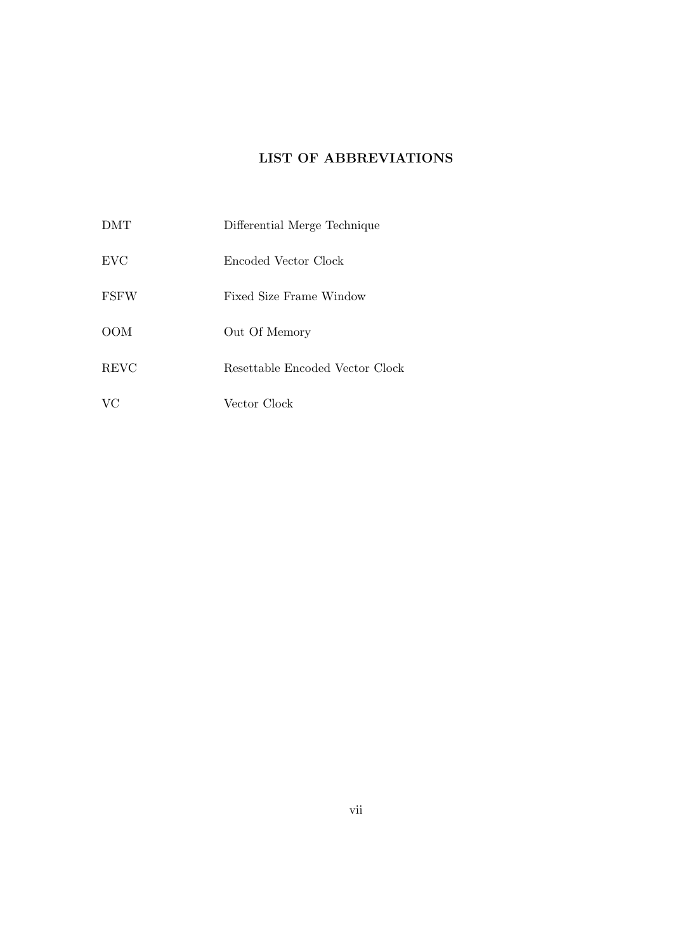# LIST OF ABBREVIATIONS

DMT Differential Merge Technique EVC Encoded Vector Clock FSFW Fixed Size Frame Window OOM Out Of Memory REVC Resettable Encoded Vector Clock VC Vector Clock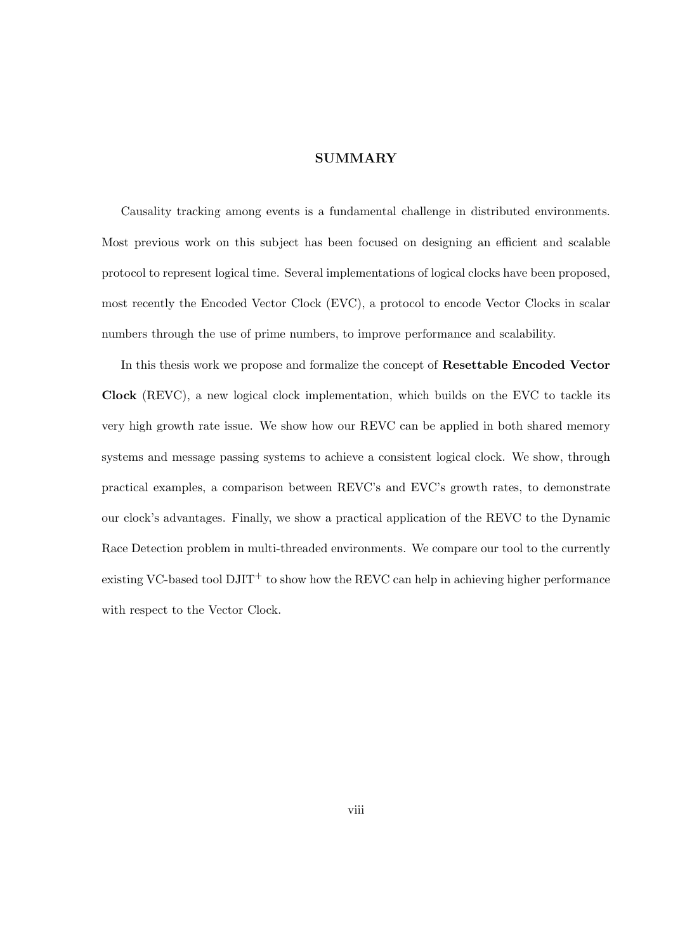## **SUMMARY**

Causality tracking among events is a fundamental challenge in distributed environments. Most previous work on this subject has been focused on designing an efficient and scalable protocol to represent logical time. Several implementations of logical clocks have been proposed, most recently the Encoded Vector Clock (EVC), a protocol to encode Vector Clocks in scalar numbers through the use of prime numbers, to improve performance and scalability.

In this thesis work we propose and formalize the concept of Resettable Encoded Vector Clock (REVC), a new logical clock implementation, which builds on the EVC to tackle its very high growth rate issue. We show how our REVC can be applied in both shared memory systems and message passing systems to achieve a consistent logical clock. We show, through practical examples, a comparison between REVC's and EVC's growth rates, to demonstrate our clock's advantages. Finally, we show a practical application of the REVC to the Dynamic Race Detection problem in multi-threaded environments. We compare our tool to the currently existing VC-based tool  $\text{DJIT}^+$  to show how the REVC can help in achieving higher performance with respect to the Vector Clock.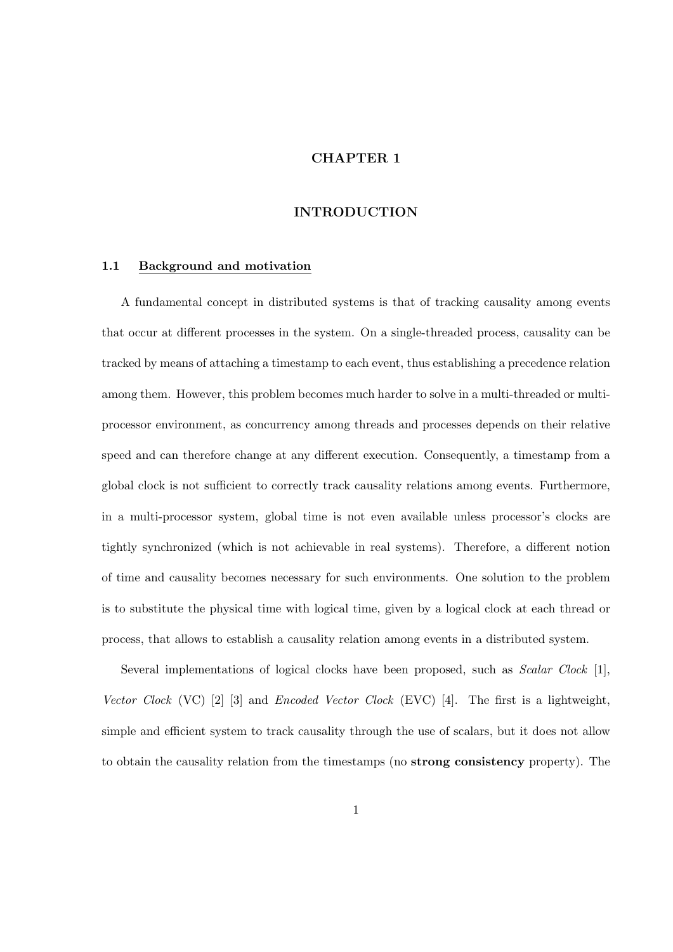## CHAPTER 1

#### INTRODUCTION

#### 1.1 Background and motivation

A fundamental concept in distributed systems is that of tracking causality among events that occur at different processes in the system. On a single-threaded process, causality can be tracked by means of attaching a timestamp to each event, thus establishing a precedence relation among them. However, this problem becomes much harder to solve in a multi-threaded or multiprocessor environment, as concurrency among threads and processes depends on their relative speed and can therefore change at any different execution. Consequently, a timestamp from a global clock is not sufficient to correctly track causality relations among events. Furthermore, in a multi-processor system, global time is not even available unless processor's clocks are tightly synchronized (which is not achievable in real systems). Therefore, a different notion of time and causality becomes necessary for such environments. One solution to the problem is to substitute the physical time with logical time, given by a logical clock at each thread or process, that allows to establish a causality relation among events in a distributed system.

Several implementations of logical clocks have been proposed, such as *Scalar Clock* [1], Vector Clock (VC) [2] [3] and Encoded Vector Clock (EVC) [4]. The first is a lightweight, simple and efficient system to track causality through the use of scalars, but it does not allow to obtain the causality relation from the timestamps (no strong consistency property). The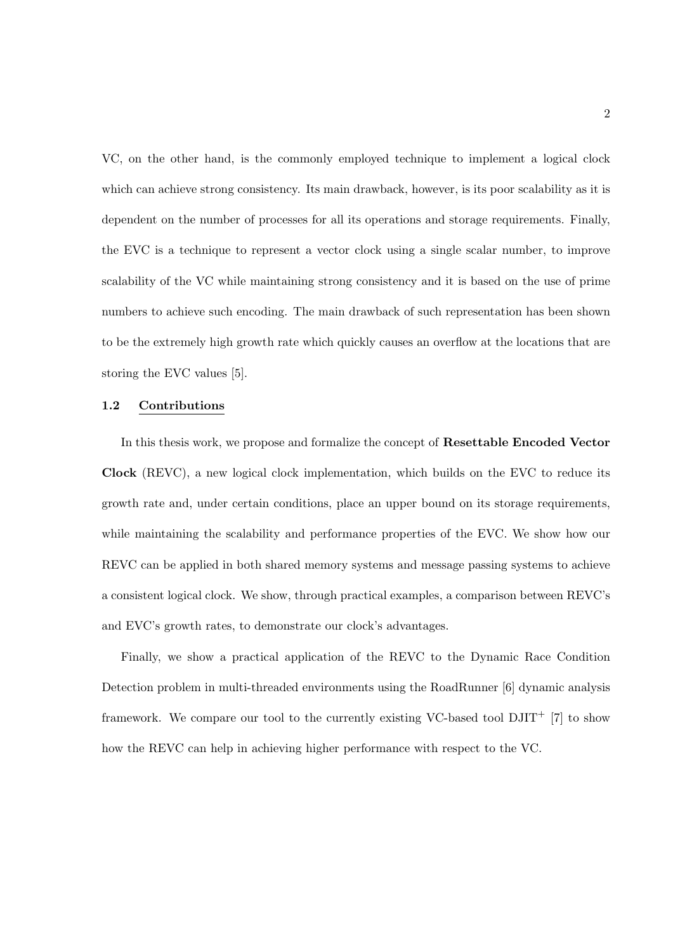VC, on the other hand, is the commonly employed technique to implement a logical clock which can achieve strong consistency. Its main drawback, however, is its poor scalability as it is dependent on the number of processes for all its operations and storage requirements. Finally, the EVC is a technique to represent a vector clock using a single scalar number, to improve scalability of the VC while maintaining strong consistency and it is based on the use of prime numbers to achieve such encoding. The main drawback of such representation has been shown to be the extremely high growth rate which quickly causes an overflow at the locations that are storing the EVC values [5].

#### 1.2 Contributions

In this thesis work, we propose and formalize the concept of Resettable Encoded Vector Clock (REVC), a new logical clock implementation, which builds on the EVC to reduce its growth rate and, under certain conditions, place an upper bound on its storage requirements, while maintaining the scalability and performance properties of the EVC. We show how our REVC can be applied in both shared memory systems and message passing systems to achieve a consistent logical clock. We show, through practical examples, a comparison between REVC's and EVC's growth rates, to demonstrate our clock's advantages.

Finally, we show a practical application of the REVC to the Dynamic Race Condition Detection problem in multi-threaded environments using the RoadRunner [6] dynamic analysis framework. We compare our tool to the currently existing VC-based tool  $DJIT^+$  [7] to show how the REVC can help in achieving higher performance with respect to the VC.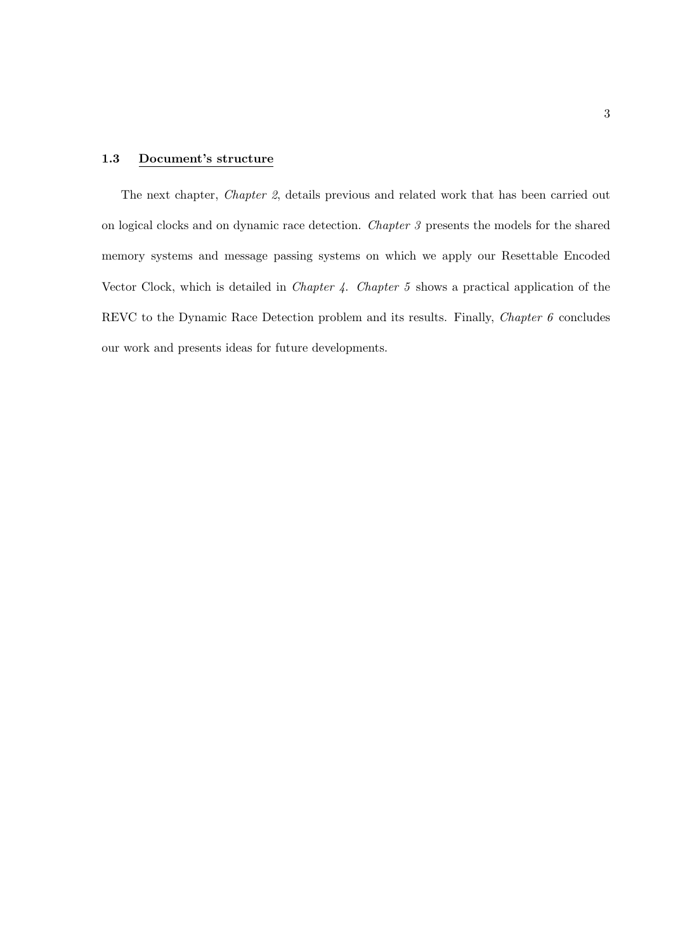## 1.3 Document's structure

The next chapter, Chapter 2, details previous and related work that has been carried out on logical clocks and on dynamic race detection. Chapter 3 presents the models for the shared memory systems and message passing systems on which we apply our Resettable Encoded Vector Clock, which is detailed in Chapter 4. Chapter 5 shows a practical application of the REVC to the Dynamic Race Detection problem and its results. Finally, *Chapter 6* concludes our work and presents ideas for future developments.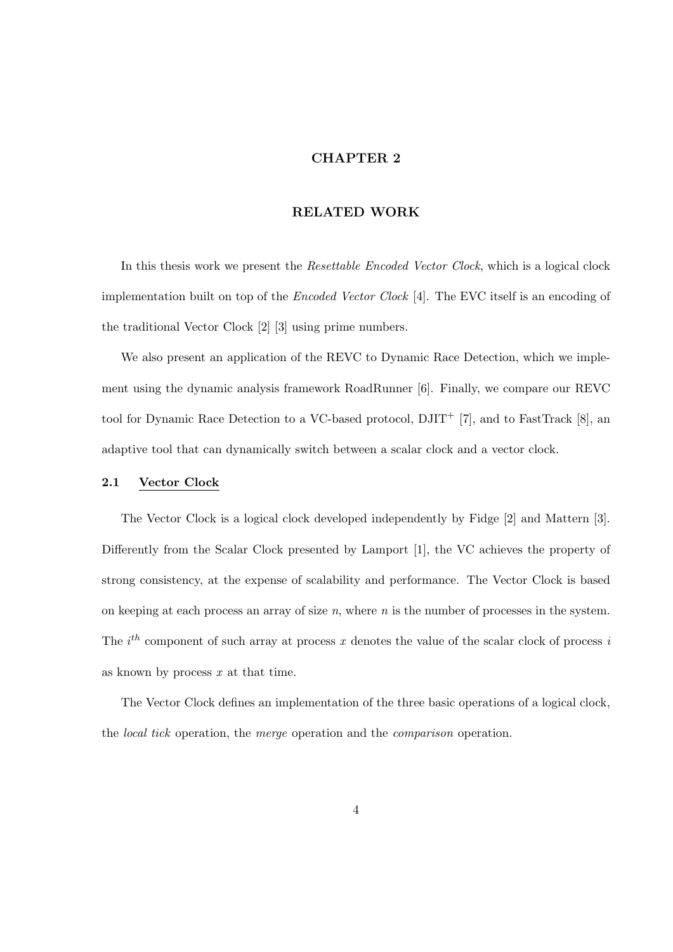## CHAPTER 2

#### RELATED WORK

In this thesis work we present the Resettable Encoded Vector Clock, which is a logical clock implementation built on top of the Encoded Vector Clock [4]. The EVC itself is an encoding of the traditional Vector Clock [2] [3] using prime numbers.

We also present an application of the REVC to Dynamic Race Detection, which we implement using the dynamic analysis framework RoadRunner [6]. Finally, we compare our REVC tool for Dynamic Race Detection to a VC-based protocol,  $\text{DJIT}^+$  [7], and to FastTrack [8], an adaptive tool that can dynamically switch between a scalar clock and a vector clock.

#### 2.1 Vector Clock

The Vector Clock is a logical clock developed independently by Fidge [2] and Mattern [3]. Differently from the Scalar Clock presented by Lamport [1], the VC achieves the property of strong consistency, at the expense of scalability and performance. The Vector Clock is based on keeping at each process an array of size  $n$ , where  $n$  is the number of processes in the system. The  $i^{th}$  component of such array at process x denotes the value of the scalar clock of process is as known by process  $x$  at that time.

The Vector Clock defines an implementation of the three basic operations of a logical clock, the local tick operation, the merge operation and the comparison operation.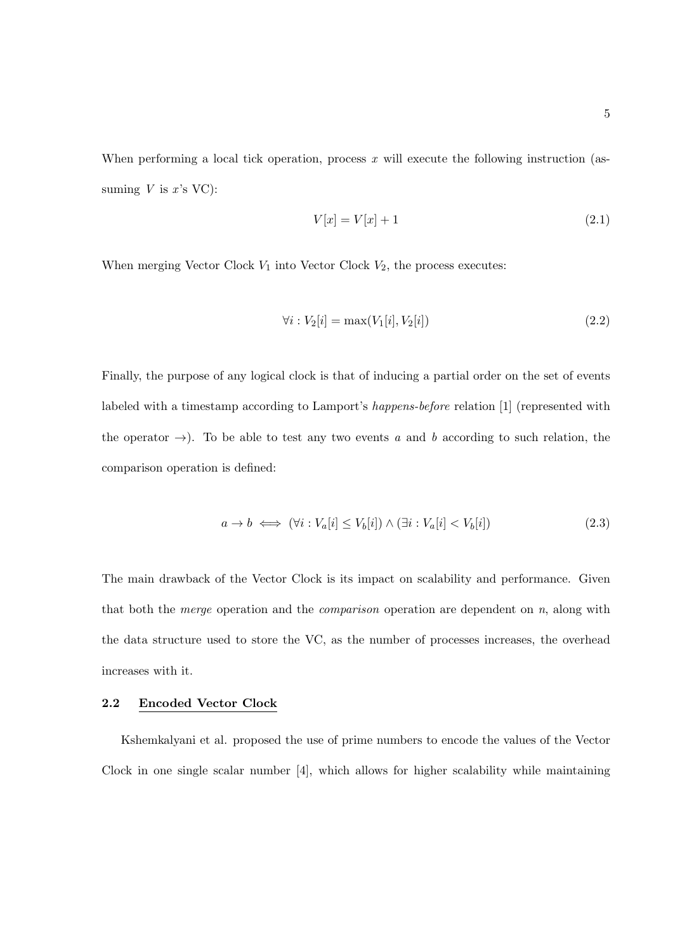When performing a local tick operation, process  $x$  will execute the following instruction (assuming  $V$  is  $x$ 's VC):

$$
V[x] = V[x] + 1\tag{2.1}
$$

When merging Vector Clock  $V_1$  into Vector Clock  $V_2$ , the process executes:

$$
\forall i: V_2[i] = \max(V_1[i], V_2[i]) \tag{2.2}
$$

Finally, the purpose of any logical clock is that of inducing a partial order on the set of events labeled with a timestamp according to Lamport's happens-before relation [1] (represented with the operator  $\rightarrow$ ). To be able to test any two events a and b according to such relation, the comparison operation is defined:

$$
a \to b \iff (\forall i : V_a[i] \le V_b[i]) \land (\exists i : V_a[i] < V_b[i]) \tag{2.3}
$$

The main drawback of the Vector Clock is its impact on scalability and performance. Given that both the *merge* operation and the *comparison* operation are dependent on  $n$ , along with the data structure used to store the VC, as the number of processes increases, the overhead increases with it.

#### 2.2 Encoded Vector Clock

Kshemkalyani et al. proposed the use of prime numbers to encode the values of the Vector Clock in one single scalar number [4], which allows for higher scalability while maintaining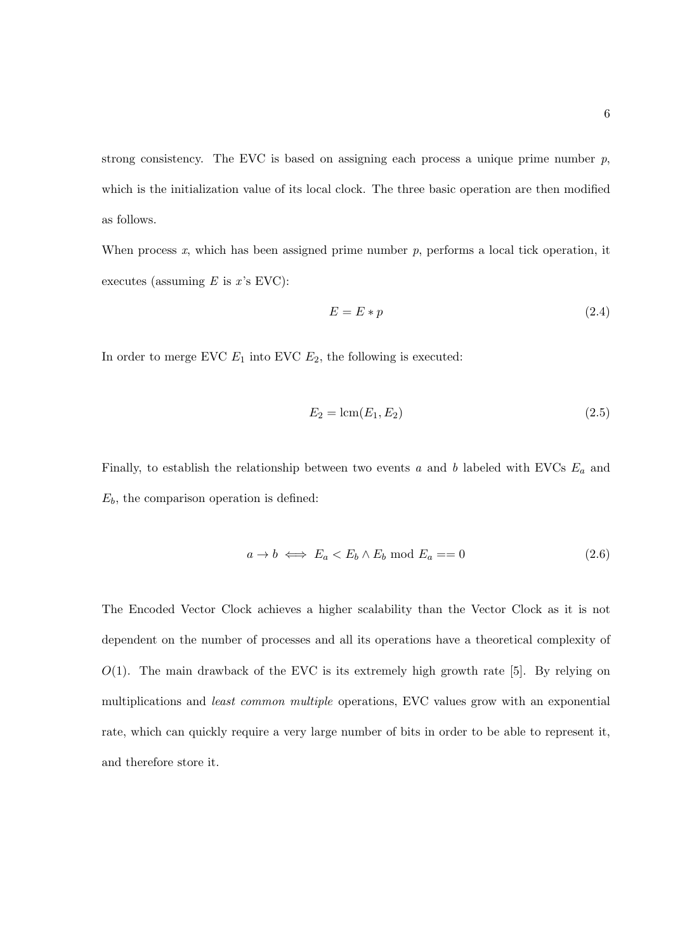strong consistency. The EVC is based on assigning each process a unique prime number  $p$ , which is the initialization value of its local clock. The three basic operation are then modified as follows.

When process x, which has been assigned prime number  $p$ , performs a local tick operation, it executes (assuming  $E$  is  $x$ 's EVC):

$$
E = E * p \tag{2.4}
$$

In order to merge EVC  $E_1$  into EVC  $E_2$ , the following is executed:

$$
E_2 = \text{lcm}(E_1, E_2) \tag{2.5}
$$

Finally, to establish the relationship between two events  $a$  and  $b$  labeled with EVCs  $E_a$  and  $E_b$ , the comparison operation is defined:

$$
a \to b \iff E_a < E_b \land E_b \text{ mod } E_a == 0 \tag{2.6}
$$

The Encoded Vector Clock achieves a higher scalability than the Vector Clock as it is not dependent on the number of processes and all its operations have a theoretical complexity of  $O(1)$ . The main drawback of the EVC is its extremely high growth rate [5]. By relying on multiplications and least common multiple operations, EVC values grow with an exponential rate, which can quickly require a very large number of bits in order to be able to represent it, and therefore store it.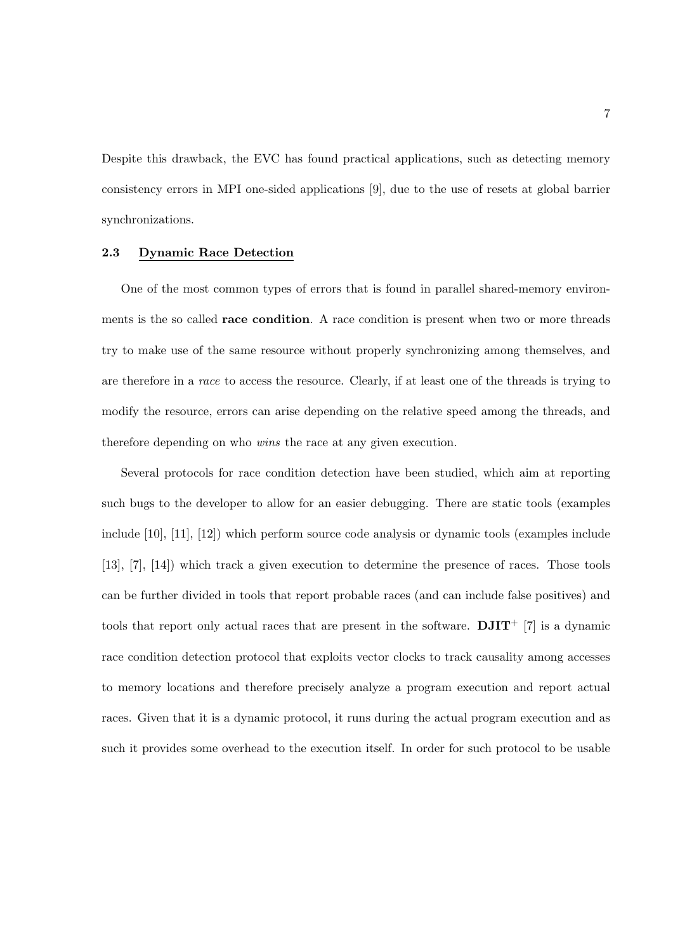Despite this drawback, the EVC has found practical applications, such as detecting memory consistency errors in MPI one-sided applications [9], due to the use of resets at global barrier synchronizations.

#### 2.3 Dynamic Race Detection

One of the most common types of errors that is found in parallel shared-memory environments is the so called race condition. A race condition is present when two or more threads try to make use of the same resource without properly synchronizing among themselves, and are therefore in a race to access the resource. Clearly, if at least one of the threads is trying to modify the resource, errors can arise depending on the relative speed among the threads, and therefore depending on who wins the race at any given execution.

Several protocols for race condition detection have been studied, which aim at reporting such bugs to the developer to allow for an easier debugging. There are static tools (examples include [10], [11], [12]) which perform source code analysis or dynamic tools (examples include [13], [7], [14]) which track a given execution to determine the presence of races. Those tools can be further divided in tools that report probable races (and can include false positives) and tools that report only actual races that are present in the software.  $\text{DJIT}^+$  [7] is a dynamic race condition detection protocol that exploits vector clocks to track causality among accesses to memory locations and therefore precisely analyze a program execution and report actual races. Given that it is a dynamic protocol, it runs during the actual program execution and as such it provides some overhead to the execution itself. In order for such protocol to be usable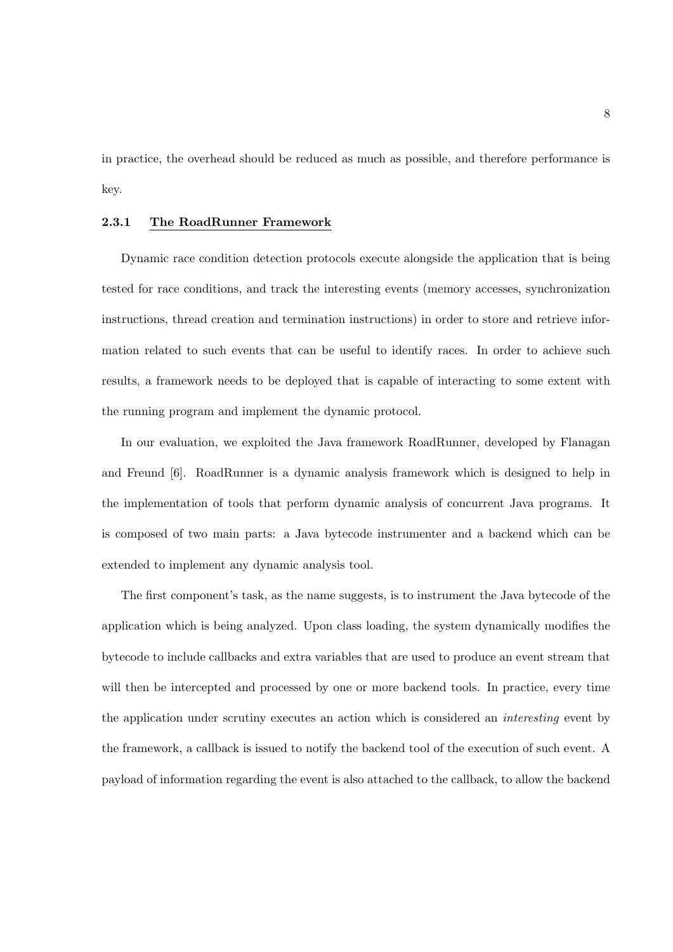in practice, the overhead should be reduced as much as possible, and therefore performance is key.

## 2.3.1 The RoadRunner Framework

Dynamic race condition detection protocols execute alongside the application that is being tested for race conditions, and track the interesting events (memory accesses, synchronization instructions, thread creation and termination instructions) in order to store and retrieve information related to such events that can be useful to identify races. In order to achieve such results, a framework needs to be deployed that is capable of interacting to some extent with the running program and implement the dynamic protocol.

In our evaluation, we exploited the Java framework RoadRunner, developed by Flanagan and Freund [6]. RoadRunner is a dynamic analysis framework which is designed to help in the implementation of tools that perform dynamic analysis of concurrent Java programs. It is composed of two main parts: a Java bytecode instrumenter and a backend which can be extended to implement any dynamic analysis tool.

The first component's task, as the name suggests, is to instrument the Java bytecode of the application which is being analyzed. Upon class loading, the system dynamically modifies the bytecode to include callbacks and extra variables that are used to produce an event stream that will then be intercepted and processed by one or more backend tools. In practice, every time the application under scrutiny executes an action which is considered an interesting event by the framework, a callback is issued to notify the backend tool of the execution of such event. A payload of information regarding the event is also attached to the callback, to allow the backend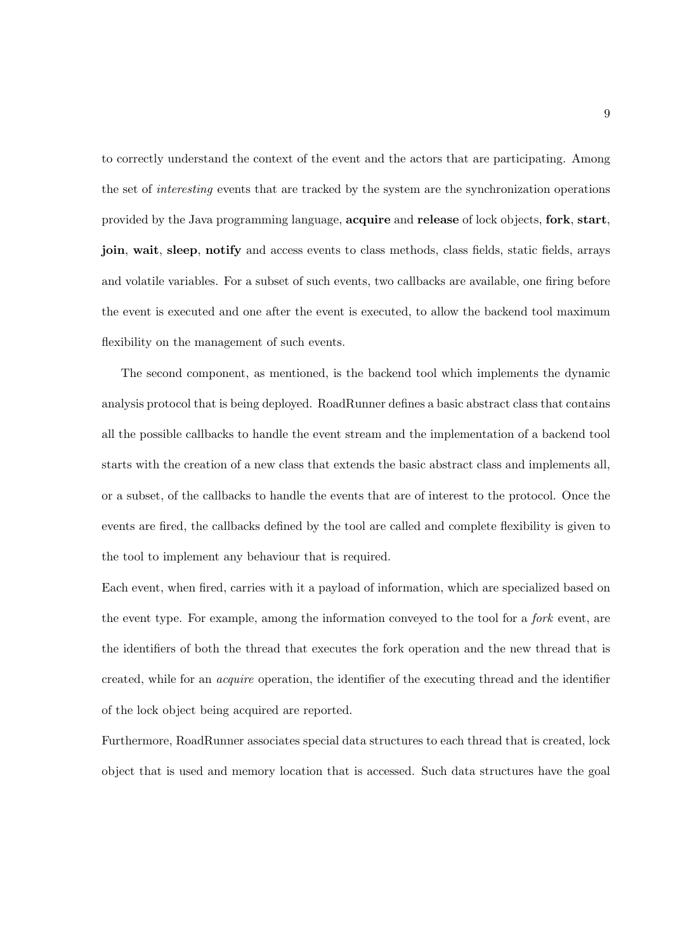to correctly understand the context of the event and the actors that are participating. Among the set of interesting events that are tracked by the system are the synchronization operations provided by the Java programming language, acquire and release of lock objects, fork, start, join, wait, sleep, notify and access events to class methods, class fields, static fields, arrays and volatile variables. For a subset of such events, two callbacks are available, one firing before the event is executed and one after the event is executed, to allow the backend tool maximum flexibility on the management of such events.

The second component, as mentioned, is the backend tool which implements the dynamic analysis protocol that is being deployed. RoadRunner defines a basic abstract class that contains all the possible callbacks to handle the event stream and the implementation of a backend tool starts with the creation of a new class that extends the basic abstract class and implements all, or a subset, of the callbacks to handle the events that are of interest to the protocol. Once the events are fired, the callbacks defined by the tool are called and complete flexibility is given to the tool to implement any behaviour that is required.

Each event, when fired, carries with it a payload of information, which are specialized based on the event type. For example, among the information conveyed to the tool for a fork event, are the identifiers of both the thread that executes the fork operation and the new thread that is created, while for an acquire operation, the identifier of the executing thread and the identifier of the lock object being acquired are reported.

Furthermore, RoadRunner associates special data structures to each thread that is created, lock object that is used and memory location that is accessed. Such data structures have the goal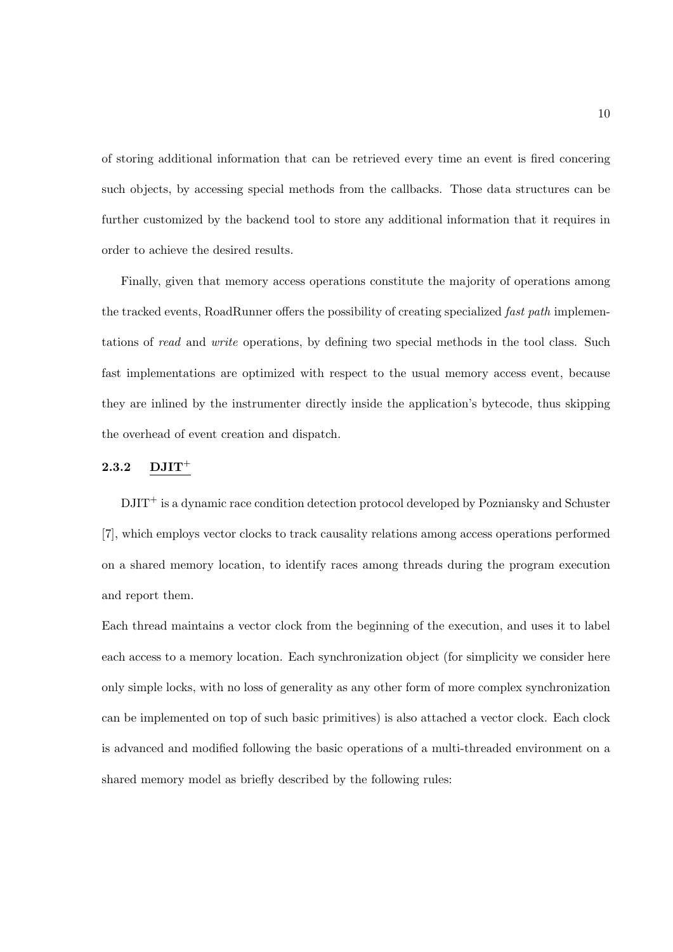of storing additional information that can be retrieved every time an event is fired concering such objects, by accessing special methods from the callbacks. Those data structures can be further customized by the backend tool to store any additional information that it requires in order to achieve the desired results.

Finally, given that memory access operations constitute the majority of operations among the tracked events, RoadRunner offers the possibility of creating specialized *fast path* implementations of read and write operations, by defining two special methods in the tool class. Such fast implementations are optimized with respect to the usual memory access event, because they are inlined by the instrumenter directly inside the application's bytecode, thus skipping the overhead of event creation and dispatch.

#### $2.3.2$  DJIT<sup>+</sup>

DJIT<sup>+</sup> is a dynamic race condition detection protocol developed by Pozniansky and Schuster [7], which employs vector clocks to track causality relations among access operations performed on a shared memory location, to identify races among threads during the program execution and report them.

Each thread maintains a vector clock from the beginning of the execution, and uses it to label each access to a memory location. Each synchronization object (for simplicity we consider here only simple locks, with no loss of generality as any other form of more complex synchronization can be implemented on top of such basic primitives) is also attached a vector clock. Each clock is advanced and modified following the basic operations of a multi-threaded environment on a shared memory model as briefly described by the following rules: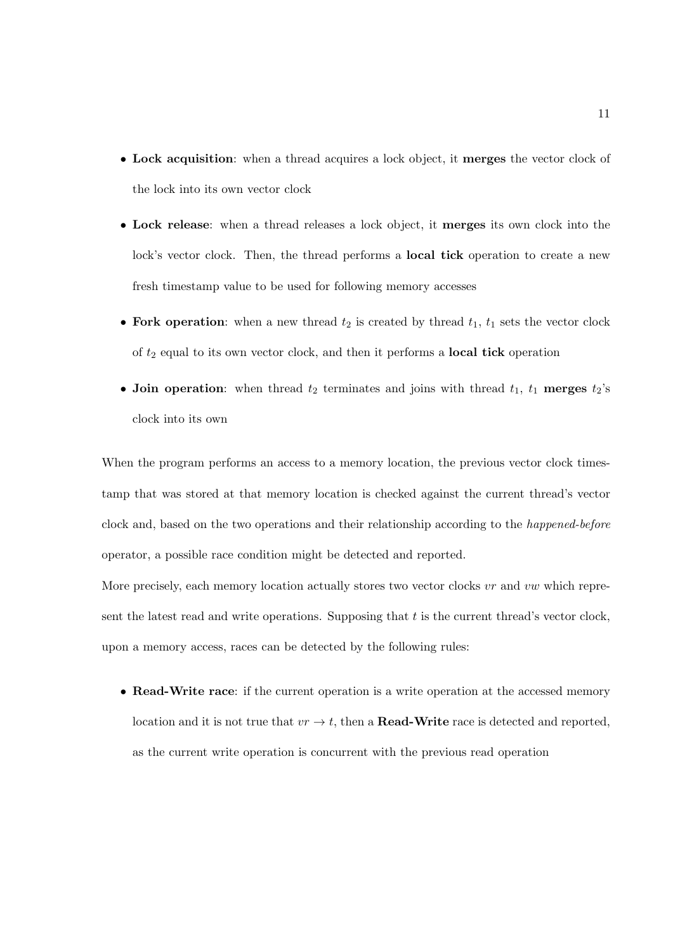- Lock acquisition: when a thread acquires a lock object, it merges the vector clock of the lock into its own vector clock
- Lock release: when a thread releases a lock object, it merges its own clock into the lock's vector clock. Then, the thread performs a **local tick** operation to create a new fresh timestamp value to be used for following memory accesses
- Fork operation: when a new thread  $t_2$  is created by thread  $t_1$ ,  $t_1$  sets the vector clock of  $t_2$  equal to its own vector clock, and then it performs a **local tick** operation
- Join operation: when thread  $t_2$  terminates and joins with thread  $t_1$ ,  $t_1$  merges  $t_2$ 's clock into its own

When the program performs an access to a memory location, the previous vector clock timestamp that was stored at that memory location is checked against the current thread's vector clock and, based on the two operations and their relationship according to the happened-before operator, a possible race condition might be detected and reported.

More precisely, each memory location actually stores two vector clocks  $vr$  and  $vw$  which represent the latest read and write operations. Supposing that  $t$  is the current thread's vector clock, upon a memory access, races can be detected by the following rules:

• Read-Write race: if the current operation is a write operation at the accessed memory location and it is not true that  $vr \rightarrow t$ , then a **Read-Write** race is detected and reported, as the current write operation is concurrent with the previous read operation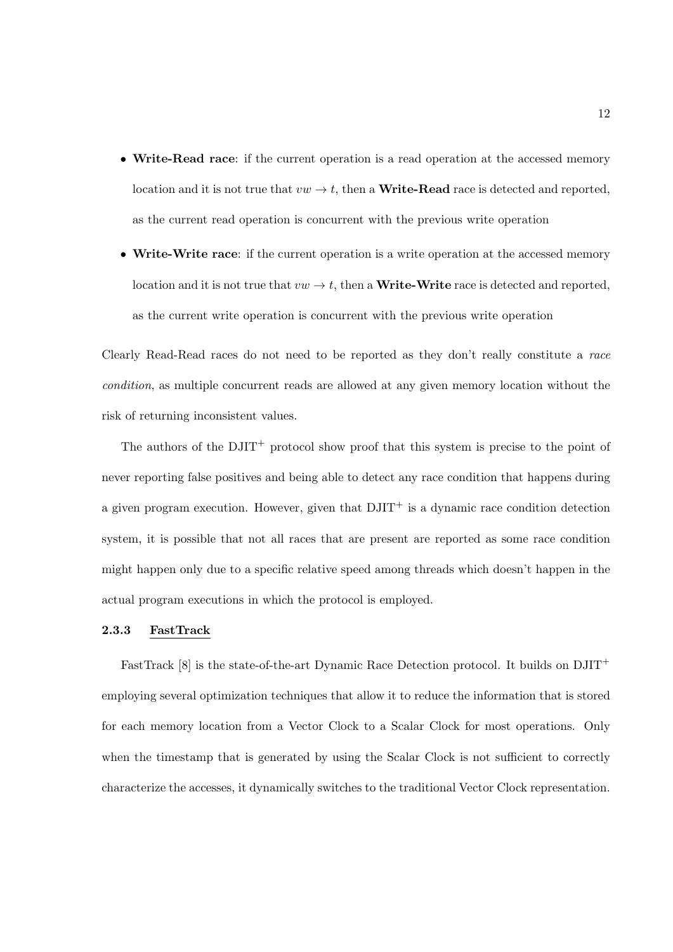- Write-Read race: if the current operation is a read operation at the accessed memory location and it is not true that  $vw \to t$ , then a **Write-Read** race is detected and reported, as the current read operation is concurrent with the previous write operation
- Write-Write race: if the current operation is a write operation at the accessed memory location and it is not true that  $vw \to t$ , then a **Write-Write** race is detected and reported, as the current write operation is concurrent with the previous write operation

Clearly Read-Read races do not need to be reported as they don't really constitute a race condition, as multiple concurrent reads are allowed at any given memory location without the risk of returning inconsistent values.

The authors of the  $\text{DJIT}^+$  protocol show proof that this system is precise to the point of never reporting false positives and being able to detect any race condition that happens during a given program execution. However, given that  $DJIT<sup>+</sup>$  is a dynamic race condition detection system, it is possible that not all races that are present are reported as some race condition might happen only due to a specific relative speed among threads which doesn't happen in the actual program executions in which the protocol is employed.

#### 2.3.3 FastTrack

FastTrack  $[8]$  is the state-of-the-art Dynamic Race Detection protocol. It builds on  $DJIT^+$ employing several optimization techniques that allow it to reduce the information that is stored for each memory location from a Vector Clock to a Scalar Clock for most operations. Only when the timestamp that is generated by using the Scalar Clock is not sufficient to correctly characterize the accesses, it dynamically switches to the traditional Vector Clock representation.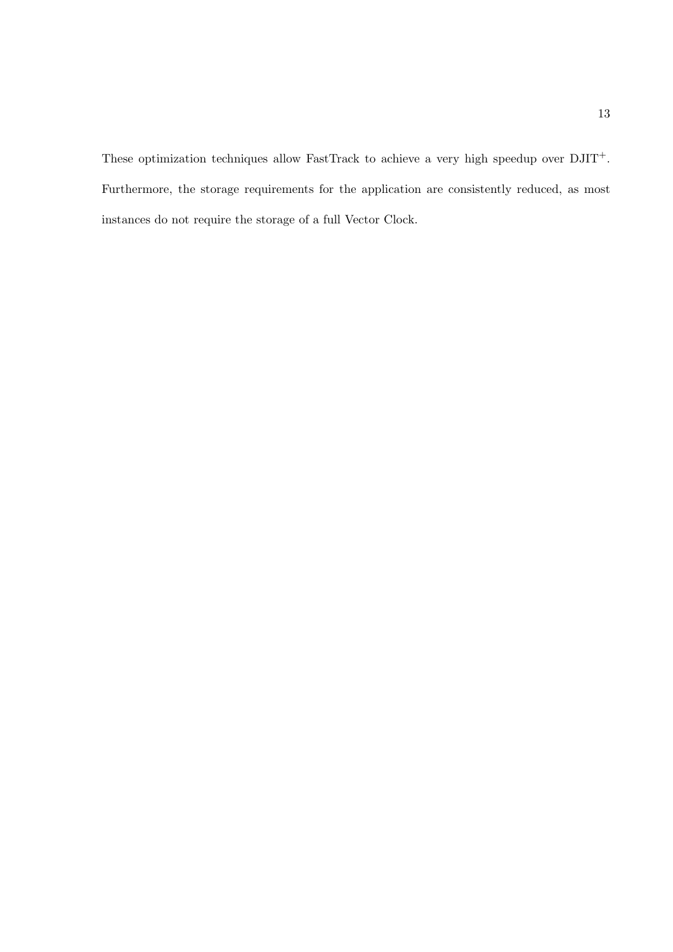These optimization techniques allow FastTrack to achieve a very high speedup over  $\mathrm{DJIT}^+$ . Furthermore, the storage requirements for the application are consistently reduced, as most instances do not require the storage of a full Vector Clock.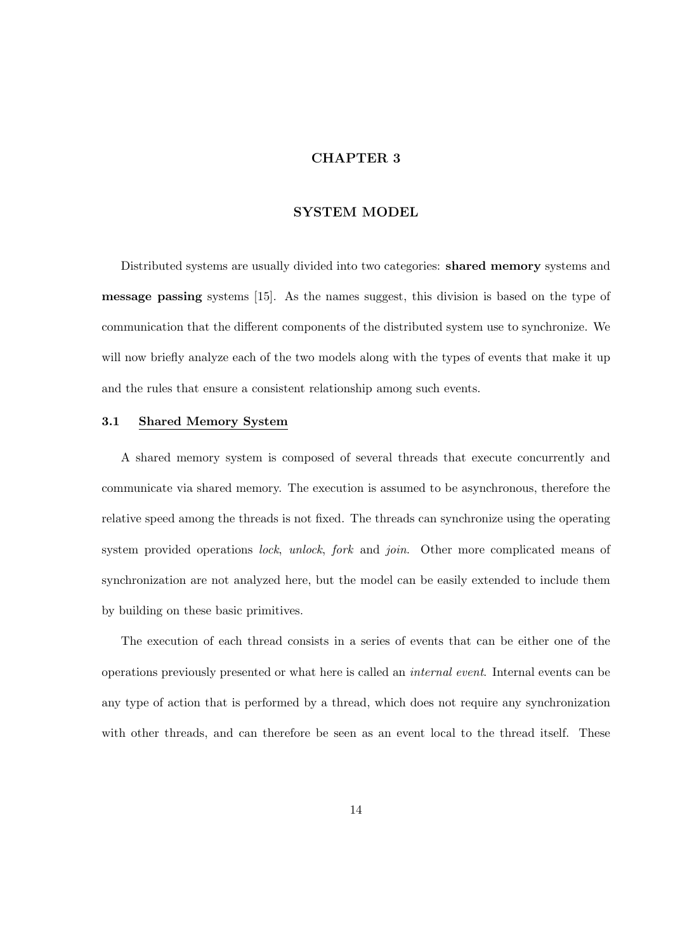## CHAPTER 3

#### SYSTEM MODEL

Distributed systems are usually divided into two categories: shared memory systems and message passing systems [15]. As the names suggest, this division is based on the type of communication that the different components of the distributed system use to synchronize. We will now briefly analyze each of the two models along with the types of events that make it up and the rules that ensure a consistent relationship among such events.

#### 3.1 Shared Memory System

A shared memory system is composed of several threads that execute concurrently and communicate via shared memory. The execution is assumed to be asynchronous, therefore the relative speed among the threads is not fixed. The threads can synchronize using the operating system provided operations lock, unlock, fork and join. Other more complicated means of synchronization are not analyzed here, but the model can be easily extended to include them by building on these basic primitives.

The execution of each thread consists in a series of events that can be either one of the operations previously presented or what here is called an internal event. Internal events can be any type of action that is performed by a thread, which does not require any synchronization with other threads, and can therefore be seen as an event local to the thread itself. These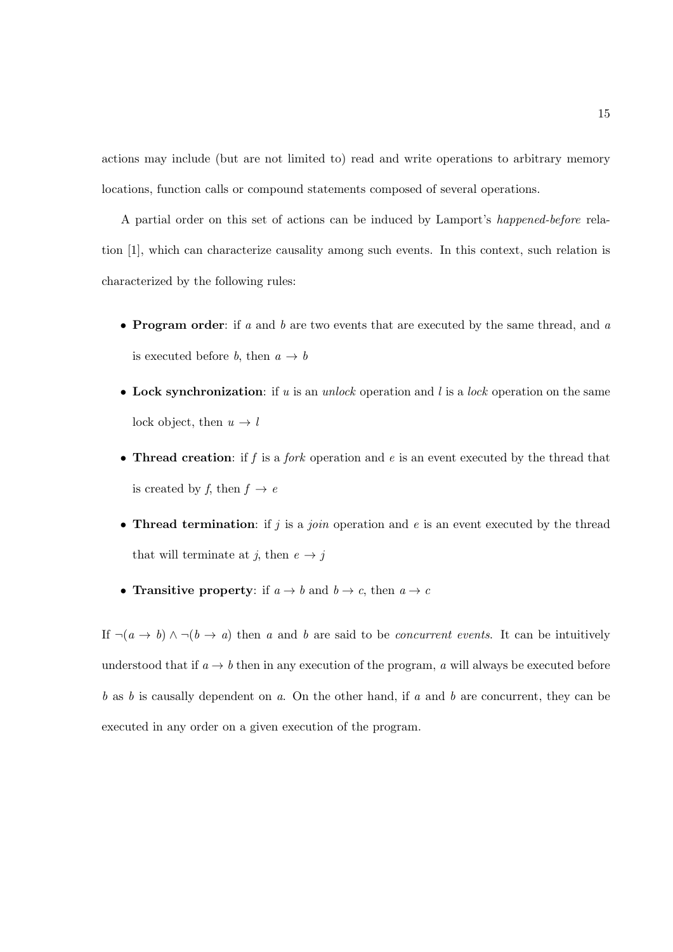actions may include (but are not limited to) read and write operations to arbitrary memory locations, function calls or compound statements composed of several operations.

A partial order on this set of actions can be induced by Lamport's happened-before relation [1], which can characterize causality among such events. In this context, such relation is characterized by the following rules:

- Program order: if  $a$  and  $b$  are two events that are executed by the same thread, and  $a$ is executed before b, then  $a \rightarrow b$
- Lock synchronization: if u is an unlock operation and l is a lock operation on the same lock object, then  $u \to l$
- Thread creation: if  $f$  is a *fork* operation and  $e$  is an event executed by the thread that is created by f, then  $f \rightarrow e$
- Thread termination: if  $j$  is a join operation and  $e$  is an event executed by the thread that will terminate at j, then  $e \rightarrow j$
- Transitive property: if  $a \to b$  and  $b \to c$ , then  $a \to c$

If  $\neg(a \rightarrow b) \land \neg(b \rightarrow a)$  then a and b are said to be *concurrent events*. It can be intuitively understood that if  $a \to b$  then in any execution of the program, a will always be executed before  $b$  as  $b$  is causally dependent on  $a$ . On the other hand, if  $a$  and  $b$  are concurrent, they can be executed in any order on a given execution of the program.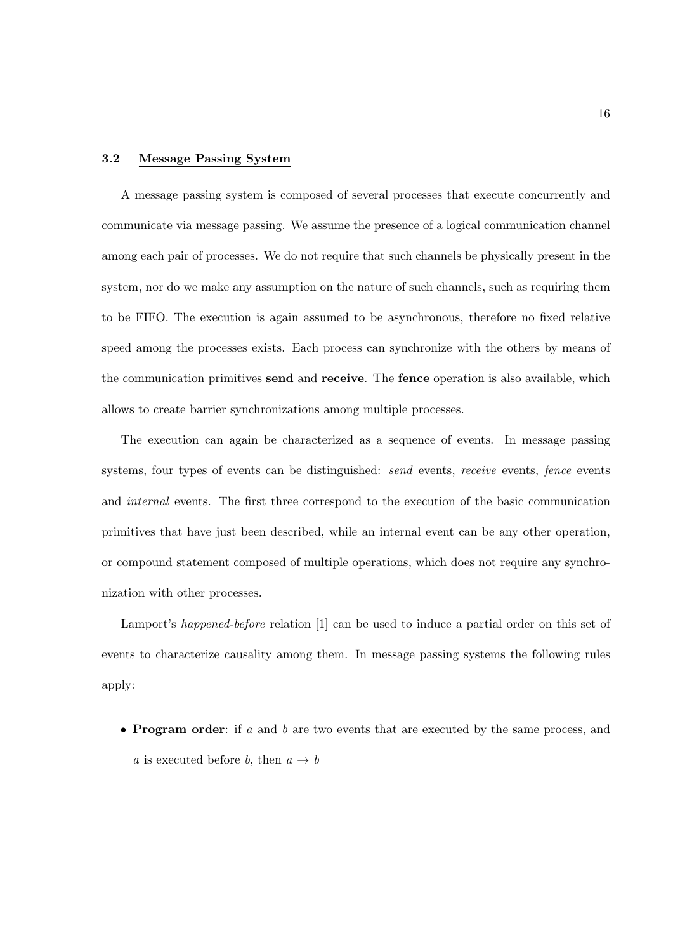#### 3.2 Message Passing System

A message passing system is composed of several processes that execute concurrently and communicate via message passing. We assume the presence of a logical communication channel among each pair of processes. We do not require that such channels be physically present in the system, nor do we make any assumption on the nature of such channels, such as requiring them to be FIFO. The execution is again assumed to be asynchronous, therefore no fixed relative speed among the processes exists. Each process can synchronize with the others by means of the communication primitives send and receive. The fence operation is also available, which allows to create barrier synchronizations among multiple processes.

The execution can again be characterized as a sequence of events. In message passing systems, four types of events can be distinguished: send events, receive events, fence events and internal events. The first three correspond to the execution of the basic communication primitives that have just been described, while an internal event can be any other operation, or compound statement composed of multiple operations, which does not require any synchronization with other processes.

Lamport's happened-before relation [1] can be used to induce a partial order on this set of events to characterize causality among them. In message passing systems the following rules apply:

• **Program order**: if a and b are two events that are executed by the same process, and a is executed before b, then  $a \rightarrow b$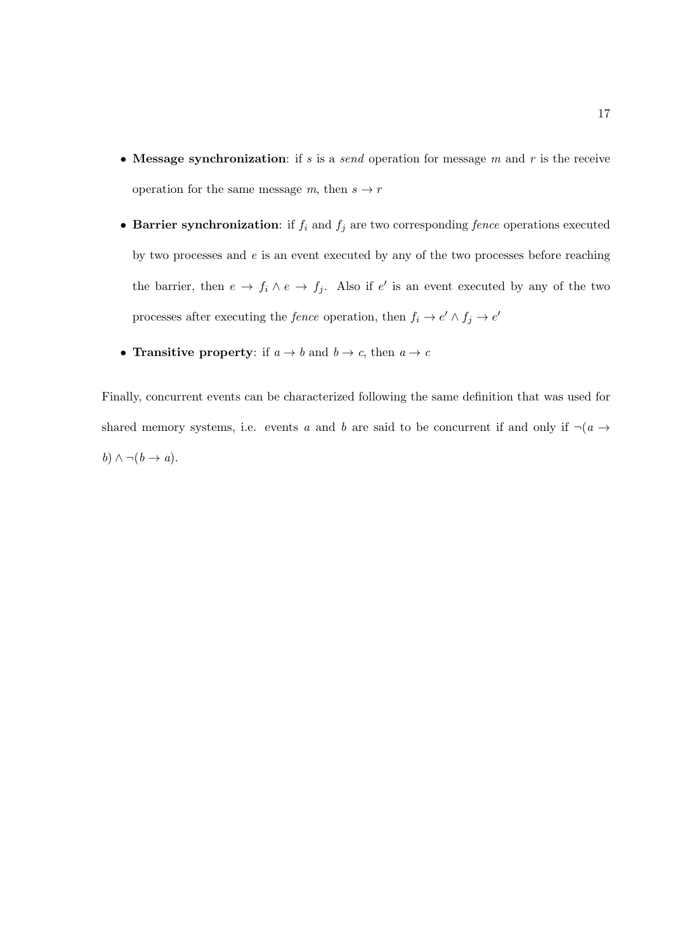- Message synchronization: if s is a send operation for message  $m$  and  $r$  is the receive operation for the same message m, then  $s \to r$
- Barrier synchronization: if  $f_i$  and  $f_j$  are two corresponding *fence* operations executed by two processes and  $e$  is an event executed by any of the two processes before reaching the barrier, then  $e \to f_i \wedge e \to f_j$ . Also if e' is an event executed by any of the two processes after executing the *fence* operation, then  $f_i \to e' \land f_j \to e'$
- Transitive property: if  $a \to b$  and  $b \to c$ , then  $a \to c$

Finally, concurrent events can be characterized following the same definition that was used for shared memory systems, i.e. events a and b are said to be concurrent if and only if  $\neg(a \rightarrow a)$ b)  $\wedge \neg (b \rightarrow a)$ .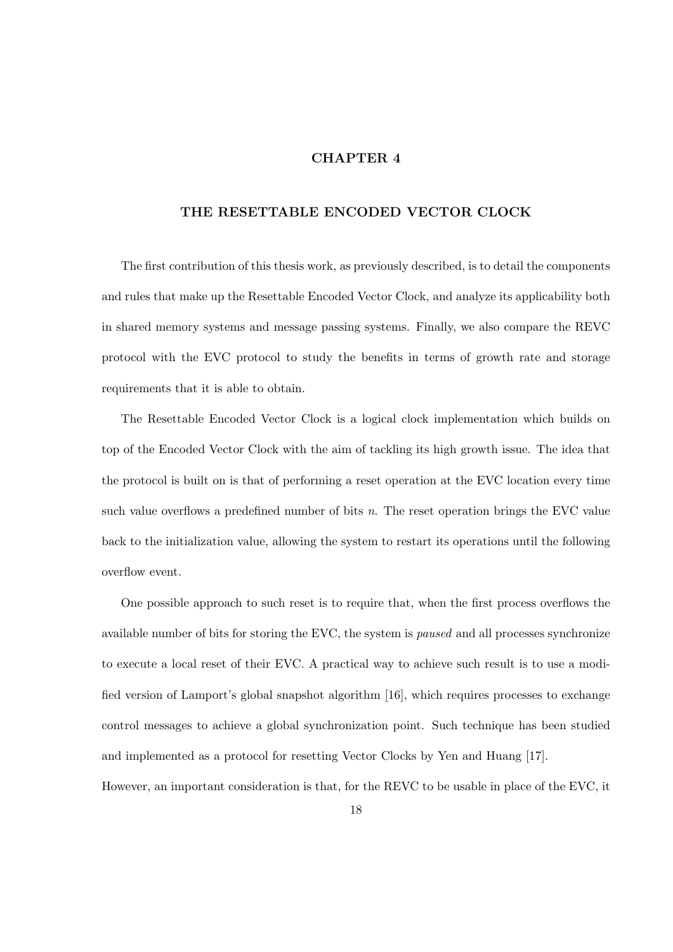## CHAPTER 4

#### THE RESETTABLE ENCODED VECTOR CLOCK

The first contribution of this thesis work, as previously described, is to detail the components and rules that make up the Resettable Encoded Vector Clock, and analyze its applicability both in shared memory systems and message passing systems. Finally, we also compare the REVC protocol with the EVC protocol to study the benefits in terms of growth rate and storage requirements that it is able to obtain.

The Resettable Encoded Vector Clock is a logical clock implementation which builds on top of the Encoded Vector Clock with the aim of tackling its high growth issue. The idea that the protocol is built on is that of performing a reset operation at the EVC location every time such value overflows a predefined number of bits  $n$ . The reset operation brings the EVC value back to the initialization value, allowing the system to restart its operations until the following overflow event.

One possible approach to such reset is to require that, when the first process overflows the available number of bits for storing the EVC, the system is paused and all processes synchronize to execute a local reset of their EVC. A practical way to achieve such result is to use a modified version of Lamport's global snapshot algorithm [16], which requires processes to exchange control messages to achieve a global synchronization point. Such technique has been studied and implemented as a protocol for resetting Vector Clocks by Yen and Huang [17]. However, an important consideration is that, for the REVC to be usable in place of the EVC, it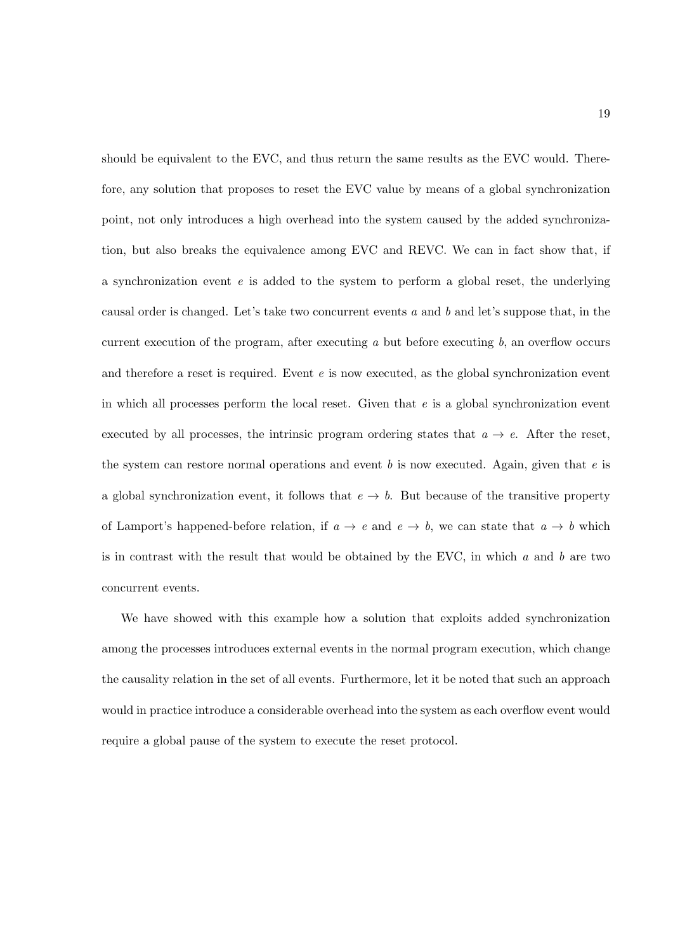should be equivalent to the EVC, and thus return the same results as the EVC would. Therefore, any solution that proposes to reset the EVC value by means of a global synchronization point, not only introduces a high overhead into the system caused by the added synchronization, but also breaks the equivalence among EVC and REVC. We can in fact show that, if a synchronization event  $e$  is added to the system to perform a global reset, the underlying causal order is changed. Let's take two concurrent events  $a$  and  $b$  and let's suppose that, in the current execution of the program, after executing  $a$  but before executing  $b$ , an overflow occurs and therefore a reset is required. Event  $e$  is now executed, as the global synchronization event in which all processes perform the local reset. Given that  $e$  is a global synchronization event executed by all processes, the intrinsic program ordering states that  $a \to e$ . After the reset, the system can restore normal operations and event  $b$  is now executed. Again, given that  $e$  is a global synchronization event, it follows that  $e \to b$ . But because of the transitive property of Lamport's happened-before relation, if  $a \to e$  and  $e \to b$ , we can state that  $a \to b$  which is in contrast with the result that would be obtained by the EVC, in which  $a$  and  $b$  are two concurrent events.

We have showed with this example how a solution that exploits added synchronization among the processes introduces external events in the normal program execution, which change the causality relation in the set of all events. Furthermore, let it be noted that such an approach would in practice introduce a considerable overhead into the system as each overflow event would require a global pause of the system to execute the reset protocol.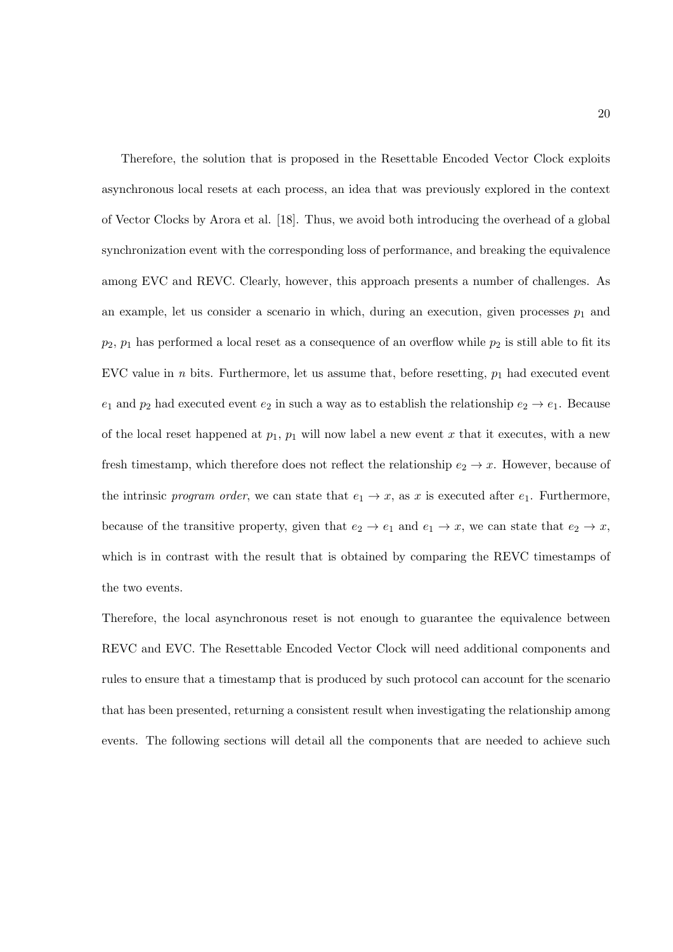Therefore, the solution that is proposed in the Resettable Encoded Vector Clock exploits asynchronous local resets at each process, an idea that was previously explored in the context of Vector Clocks by Arora et al. [18]. Thus, we avoid both introducing the overhead of a global synchronization event with the corresponding loss of performance, and breaking the equivalence among EVC and REVC. Clearly, however, this approach presents a number of challenges. As an example, let us consider a scenario in which, during an execution, given processes  $p_1$  and  $p_2$ ,  $p_1$  has performed a local reset as a consequence of an overflow while  $p_2$  is still able to fit its EVC value in *n* bits. Furthermore, let us assume that, before resetting,  $p_1$  had executed event  $e_1$  and  $p_2$  had executed event  $e_2$  in such a way as to establish the relationship  $e_2 \rightarrow e_1$ . Because of the local reset happened at  $p_1$ ,  $p_1$  will now label a new event x that it executes, with a new fresh timestamp, which therefore does not reflect the relationship  $e_2 \to x$ . However, because of the intrinsic program order, we can state that  $e_1 \rightarrow x$ , as x is executed after  $e_1$ . Furthermore, because of the transitive property, given that  $e_2 \to e_1$  and  $e_1 \to x$ , we can state that  $e_2 \to x$ , which is in contrast with the result that is obtained by comparing the REVC timestamps of the two events.

Therefore, the local asynchronous reset is not enough to guarantee the equivalence between REVC and EVC. The Resettable Encoded Vector Clock will need additional components and rules to ensure that a timestamp that is produced by such protocol can account for the scenario that has been presented, returning a consistent result when investigating the relationship among events. The following sections will detail all the components that are needed to achieve such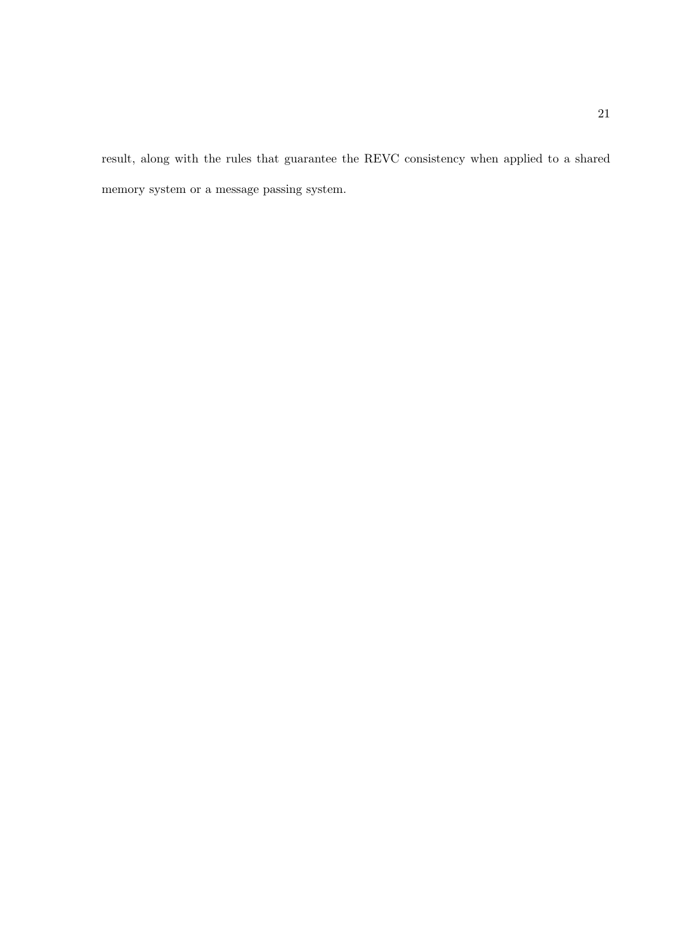result, along with the rules that guarantee the REVC consistency when applied to a shared memory system or a message passing system.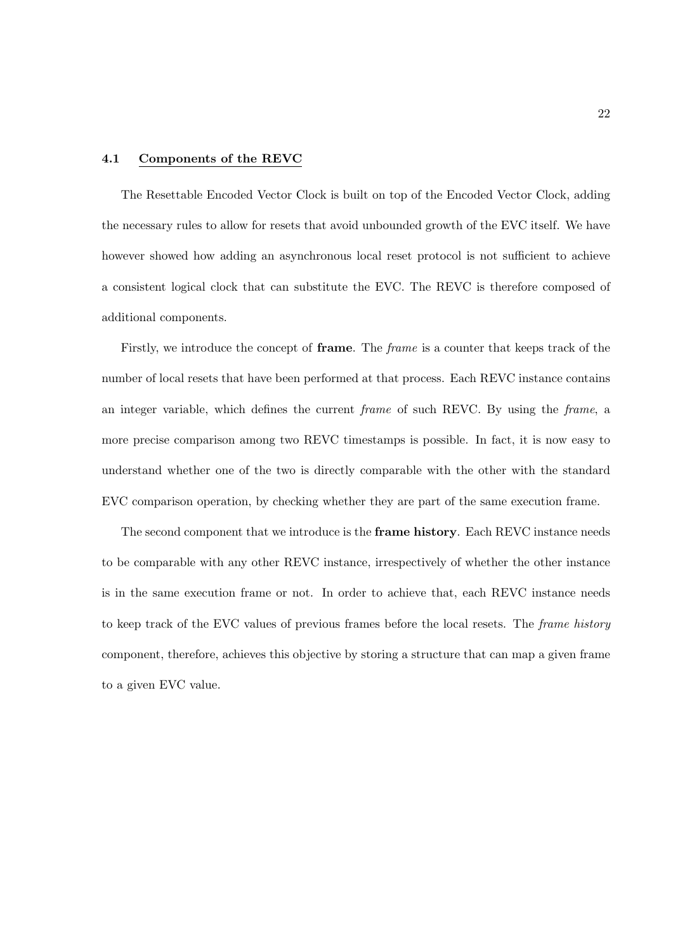#### 4.1 Components of the REVC

The Resettable Encoded Vector Clock is built on top of the Encoded Vector Clock, adding the necessary rules to allow for resets that avoid unbounded growth of the EVC itself. We have however showed how adding an asynchronous local reset protocol is not sufficient to achieve a consistent logical clock that can substitute the EVC. The REVC is therefore composed of additional components.

Firstly, we introduce the concept of **frame**. The *frame* is a counter that keeps track of the number of local resets that have been performed at that process. Each REVC instance contains an integer variable, which defines the current frame of such REVC. By using the frame, a more precise comparison among two REVC timestamps is possible. In fact, it is now easy to understand whether one of the two is directly comparable with the other with the standard EVC comparison operation, by checking whether they are part of the same execution frame.

The second component that we introduce is the frame history. Each REVC instance needs to be comparable with any other REVC instance, irrespectively of whether the other instance is in the same execution frame or not. In order to achieve that, each REVC instance needs to keep track of the EVC values of previous frames before the local resets. The frame history component, therefore, achieves this objective by storing a structure that can map a given frame to a given EVC value.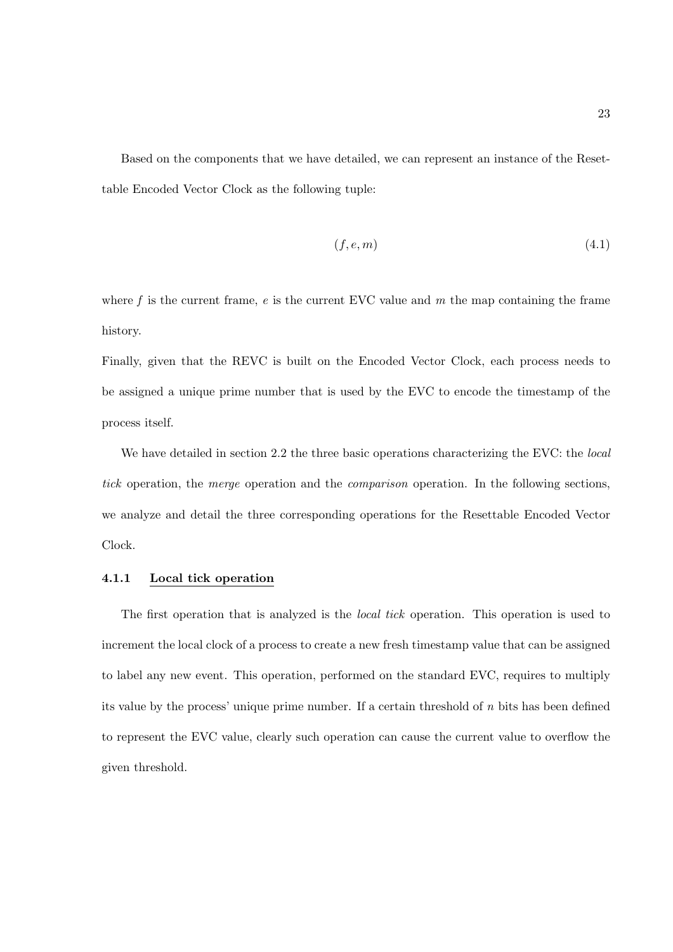Based on the components that we have detailed, we can represent an instance of the Resettable Encoded Vector Clock as the following tuple:

$$
(f, e, m) \tag{4.1}
$$

where f is the current frame,  $e$  is the current EVC value and  $m$  the map containing the frame history.

Finally, given that the REVC is built on the Encoded Vector Clock, each process needs to be assigned a unique prime number that is used by the EVC to encode the timestamp of the process itself.

We have detailed in section 2.2 the three basic operations characterizing the EVC: the *local* tick operation, the *merge* operation and the *comparison* operation. In the following sections, we analyze and detail the three corresponding operations for the Resettable Encoded Vector Clock.

#### 4.1.1 Local tick operation

The first operation that is analyzed is the local tick operation. This operation is used to increment the local clock of a process to create a new fresh timestamp value that can be assigned to label any new event. This operation, performed on the standard EVC, requires to multiply its value by the process' unique prime number. If a certain threshold of n bits has been defined to represent the EVC value, clearly such operation can cause the current value to overflow the given threshold.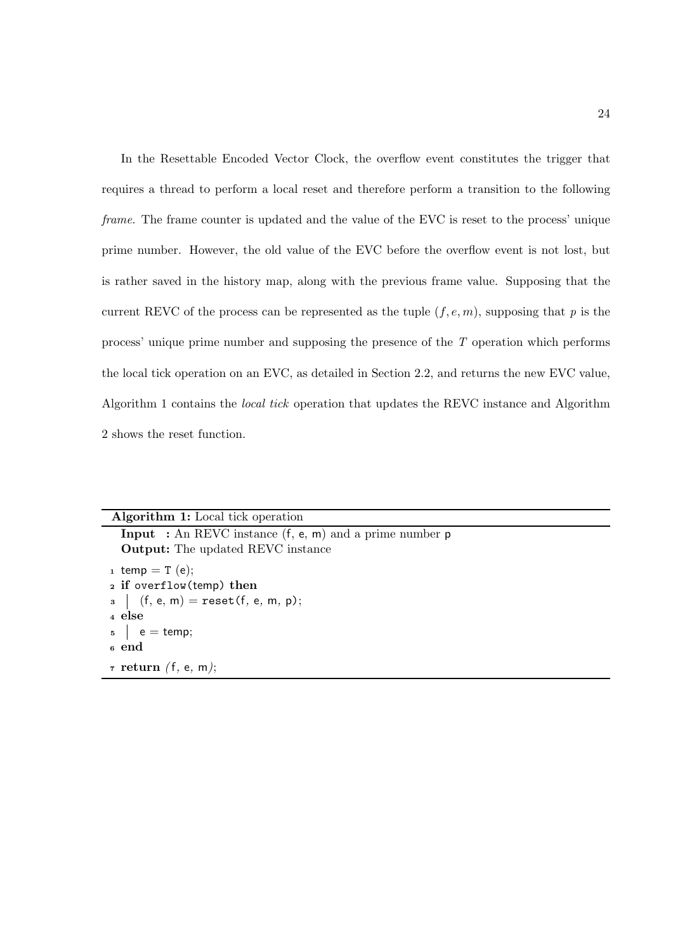In the Resettable Encoded Vector Clock, the overflow event constitutes the trigger that requires a thread to perform a local reset and therefore perform a transition to the following frame. The frame counter is updated and the value of the EVC is reset to the process' unique prime number. However, the old value of the EVC before the overflow event is not lost, but is rather saved in the history map, along with the previous frame value. Supposing that the current REVC of the process can be represented as the tuple  $(f, e, m)$ , supposing that p is the process' unique prime number and supposing the presence of the T operation which performs the local tick operation on an EVC, as detailed in Section 2.2, and returns the new EVC value, Algorithm 1 contains the local tick operation that updates the REVC instance and Algorithm 2 shows the reset function.

#### Algorithm 1: Local tick operation

Input : An REVC instance (f, e, m) and a prime number p Output: The updated REVC instance  $_1$  temp = T (e); <sup>2</sup> if overflow(temp) then  $3 \mid (f, e, m) = \text{reset}(f, e, m, p);$ <sup>4</sup> else  $5 \mid e = \text{temp};$ <sup>6</sup> end  $\tau$  return (f, e, m);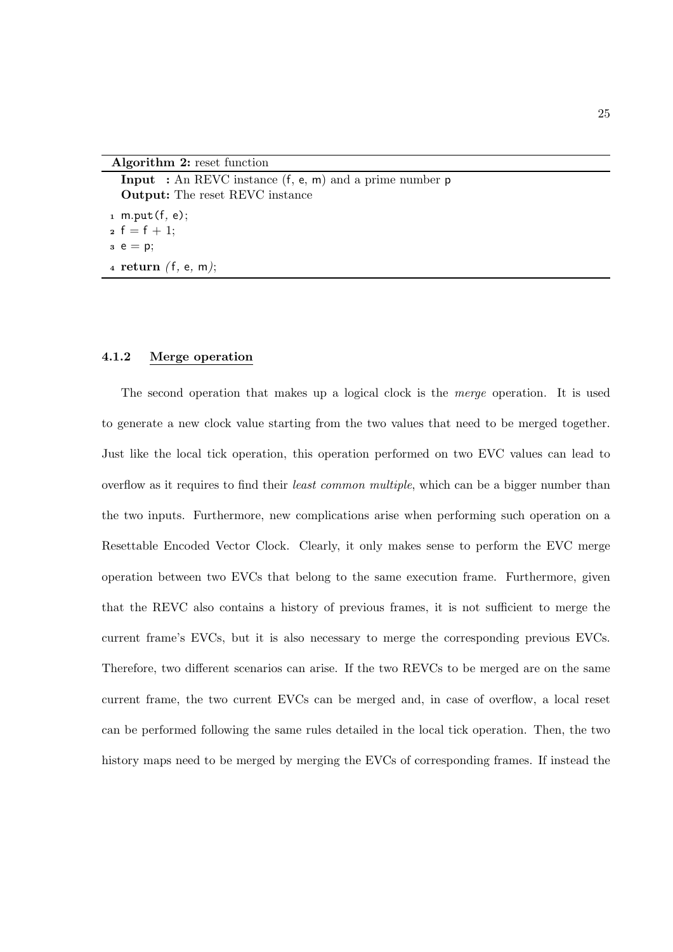Algorithm 2: reset function

**Input** : An REVC instance  $(f, e, m)$  and a prime number  $p$ Output: The reset REVC instance  $1$  m.put  $(f, e)$ ; 2  $f = f + 1$ ;  $3 e = p$ ; 4 return  $(f, e, m)$ ;

#### 4.1.2 Merge operation

The second operation that makes up a logical clock is the merge operation. It is used to generate a new clock value starting from the two values that need to be merged together. Just like the local tick operation, this operation performed on two EVC values can lead to overflow as it requires to find their *least common multiple*, which can be a bigger number than the two inputs. Furthermore, new complications arise when performing such operation on a Resettable Encoded Vector Clock. Clearly, it only makes sense to perform the EVC merge operation between two EVCs that belong to the same execution frame. Furthermore, given that the REVC also contains a history of previous frames, it is not sufficient to merge the current frame's EVCs, but it is also necessary to merge the corresponding previous EVCs. Therefore, two different scenarios can arise. If the two REVCs to be merged are on the same current frame, the two current EVCs can be merged and, in case of overflow, a local reset can be performed following the same rules detailed in the local tick operation. Then, the two history maps need to be merged by merging the EVCs of corresponding frames. If instead the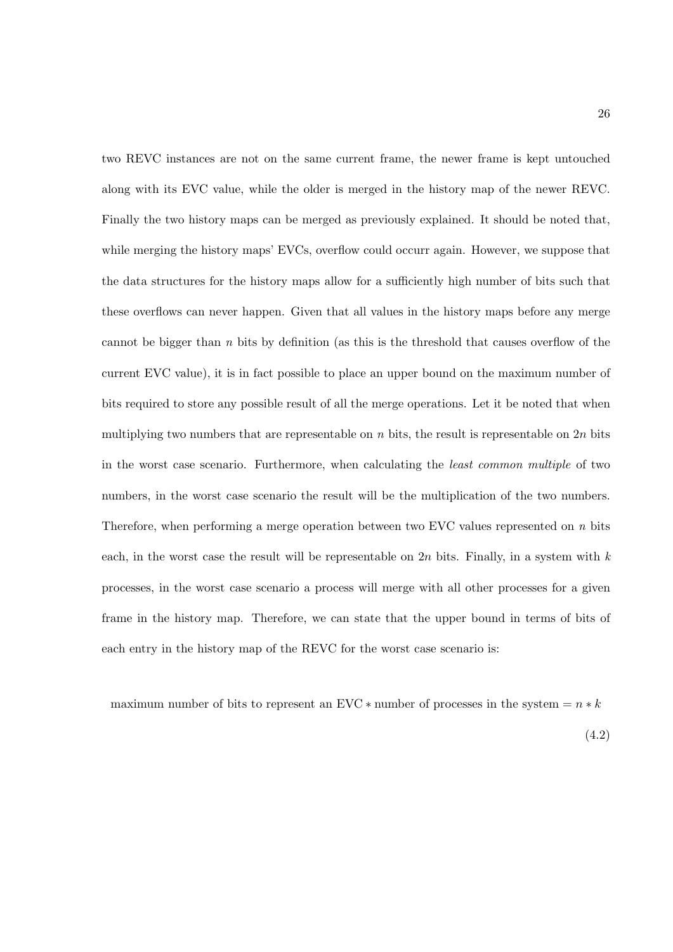two REVC instances are not on the same current frame, the newer frame is kept untouched along with its EVC value, while the older is merged in the history map of the newer REVC. Finally the two history maps can be merged as previously explained. It should be noted that, while merging the history maps' EVCs, overflow could occurr again. However, we suppose that the data structures for the history maps allow for a sufficiently high number of bits such that these overflows can never happen. Given that all values in the history maps before any merge cannot be bigger than  $n$  bits by definition (as this is the threshold that causes overflow of the current EVC value), it is in fact possible to place an upper bound on the maximum number of bits required to store any possible result of all the merge operations. Let it be noted that when multiplying two numbers that are representable on n bits, the result is representable on  $2n$  bits in the worst case scenario. Furthermore, when calculating the least common multiple of two numbers, in the worst case scenario the result will be the multiplication of the two numbers. Therefore, when performing a merge operation between two EVC values represented on  $n$  bits each, in the worst case the result will be representable on  $2n$  bits. Finally, in a system with k processes, in the worst case scenario a process will merge with all other processes for a given frame in the history map. Therefore, we can state that the upper bound in terms of bits of each entry in the history map of the REVC for the worst case scenario is:

maximum number of bits to represent an EVC  $*$  number of processes in the system  $= n * k$ 

(4.2)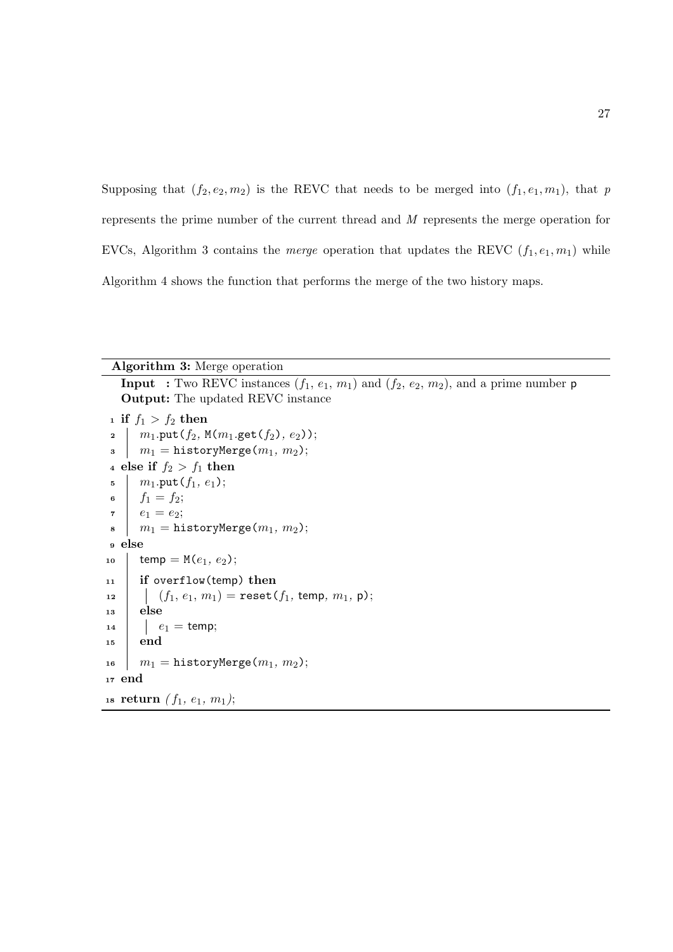Supposing that  $(f_2, e_2, m_2)$  is the REVC that needs to be merged into  $(f_1, e_1, m_1)$ , that p represents the prime number of the current thread and M represents the merge operation for EVCs, Algorithm 3 contains the *merge* operation that updates the REVC  $(f_1, e_1, m_1)$  while Algorithm 4 shows the function that performs the merge of the two history maps.

| <b>Algorithm 3:</b> Merge operation                                                                     |  |  |
|---------------------------------------------------------------------------------------------------------|--|--|
| <b>Input</b> : Two REVC instances $(f_1, e_1, m_1)$ and $(f_2, e_2, m_2)$ , and a prime number <b>p</b> |  |  |
| <b>Output:</b> The updated REVC instance                                                                |  |  |
| <sup>1</sup> if $f_1 > f_2$ then                                                                        |  |  |
| $m_1$ .put $(f_2, M(m_1.get(f_2), e_2));$<br>$\mathbf{2}$                                               |  |  |
| $m_1 =$ historyMerge $(m_1, m_2);$<br>3                                                                 |  |  |
| 4 else if $f_2 > f_1$ then                                                                              |  |  |
| $m_1$ .put $(f_1, e_1)$ ;<br>5                                                                          |  |  |
| $f_1 = f_2;$<br>6                                                                                       |  |  |
| $r \mid e_1 = e_2;$                                                                                     |  |  |
| $m_1 =$ historyMerge $(m_1, m_2);$<br>8                                                                 |  |  |
| <sub>9</sub> else                                                                                       |  |  |
| temp = $M(e_1, e_2)$ ;<br>10                                                                            |  |  |
| if overflow(temp) then<br>11                                                                            |  |  |
| $(f_1, e_1, m_1)$ = reset( $f_1$ , temp, $m_1$ , p);<br>12                                              |  |  |
| else<br>13                                                                                              |  |  |
| $\left  e_1 = \text{temp}; \right.$<br>14                                                               |  |  |
| end<br>15                                                                                               |  |  |
| $m_1 =$ historyMerge $(m_1, m_2);$<br>16                                                                |  |  |
| $17$ end                                                                                                |  |  |
| 18 <b>return</b> $(f_1, e_1, m_1);$                                                                     |  |  |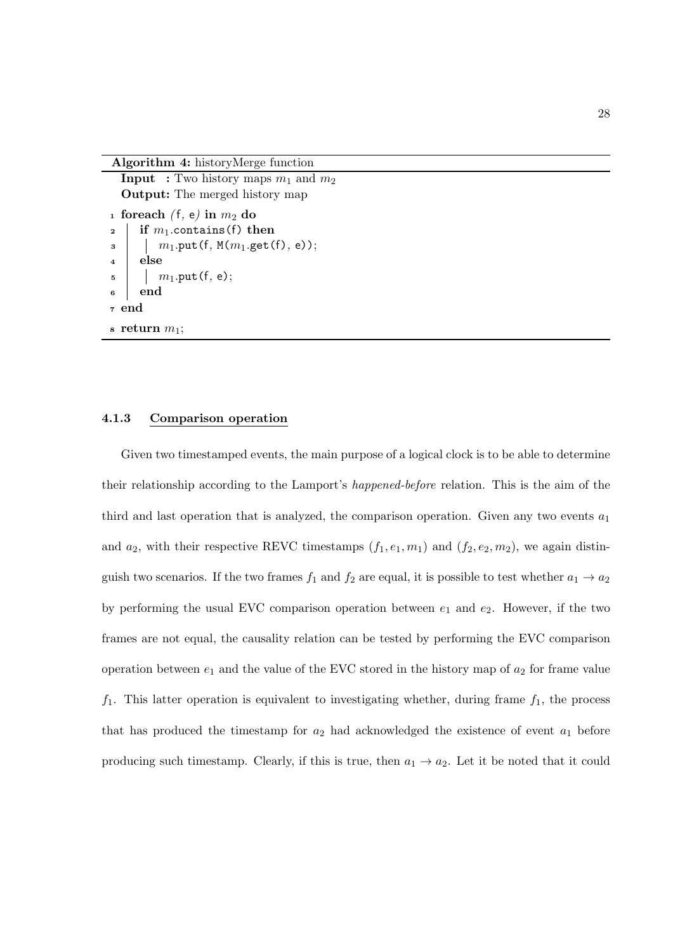Algorithm 4: historyMerge function

```
Input : Two history maps m_1 and m_2Output: The merged history map
1 foreach (f, e) in m_2 do
2 if m_1 contains (f) then
\frac{3}{1} m<sub>1</sub>.put(f, M(m<sub>1</sub>.get(f), e));
4 else
5 \mid m_1.\text{put}(f, e);6 end
7 end
\mathbf{s} return m_1;
```
#### 4.1.3 Comparison operation

Given two timestamped events, the main purpose of a logical clock is to be able to determine their relationship according to the Lamport's happened-before relation. This is the aim of the third and last operation that is analyzed, the comparison operation. Given any two events  $a_1$ and  $a_2$ , with their respective REVC timestamps  $(f_1, e_1, m_1)$  and  $(f_2, e_2, m_2)$ , we again distinguish two scenarios. If the two frames  $f_1$  and  $f_2$  are equal, it is possible to test whether  $a_1 \rightarrow a_2$ by performing the usual EVC comparison operation between  $e_1$  and  $e_2$ . However, if the two frames are not equal, the causality relation can be tested by performing the EVC comparison operation between  $e_1$  and the value of the EVC stored in the history map of  $a_2$  for frame value  $f_1$ . This latter operation is equivalent to investigating whether, during frame  $f_1$ , the process that has produced the timestamp for  $a_2$  had acknowledged the existence of event  $a_1$  before producing such timestamp. Clearly, if this is true, then  $a_1 \rightarrow a_2$ . Let it be noted that it could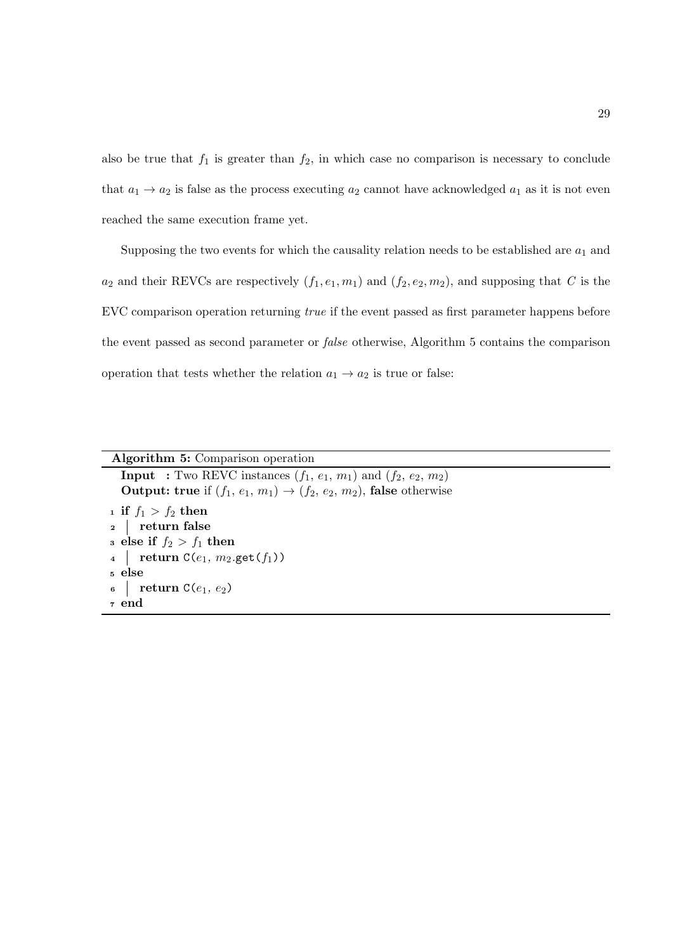also be true that  $f_1$  is greater than  $f_2$ , in which case no comparison is necessary to conclude that  $a_1 \rightarrow a_2$  is false as the process executing  $a_2$  cannot have acknowledged  $a_1$  as it is not even reached the same execution frame yet.

Supposing the two events for which the causality relation needs to be established are  $a_1$  and  $a_2$  and their REVCs are respectively  $(f_1, e_1, m_1)$  and  $(f_2, e_2, m_2)$ , and supposing that C is the EVC comparison operation returning true if the event passed as first parameter happens before the event passed as second parameter or false otherwise, Algorithm 5 contains the comparison operation that tests whether the relation  $a_1 \rightarrow a_2$  is true or false:

| Algorithm 5: Comparison operation |                                                                                        |  |
|-----------------------------------|----------------------------------------------------------------------------------------|--|
|                                   | <b>Input</b> : Two REVC instances $(f_1, e_1, m_1)$ and $(f_2, e_2, m_2)$              |  |
|                                   | <b>Output:</b> true if $(f_1, e_1, m_1) \rightarrow (f_2, e_2, m_2)$ , false otherwise |  |
|                                   | <sup>1</sup> if $f_1 > f_2$ then                                                       |  |
| 2 return false                    |                                                                                        |  |
| a else if $f_2 > f_1$ then        |                                                                                        |  |
|                                   | 4   return $C(e_1, m_2.get(f_1))$                                                      |  |
| <sub>5</sub> else                 |                                                                                        |  |
|                                   | $\mathfrak{g}$ return $\mathfrak{C}(e_1, e_2)$                                         |  |
| z end                             |                                                                                        |  |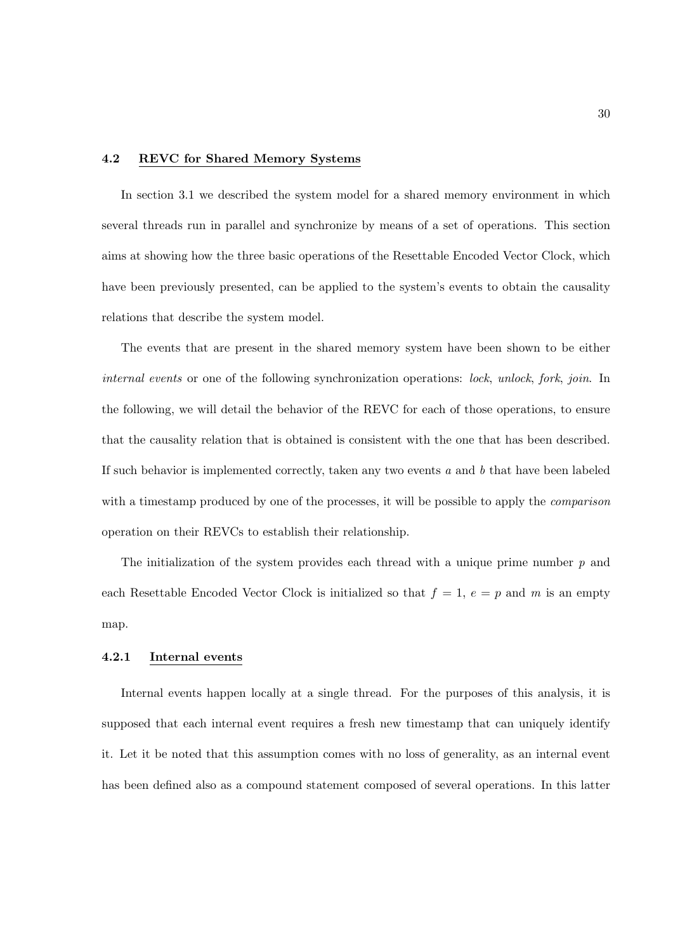#### 4.2 REVC for Shared Memory Systems

In section 3.1 we described the system model for a shared memory environment in which several threads run in parallel and synchronize by means of a set of operations. This section aims at showing how the three basic operations of the Resettable Encoded Vector Clock, which have been previously presented, can be applied to the system's events to obtain the causality relations that describe the system model.

The events that are present in the shared memory system have been shown to be either internal events or one of the following synchronization operations: lock, unlock, fork, join. In the following, we will detail the behavior of the REVC for each of those operations, to ensure that the causality relation that is obtained is consistent with the one that has been described. If such behavior is implemented correctly, taken any two events  $a$  and  $b$  that have been labeled with a timestamp produced by one of the processes, it will be possible to apply the *comparison* operation on their REVCs to establish their relationship.

The initialization of the system provides each thread with a unique prime number  $p$  and each Resettable Encoded Vector Clock is initialized so that  $f = 1$ ,  $e = p$  and m is an empty map.

## 4.2.1 Internal events

Internal events happen locally at a single thread. For the purposes of this analysis, it is supposed that each internal event requires a fresh new timestamp that can uniquely identify it. Let it be noted that this assumption comes with no loss of generality, as an internal event has been defined also as a compound statement composed of several operations. In this latter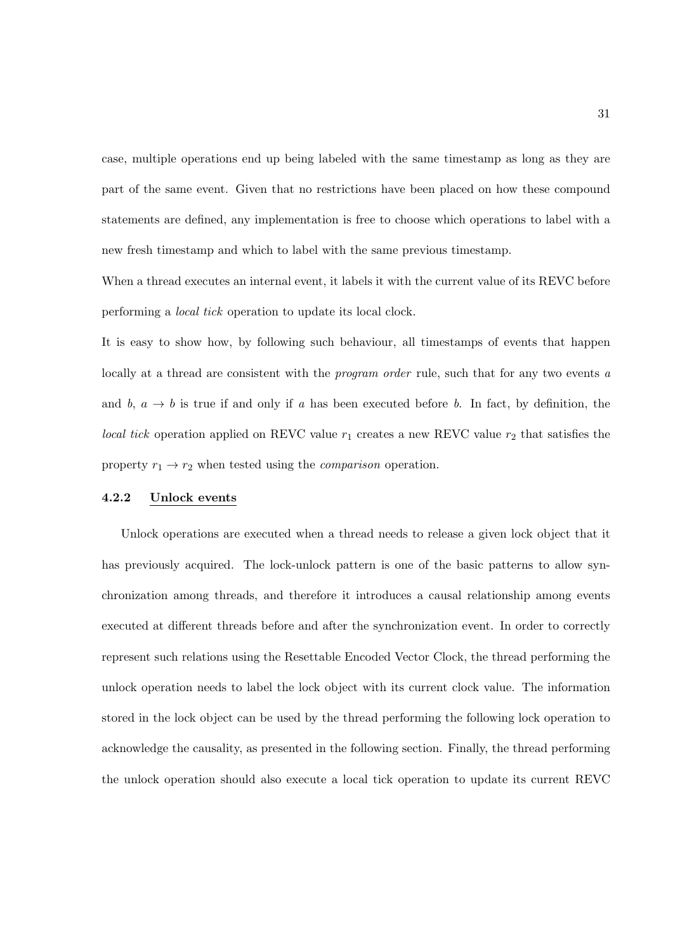case, multiple operations end up being labeled with the same timestamp as long as they are part of the same event. Given that no restrictions have been placed on how these compound statements are defined, any implementation is free to choose which operations to label with a new fresh timestamp and which to label with the same previous timestamp.

When a thread executes an internal event, it labels it with the current value of its REVC before performing a local tick operation to update its local clock.

It is easy to show how, by following such behaviour, all timestamps of events that happen locally at a thread are consistent with the *program order* rule, such that for any two events a and b,  $a \rightarrow b$  is true if and only if a has been executed before b. In fact, by definition, the *local tick* operation applied on REVC value  $r_1$  creates a new REVC value  $r_2$  that satisfies the property  $r_1 \rightarrow r_2$  when tested using the *comparison* operation.

#### 4.2.2 Unlock events

Unlock operations are executed when a thread needs to release a given lock object that it has previously acquired. The lock-unlock pattern is one of the basic patterns to allow synchronization among threads, and therefore it introduces a causal relationship among events executed at different threads before and after the synchronization event. In order to correctly represent such relations using the Resettable Encoded Vector Clock, the thread performing the unlock operation needs to label the lock object with its current clock value. The information stored in the lock object can be used by the thread performing the following lock operation to acknowledge the causality, as presented in the following section. Finally, the thread performing the unlock operation should also execute a local tick operation to update its current REVC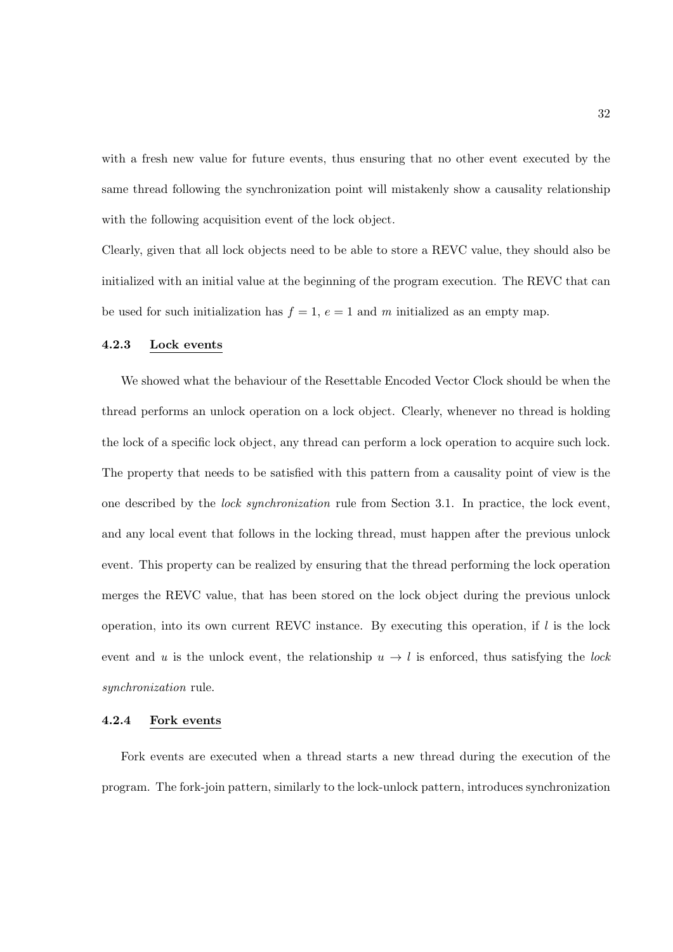with a fresh new value for future events, thus ensuring that no other event executed by the same thread following the synchronization point will mistakenly show a causality relationship with the following acquisition event of the lock object.

Clearly, given that all lock objects need to be able to store a REVC value, they should also be initialized with an initial value at the beginning of the program execution. The REVC that can be used for such initialization has  $f = 1$ ,  $e = 1$  and m initialized as an empty map.

## 4.2.3 Lock events

We showed what the behaviour of the Resettable Encoded Vector Clock should be when the thread performs an unlock operation on a lock object. Clearly, whenever no thread is holding the lock of a specific lock object, any thread can perform a lock operation to acquire such lock. The property that needs to be satisfied with this pattern from a causality point of view is the one described by the lock synchronization rule from Section 3.1. In practice, the lock event, and any local event that follows in the locking thread, must happen after the previous unlock event. This property can be realized by ensuring that the thread performing the lock operation merges the REVC value, that has been stored on the lock object during the previous unlock operation, into its own current REVC instance. By executing this operation, if  $l$  is the lock event and u is the unlock event, the relationship  $u \to l$  is enforced, thus satisfying the lock synchronization rule.

#### 4.2.4 Fork events

Fork events are executed when a thread starts a new thread during the execution of the program. The fork-join pattern, similarly to the lock-unlock pattern, introduces synchronization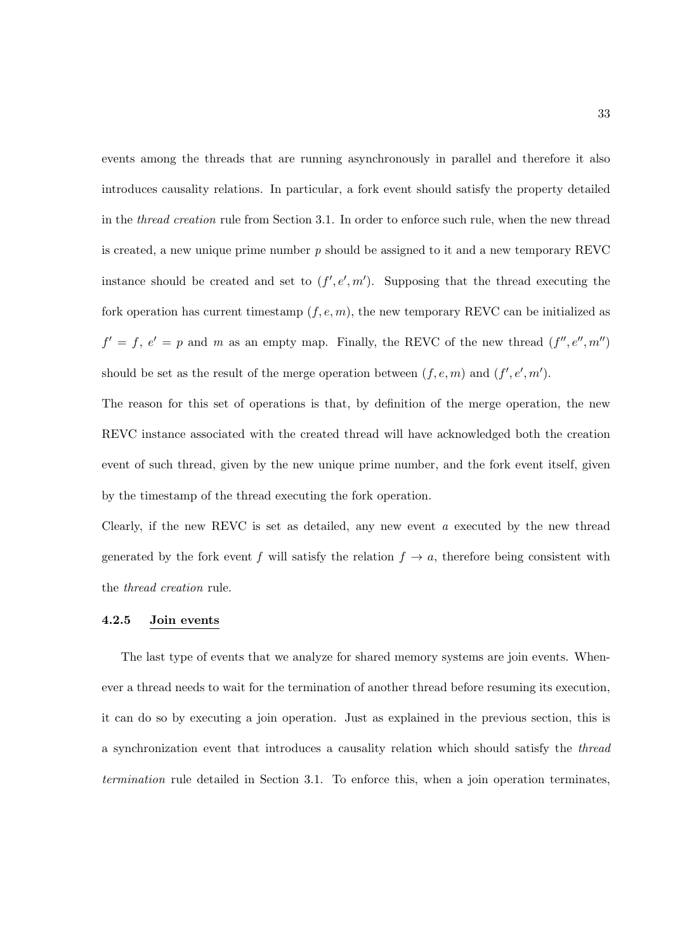events among the threads that are running asynchronously in parallel and therefore it also introduces causality relations. In particular, a fork event should satisfy the property detailed in the thread creation rule from Section 3.1. In order to enforce such rule, when the new thread is created, a new unique prime number  $p$  should be assigned to it and a new temporary REVC instance should be created and set to  $(f', e', m')$ . Supposing that the thread executing the fork operation has current timestamp  $(f, e, m)$ , the new temporary REVC can be initialized as  $f' = f, e' = p$  and m as an empty map. Finally, the REVC of the new thread  $(f'', e'', m'')$ should be set as the result of the merge operation between  $(f, e, m)$  and  $(f', e', m')$ .

The reason for this set of operations is that, by definition of the merge operation, the new REVC instance associated with the created thread will have acknowledged both the creation event of such thread, given by the new unique prime number, and the fork event itself, given by the timestamp of the thread executing the fork operation.

Clearly, if the new REVC is set as detailed, any new event  $a$  executed by the new thread generated by the fork event f will satisfy the relation  $f \to a$ , therefore being consistent with the thread creation rule.

#### 4.2.5 Join events

The last type of events that we analyze for shared memory systems are join events. Whenever a thread needs to wait for the termination of another thread before resuming its execution, it can do so by executing a join operation. Just as explained in the previous section, this is a synchronization event that introduces a causality relation which should satisfy the thread termination rule detailed in Section 3.1. To enforce this, when a join operation terminates,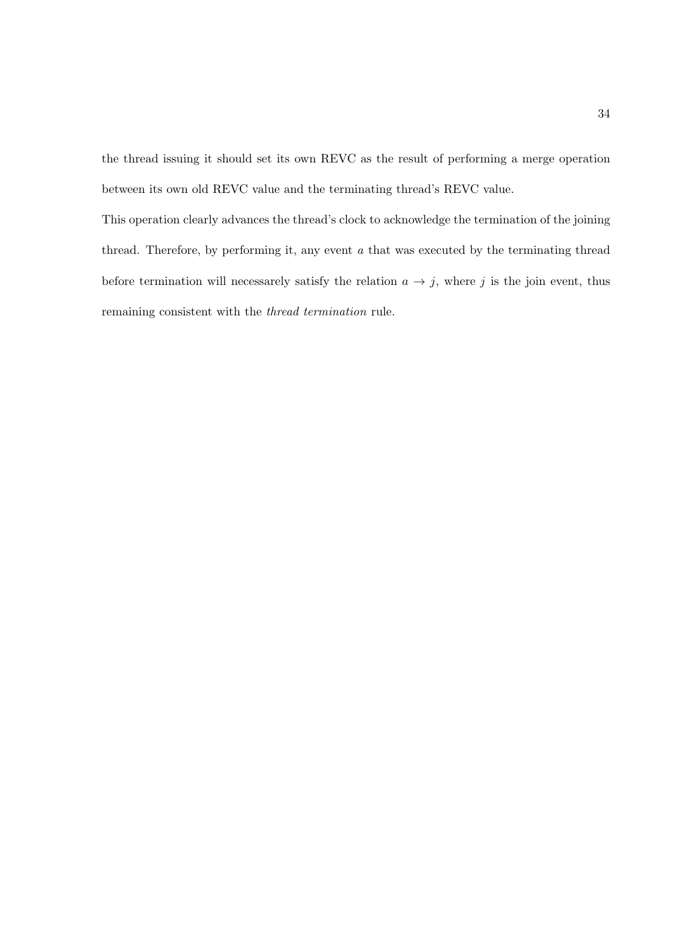the thread issuing it should set its own REVC as the result of performing a merge operation between its own old REVC value and the terminating thread's REVC value.

This operation clearly advances the thread's clock to acknowledge the termination of the joining thread. Therefore, by performing it, any event  $a$  that was executed by the terminating thread before termination will necessarely satisfy the relation  $a \to j$ , where j is the join event, thus remaining consistent with the thread termination rule.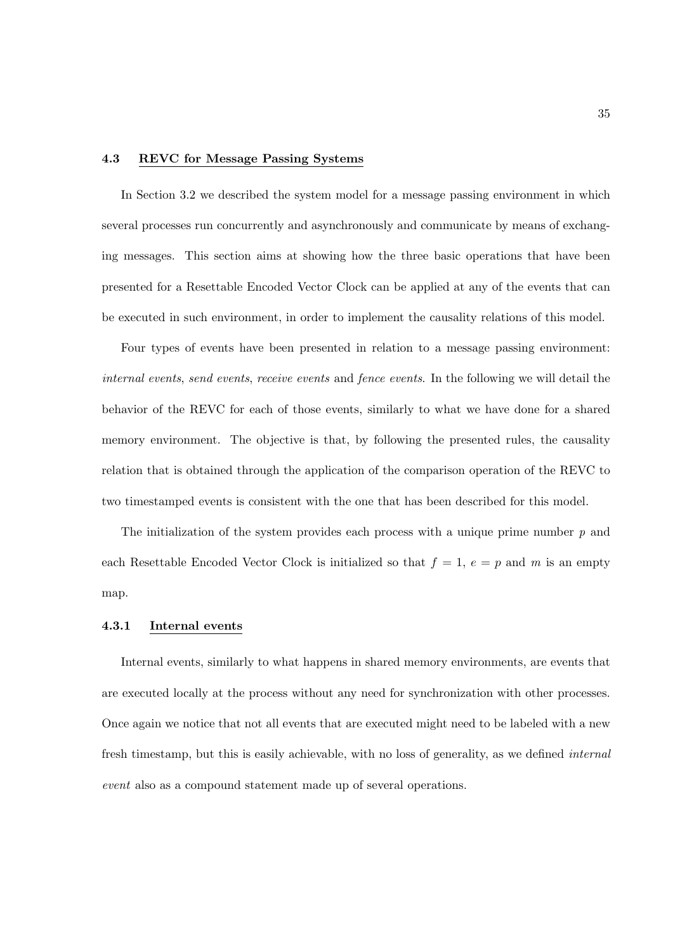#### 4.3 REVC for Message Passing Systems

In Section 3.2 we described the system model for a message passing environment in which several processes run concurrently and asynchronously and communicate by means of exchanging messages. This section aims at showing how the three basic operations that have been presented for a Resettable Encoded Vector Clock can be applied at any of the events that can be executed in such environment, in order to implement the causality relations of this model.

Four types of events have been presented in relation to a message passing environment: internal events, send events, receive events and fence events. In the following we will detail the behavior of the REVC for each of those events, similarly to what we have done for a shared memory environment. The objective is that, by following the presented rules, the causality relation that is obtained through the application of the comparison operation of the REVC to two timestamped events is consistent with the one that has been described for this model.

The initialization of the system provides each process with a unique prime number  $p$  and each Resettable Encoded Vector Clock is initialized so that  $f = 1, e = p$  and m is an empty map.

#### 4.3.1 Internal events

Internal events, similarly to what happens in shared memory environments, are events that are executed locally at the process without any need for synchronization with other processes. Once again we notice that not all events that are executed might need to be labeled with a new fresh timestamp, but this is easily achievable, with no loss of generality, as we defined internal event also as a compound statement made up of several operations.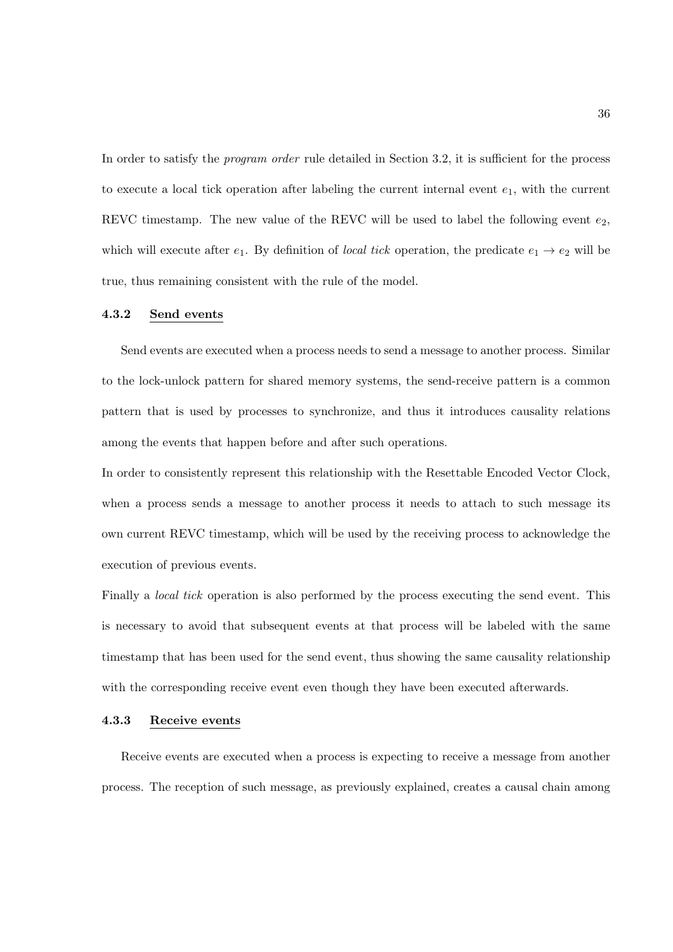In order to satisfy the *program order* rule detailed in Section 3.2, it is sufficient for the process to execute a local tick operation after labeling the current internal event  $e_1$ , with the current REVC timestamp. The new value of the REVC will be used to label the following event  $e_2$ , which will execute after  $e_1$ . By definition of *local tick* operation, the predicate  $e_1 \rightarrow e_2$  will be true, thus remaining consistent with the rule of the model.

## 4.3.2 Send events

Send events are executed when a process needs to send a message to another process. Similar to the lock-unlock pattern for shared memory systems, the send-receive pattern is a common pattern that is used by processes to synchronize, and thus it introduces causality relations among the events that happen before and after such operations.

In order to consistently represent this relationship with the Resettable Encoded Vector Clock, when a process sends a message to another process it needs to attach to such message its own current REVC timestamp, which will be used by the receiving process to acknowledge the execution of previous events.

Finally a *local tick* operation is also performed by the process executing the send event. This is necessary to avoid that subsequent events at that process will be labeled with the same timestamp that has been used for the send event, thus showing the same causality relationship with the corresponding receive event even though they have been executed afterwards.

#### 4.3.3 Receive events

Receive events are executed when a process is expecting to receive a message from another process. The reception of such message, as previously explained, creates a causal chain among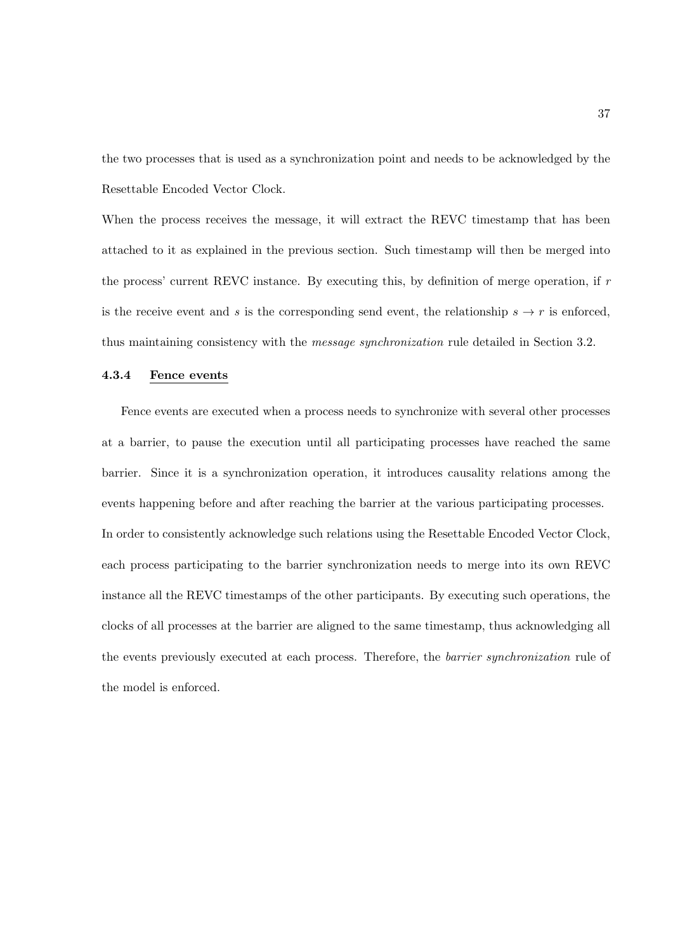the two processes that is used as a synchronization point and needs to be acknowledged by the Resettable Encoded Vector Clock.

When the process receives the message, it will extract the REVC timestamp that has been attached to it as explained in the previous section. Such timestamp will then be merged into the process' current REVC instance. By executing this, by definition of merge operation, if  $r$ is the receive event and s is the corresponding send event, the relationship  $s \to r$  is enforced, thus maintaining consistency with the message synchronization rule detailed in Section 3.2.

## 4.3.4 Fence events

Fence events are executed when a process needs to synchronize with several other processes at a barrier, to pause the execution until all participating processes have reached the same barrier. Since it is a synchronization operation, it introduces causality relations among the events happening before and after reaching the barrier at the various participating processes. In order to consistently acknowledge such relations using the Resettable Encoded Vector Clock, each process participating to the barrier synchronization needs to merge into its own REVC instance all the REVC timestamps of the other participants. By executing such operations, the clocks of all processes at the barrier are aligned to the same timestamp, thus acknowledging all the events previously executed at each process. Therefore, the barrier synchronization rule of the model is enforced.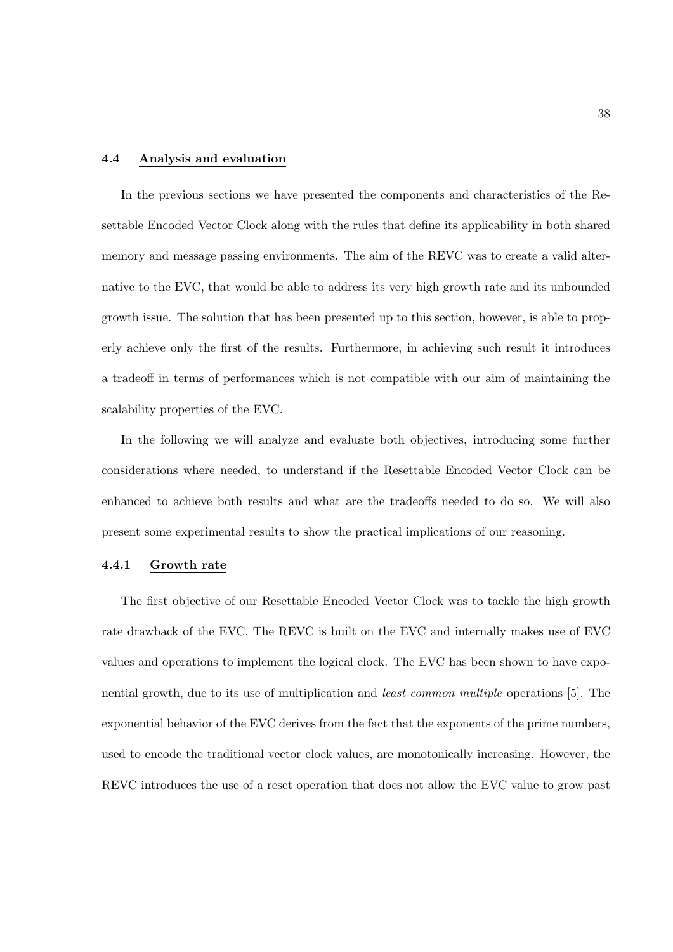#### 4.4 Analysis and evaluation

In the previous sections we have presented the components and characteristics of the Resettable Encoded Vector Clock along with the rules that define its applicability in both shared memory and message passing environments. The aim of the REVC was to create a valid alternative to the EVC, that would be able to address its very high growth rate and its unbounded growth issue. The solution that has been presented up to this section, however, is able to properly achieve only the first of the results. Furthermore, in achieving such result it introduces a tradeoff in terms of performances which is not compatible with our aim of maintaining the scalability properties of the EVC.

In the following we will analyze and evaluate both objectives, introducing some further considerations where needed, to understand if the Resettable Encoded Vector Clock can be enhanced to achieve both results and what are the tradeoffs needed to do so. We will also present some experimental results to show the practical implications of our reasoning.

## 4.4.1 Growth rate

The first objective of our Resettable Encoded Vector Clock was to tackle the high growth rate drawback of the EVC. The REVC is built on the EVC and internally makes use of EVC values and operations to implement the logical clock. The EVC has been shown to have exponential growth, due to its use of multiplication and least common multiple operations [5]. The exponential behavior of the EVC derives from the fact that the exponents of the prime numbers, used to encode the traditional vector clock values, are monotonically increasing. However, the REVC introduces the use of a reset operation that does not allow the EVC value to grow past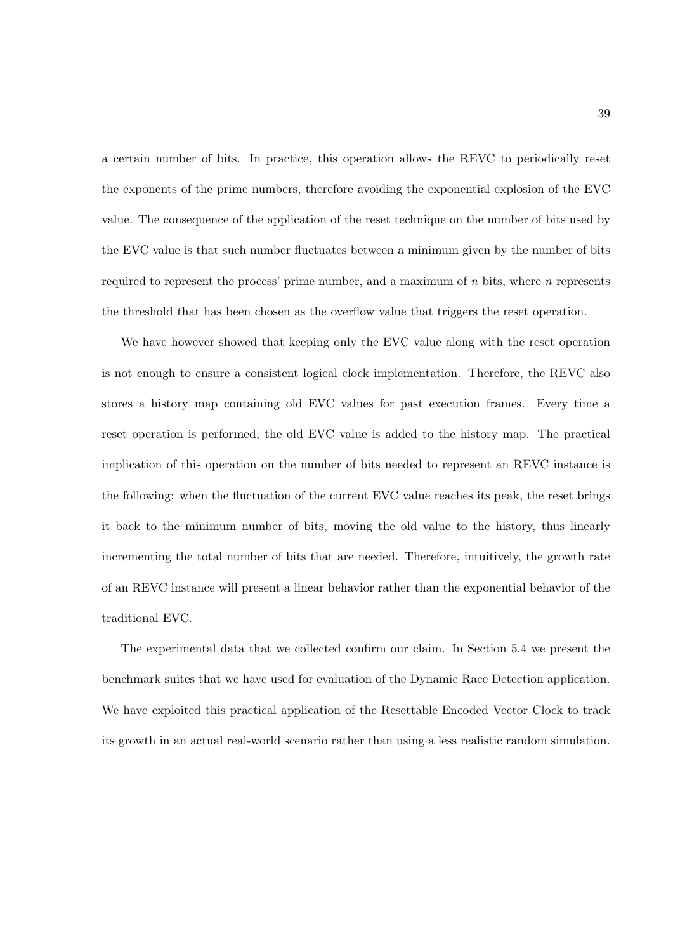a certain number of bits. In practice, this operation allows the REVC to periodically reset the exponents of the prime numbers, therefore avoiding the exponential explosion of the EVC value. The consequence of the application of the reset technique on the number of bits used by the EVC value is that such number fluctuates between a minimum given by the number of bits required to represent the process' prime number, and a maximum of  $n$  bits, where  $n$  represents the threshold that has been chosen as the overflow value that triggers the reset operation.

We have however showed that keeping only the EVC value along with the reset operation is not enough to ensure a consistent logical clock implementation. Therefore, the REVC also stores a history map containing old EVC values for past execution frames. Every time a reset operation is performed, the old EVC value is added to the history map. The practical implication of this operation on the number of bits needed to represent an REVC instance is the following: when the fluctuation of the current EVC value reaches its peak, the reset brings it back to the minimum number of bits, moving the old value to the history, thus linearly incrementing the total number of bits that are needed. Therefore, intuitively, the growth rate of an REVC instance will present a linear behavior rather than the exponential behavior of the traditional EVC.

The experimental data that we collected confirm our claim. In Section 5.4 we present the benchmark suites that we have used for evaluation of the Dynamic Race Detection application. We have exploited this practical application of the Resettable Encoded Vector Clock to track its growth in an actual real-world scenario rather than using a less realistic random simulation.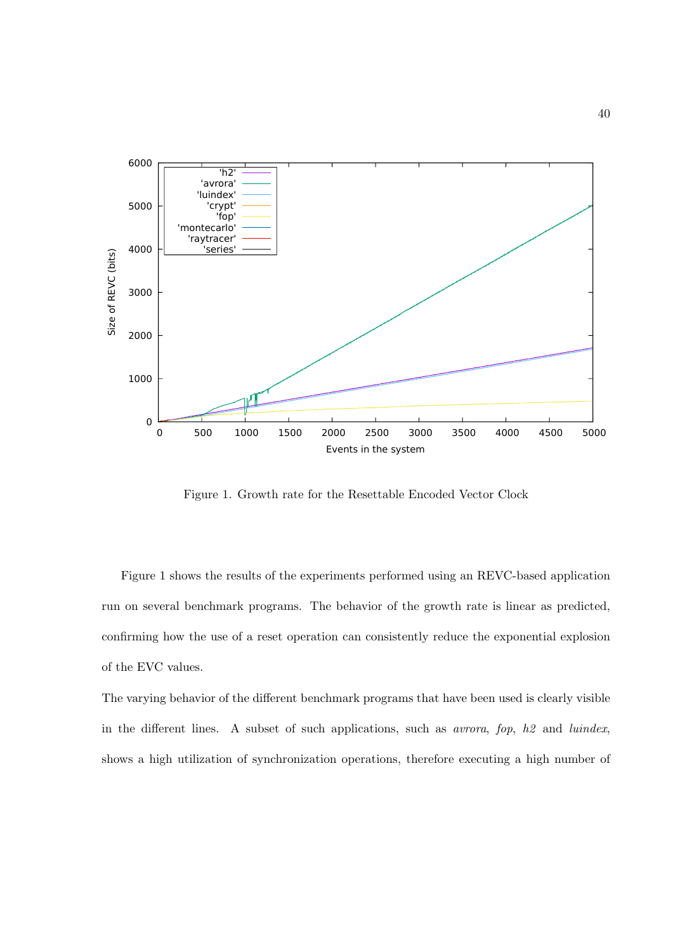

Figure 1. Growth rate for the Resettable Encoded Vector Clock

Figure 1 shows the results of the experiments performed using an REVC-based application run on several benchmark programs. The behavior of the growth rate is linear as predicted, confirming how the use of a reset operation can consistently reduce the exponential explosion of the EVC values.

The varying behavior of the different benchmark programs that have been used is clearly visible in the different lines. A subset of such applications, such as *avrora*, fop,  $h\mathcal{Q}$  and *luindex*, shows a high utilization of synchronization operations, therefore executing a high number of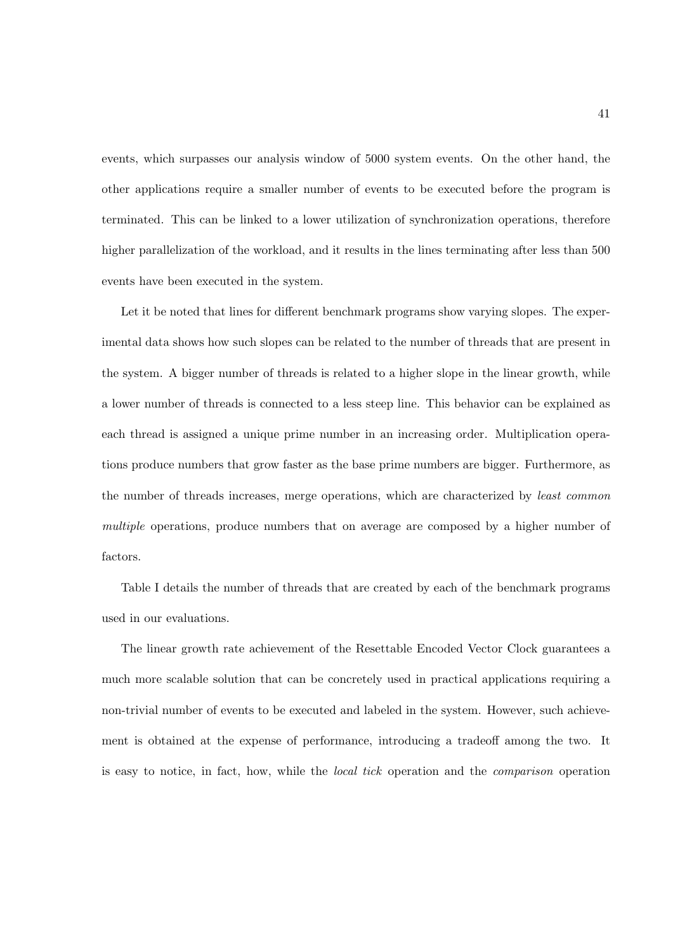events, which surpasses our analysis window of 5000 system events. On the other hand, the other applications require a smaller number of events to be executed before the program is terminated. This can be linked to a lower utilization of synchronization operations, therefore higher parallelization of the workload, and it results in the lines terminating after less than 500 events have been executed in the system.

Let it be noted that lines for different benchmark programs show varying slopes. The experimental data shows how such slopes can be related to the number of threads that are present in the system. A bigger number of threads is related to a higher slope in the linear growth, while a lower number of threads is connected to a less steep line. This behavior can be explained as each thread is assigned a unique prime number in an increasing order. Multiplication operations produce numbers that grow faster as the base prime numbers are bigger. Furthermore, as the number of threads increases, merge operations, which are characterized by least common multiple operations, produce numbers that on average are composed by a higher number of factors.

Table I details the number of threads that are created by each of the benchmark programs used in our evaluations.

The linear growth rate achievement of the Resettable Encoded Vector Clock guarantees a much more scalable solution that can be concretely used in practical applications requiring a non-trivial number of events to be executed and labeled in the system. However, such achievement is obtained at the expense of performance, introducing a tradeoff among the two. It is easy to notice, in fact, how, while the local tick operation and the comparison operation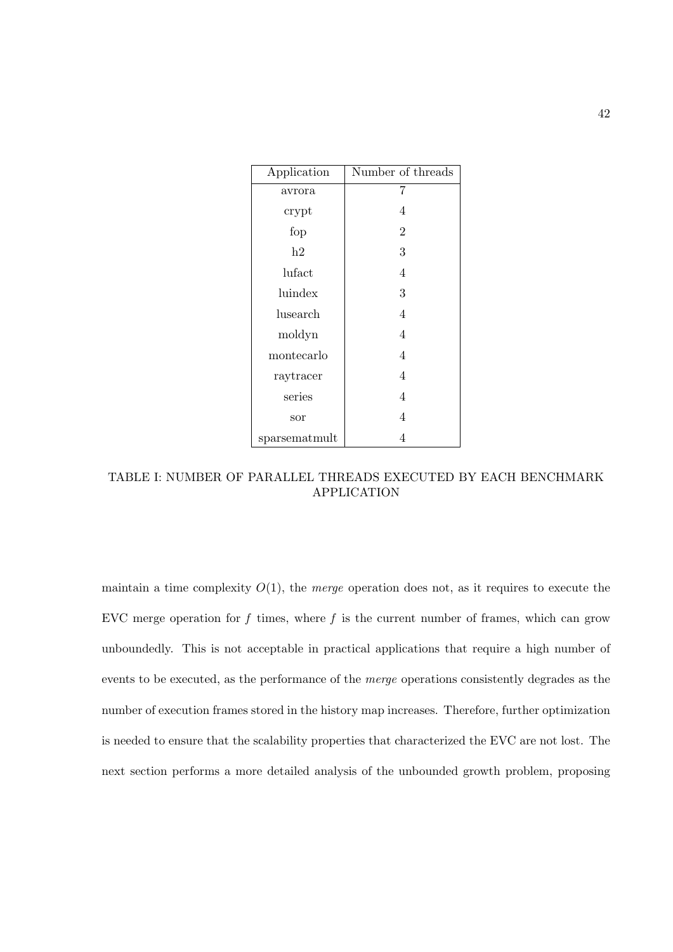| Application   | Number of threads |
|---------------|-------------------|
| avrora        | 7                 |
| crypt         | 4                 |
| fop           | $\overline{2}$    |
| h2            | 3                 |
| lufact        | 4                 |
| luindex       | 3                 |
| lusearch      | 4                 |
| moldyn        | 4                 |
| montecarlo    | 4                 |
| raytracer     | 4                 |
| series        | 4                 |
| sor           | 4                 |
| sparsematmult | 4                 |

TABLE I: NUMBER OF PARALLEL THREADS EXECUTED BY EACH BENCHMARK APPLICATION

maintain a time complexity  $O(1)$ , the *merge* operation does not, as it requires to execute the EVC merge operation for  $f$  times, where  $f$  is the current number of frames, which can grow unboundedly. This is not acceptable in practical applications that require a high number of events to be executed, as the performance of the merge operations consistently degrades as the number of execution frames stored in the history map increases. Therefore, further optimization is needed to ensure that the scalability properties that characterized the EVC are not lost. The next section performs a more detailed analysis of the unbounded growth problem, proposing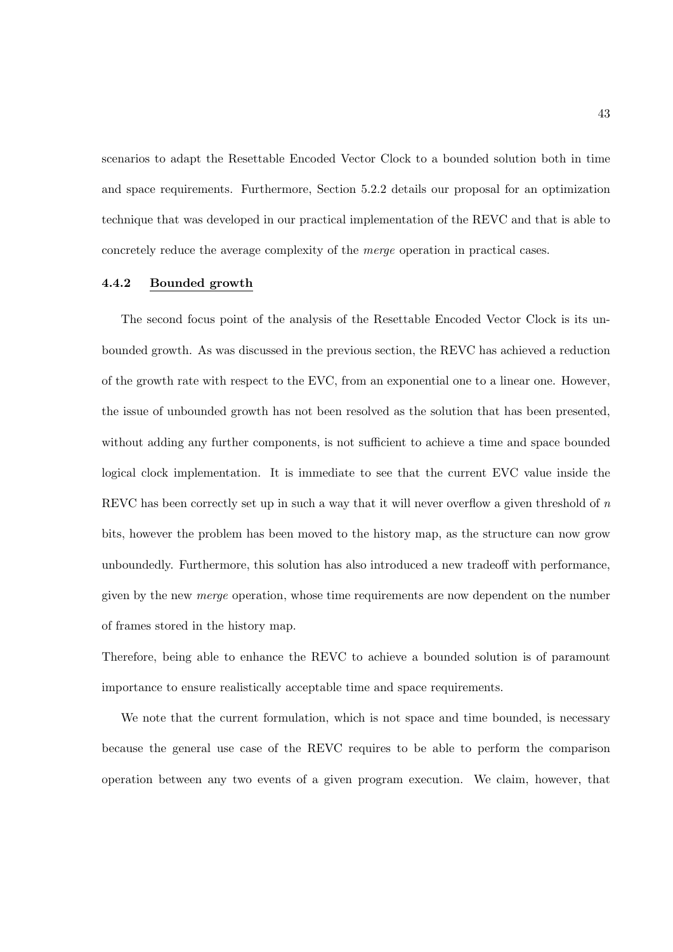scenarios to adapt the Resettable Encoded Vector Clock to a bounded solution both in time and space requirements. Furthermore, Section 5.2.2 details our proposal for an optimization technique that was developed in our practical implementation of the REVC and that is able to concretely reduce the average complexity of the merge operation in practical cases.

## 4.4.2 Bounded growth

The second focus point of the analysis of the Resettable Encoded Vector Clock is its unbounded growth. As was discussed in the previous section, the REVC has achieved a reduction of the growth rate with respect to the EVC, from an exponential one to a linear one. However, the issue of unbounded growth has not been resolved as the solution that has been presented, without adding any further components, is not sufficient to achieve a time and space bounded logical clock implementation. It is immediate to see that the current EVC value inside the REVC has been correctly set up in such a way that it will never overflow a given threshold of  $n$ bits, however the problem has been moved to the history map, as the structure can now grow unboundedly. Furthermore, this solution has also introduced a new tradeoff with performance, given by the new merge operation, whose time requirements are now dependent on the number of frames stored in the history map.

Therefore, being able to enhance the REVC to achieve a bounded solution is of paramount importance to ensure realistically acceptable time and space requirements.

We note that the current formulation, which is not space and time bounded, is necessary because the general use case of the REVC requires to be able to perform the comparison operation between any two events of a given program execution. We claim, however, that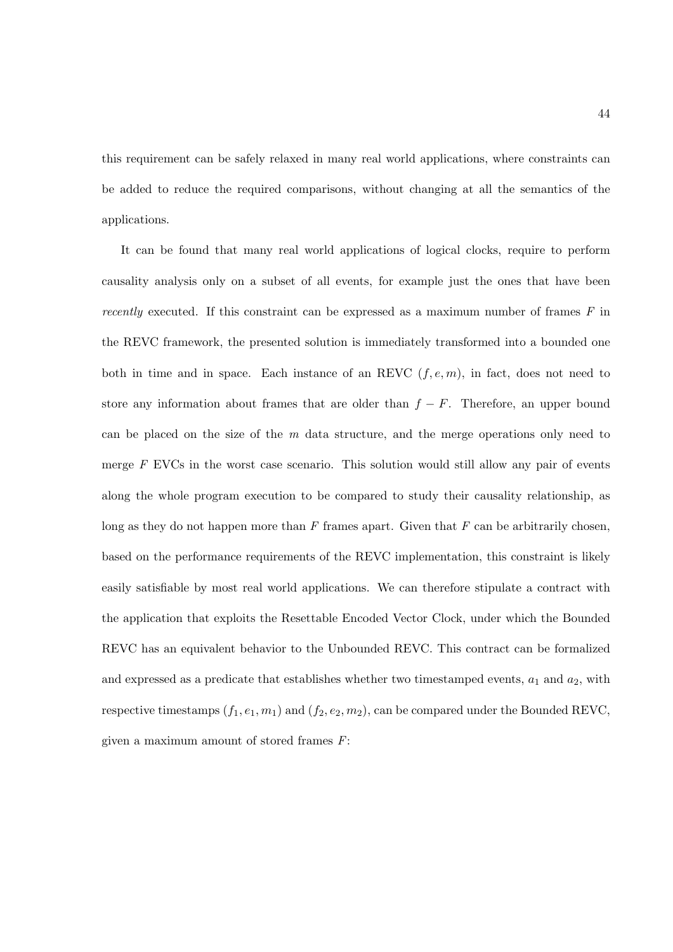this requirement can be safely relaxed in many real world applications, where constraints can be added to reduce the required comparisons, without changing at all the semantics of the applications.

It can be found that many real world applications of logical clocks, require to perform causality analysis only on a subset of all events, for example just the ones that have been recently executed. If this constraint can be expressed as a maximum number of frames  $F$  in the REVC framework, the presented solution is immediately transformed into a bounded one both in time and in space. Each instance of an REVC  $(f, e, m)$ , in fact, does not need to store any information about frames that are older than  $f - F$ . Therefore, an upper bound can be placed on the size of the  $m$  data structure, and the merge operations only need to merge  $F$  EVCs in the worst case scenario. This solution would still allow any pair of events along the whole program execution to be compared to study their causality relationship, as long as they do not happen more than  $F$  frames apart. Given that  $F$  can be arbitrarily chosen, based on the performance requirements of the REVC implementation, this constraint is likely easily satisfiable by most real world applications. We can therefore stipulate a contract with the application that exploits the Resettable Encoded Vector Clock, under which the Bounded REVC has an equivalent behavior to the Unbounded REVC. This contract can be formalized and expressed as a predicate that establishes whether two timestamped events,  $a_1$  and  $a_2$ , with respective timestamps  $(f_1, e_1, m_1)$  and  $(f_2, e_2, m_2)$ , can be compared under the Bounded REVC, given a maximum amount of stored frames  $F$ :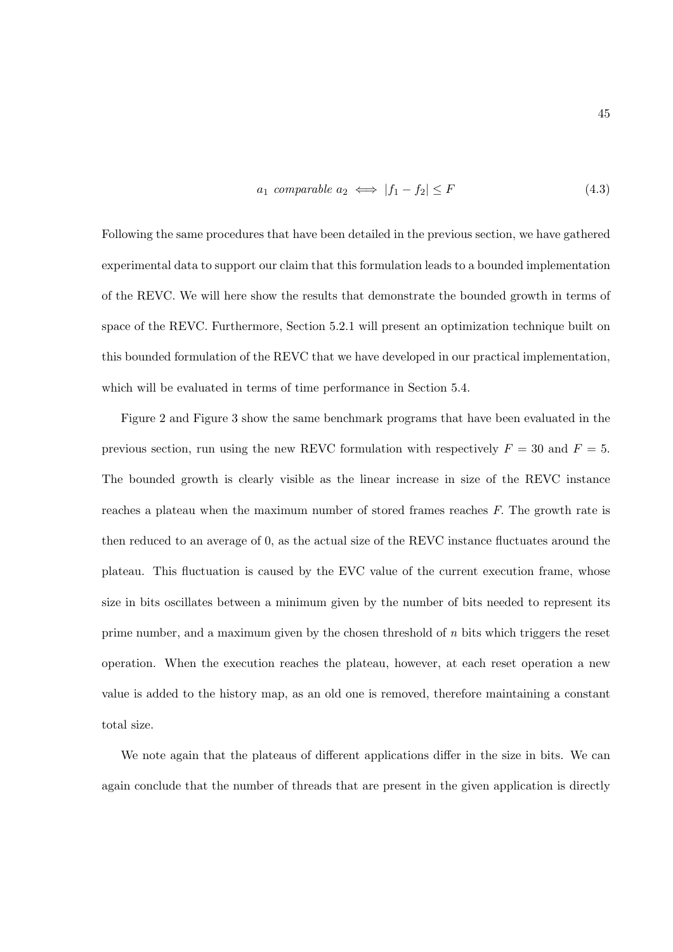$$
a_1 \text{ comparable } a_2 \iff |f_1 - f_2| \le F \tag{4.3}
$$

Following the same procedures that have been detailed in the previous section, we have gathered experimental data to support our claim that this formulation leads to a bounded implementation of the REVC. We will here show the results that demonstrate the bounded growth in terms of space of the REVC. Furthermore, Section 5.2.1 will present an optimization technique built on this bounded formulation of the REVC that we have developed in our practical implementation, which will be evaluated in terms of time performance in Section 5.4.

Figure 2 and Figure 3 show the same benchmark programs that have been evaluated in the previous section, run using the new REVC formulation with respectively  $F = 30$  and  $F = 5$ . The bounded growth is clearly visible as the linear increase in size of the REVC instance reaches a plateau when the maximum number of stored frames reaches F. The growth rate is then reduced to an average of 0, as the actual size of the REVC instance fluctuates around the plateau. This fluctuation is caused by the EVC value of the current execution frame, whose size in bits oscillates between a minimum given by the number of bits needed to represent its prime number, and a maximum given by the chosen threshold of  $n$  bits which triggers the reset operation. When the execution reaches the plateau, however, at each reset operation a new value is added to the history map, as an old one is removed, therefore maintaining a constant total size.

We note again that the plateaus of different applications differ in the size in bits. We can again conclude that the number of threads that are present in the given application is directly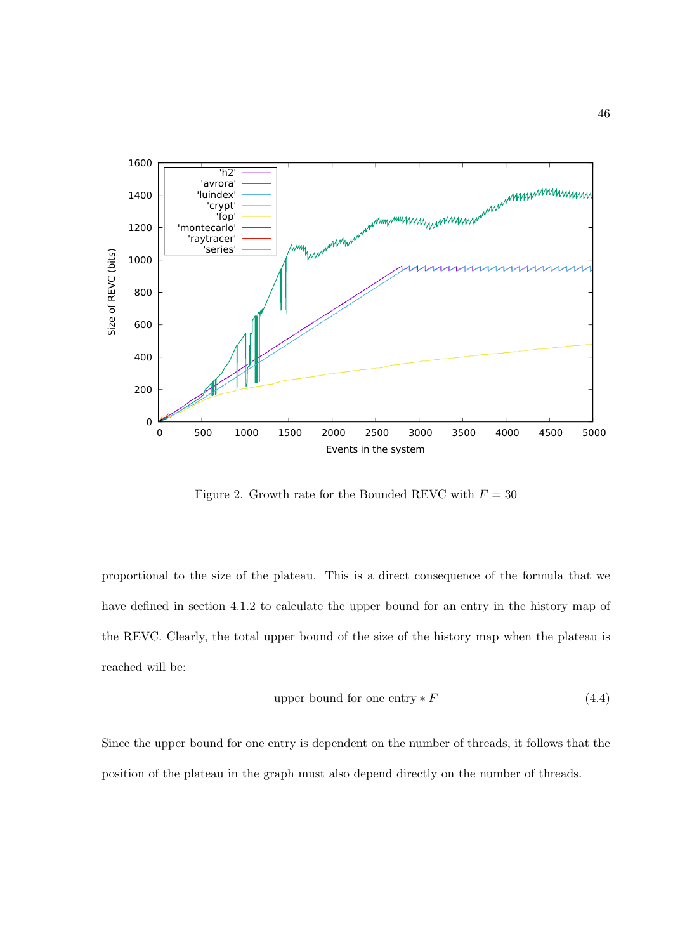

Figure 2. Growth rate for the Bounded REVC with  $F = 30$ 

proportional to the size of the plateau. This is a direct consequence of the formula that we have defined in section 4.1.2 to calculate the upper bound for an entry in the history map of the REVC. Clearly, the total upper bound of the size of the history map when the plateau is reached will be:

upper bound for one entry 
$$
\ast
$$
  $F$   $(4.4)$ 

Since the upper bound for one entry is dependent on the number of threads, it follows that the position of the plateau in the graph must also depend directly on the number of threads.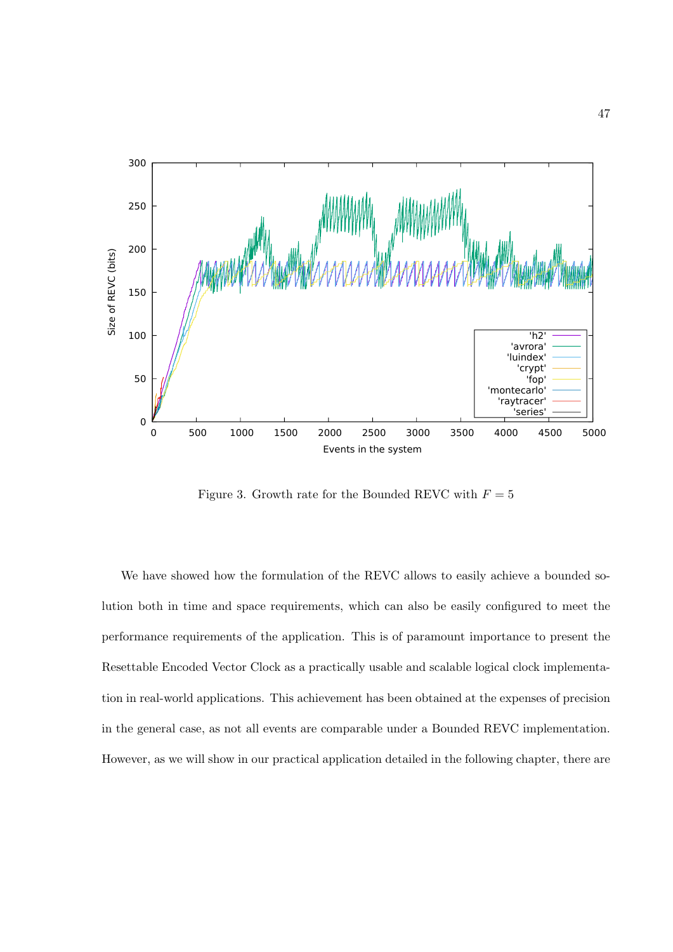

Figure 3. Growth rate for the Bounded REVC with  $F = 5$ 

We have showed how the formulation of the REVC allows to easily achieve a bounded solution both in time and space requirements, which can also be easily configured to meet the performance requirements of the application. This is of paramount importance to present the Resettable Encoded Vector Clock as a practically usable and scalable logical clock implementation in real-world applications. This achievement has been obtained at the expenses of precision in the general case, as not all events are comparable under a Bounded REVC implementation. However, as we will show in our practical application detailed in the following chapter, there are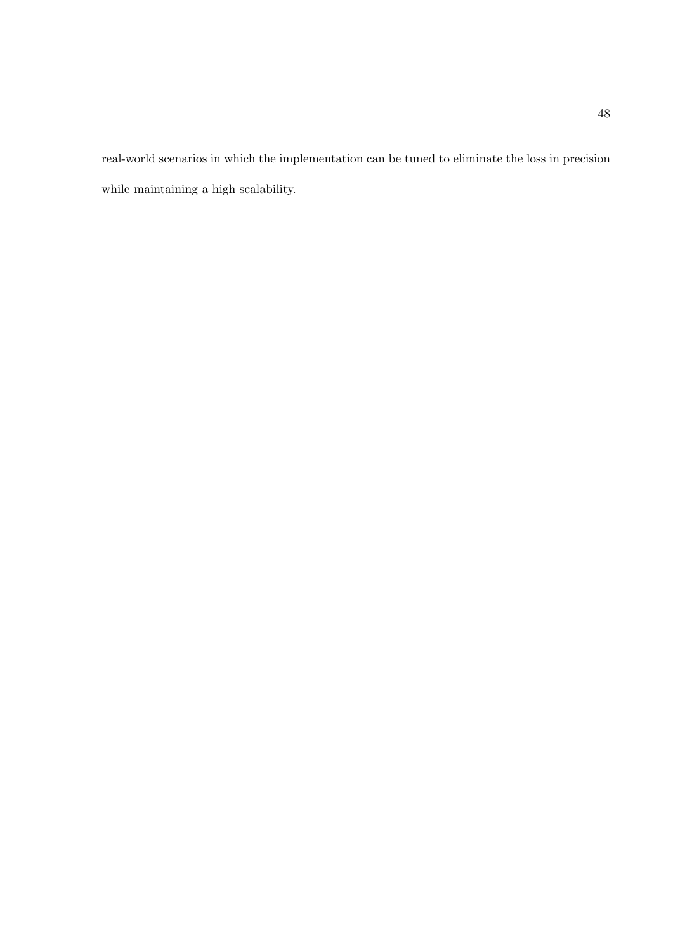real-world scenarios in which the implementation can be tuned to eliminate the loss in precision while maintaining a high scalability.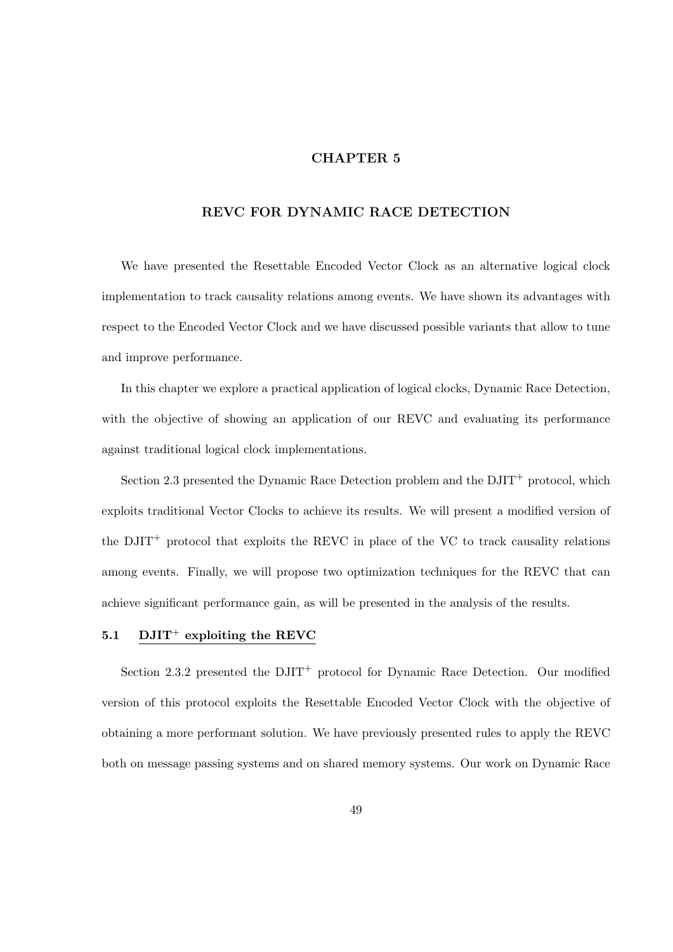# CHAPTER 5

# REVC FOR DYNAMIC RACE DETECTION

We have presented the Resettable Encoded Vector Clock as an alternative logical clock implementation to track causality relations among events. We have shown its advantages with respect to the Encoded Vector Clock and we have discussed possible variants that allow to tune and improve performance.

In this chapter we explore a practical application of logical clocks, Dynamic Race Detection, with the objective of showing an application of our REVC and evaluating its performance against traditional logical clock implementations.

Section 2.3 presented the Dynamic Race Detection problem and the  $\text{DJIT}^+$  protocol, which exploits traditional Vector Clocks to achieve its results. We will present a modified version of the  $DJIT^+$  protocol that exploits the REVC in place of the VC to track causality relations among events. Finally, we will propose two optimization techniques for the REVC that can achieve significant performance gain, as will be presented in the analysis of the results.

# 5.1 DJIT<sup>+</sup> exploiting the REVC

Section 2.3.2 presented the  $DJIT^+$  protocol for Dynamic Race Detection. Our modified version of this protocol exploits the Resettable Encoded Vector Clock with the objective of obtaining a more performant solution. We have previously presented rules to apply the REVC both on message passing systems and on shared memory systems. Our work on Dynamic Race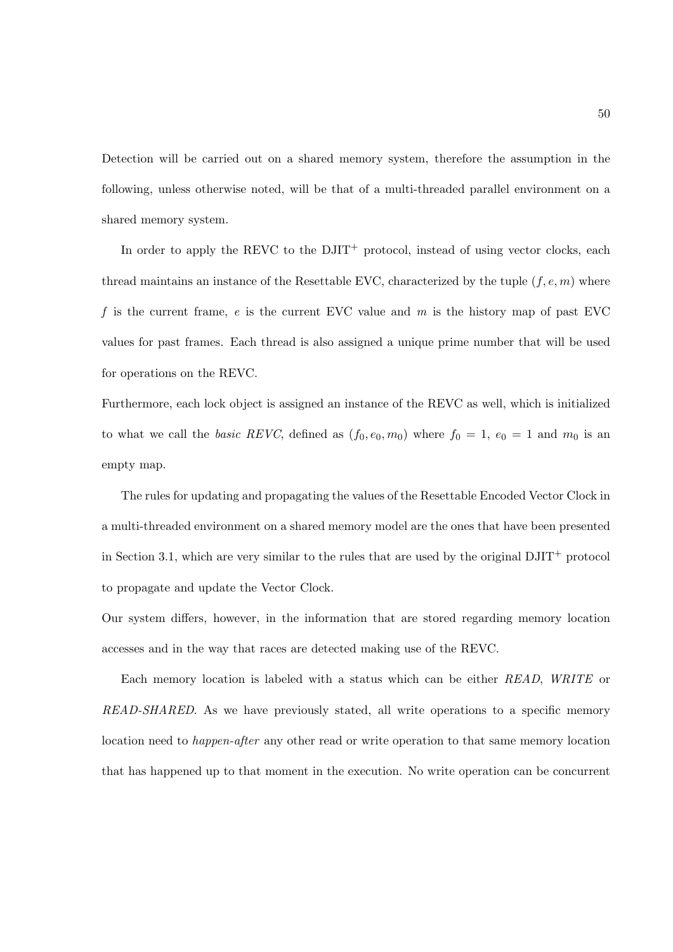Detection will be carried out on a shared memory system, therefore the assumption in the following, unless otherwise noted, will be that of a multi-threaded parallel environment on a shared memory system.

In order to apply the REVC to the  $\text{DJIT}^+$  protocol, instead of using vector clocks, each thread maintains an instance of the Resettable EVC, characterized by the tuple  $(f, e, m)$  where f is the current frame,  $e$  is the current EVC value and  $m$  is the history map of past EVC values for past frames. Each thread is also assigned a unique prime number that will be used for operations on the REVC.

Furthermore, each lock object is assigned an instance of the REVC as well, which is initialized to what we call the basic REVC, defined as  $(f_0, e_0, m_0)$  where  $f_0 = 1$ ,  $e_0 = 1$  and  $m_0$  is an empty map.

The rules for updating and propagating the values of the Resettable Encoded Vector Clock in a multi-threaded environment on a shared memory model are the ones that have been presented in Section 3.1, which are very similar to the rules that are used by the original  $DJIT^+$  protocol to propagate and update the Vector Clock.

Our system differs, however, in the information that are stored regarding memory location accesses and in the way that races are detected making use of the REVC.

Each memory location is labeled with a status which can be either READ, WRITE or READ-SHARED. As we have previously stated, all write operations to a specific memory location need to *happen-after* any other read or write operation to that same memory location that has happened up to that moment in the execution. No write operation can be concurrent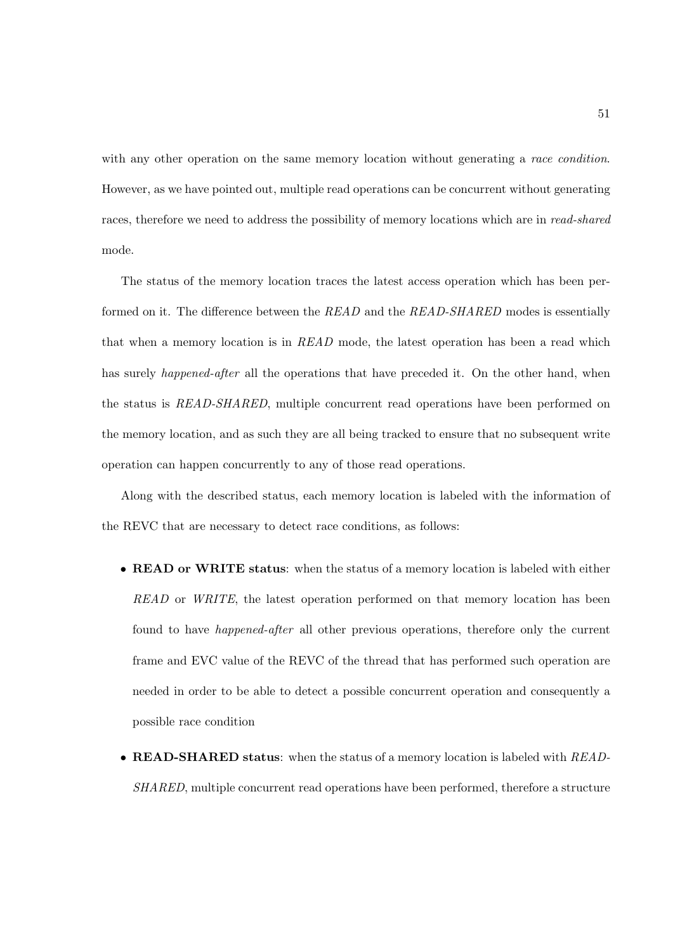with any other operation on the same memory location without generating a race condition. However, as we have pointed out, multiple read operations can be concurrent without generating races, therefore we need to address the possibility of memory locations which are in read-shared mode.

The status of the memory location traces the latest access operation which has been performed on it. The difference between the READ and the READ-SHARED modes is essentially that when a memory location is in READ mode, the latest operation has been a read which has surely *happened-after* all the operations that have preceded it. On the other hand, when the status is READ-SHARED, multiple concurrent read operations have been performed on the memory location, and as such they are all being tracked to ensure that no subsequent write operation can happen concurrently to any of those read operations.

Along with the described status, each memory location is labeled with the information of the REVC that are necessary to detect race conditions, as follows:

- READ or WRITE status: when the status of a memory location is labeled with either READ or WRITE, the latest operation performed on that memory location has been found to have happened-after all other previous operations, therefore only the current frame and EVC value of the REVC of the thread that has performed such operation are needed in order to be able to detect a possible concurrent operation and consequently a possible race condition
- READ-SHARED status: when the status of a memory location is labeled with READ-SHARED, multiple concurrent read operations have been performed, therefore a structure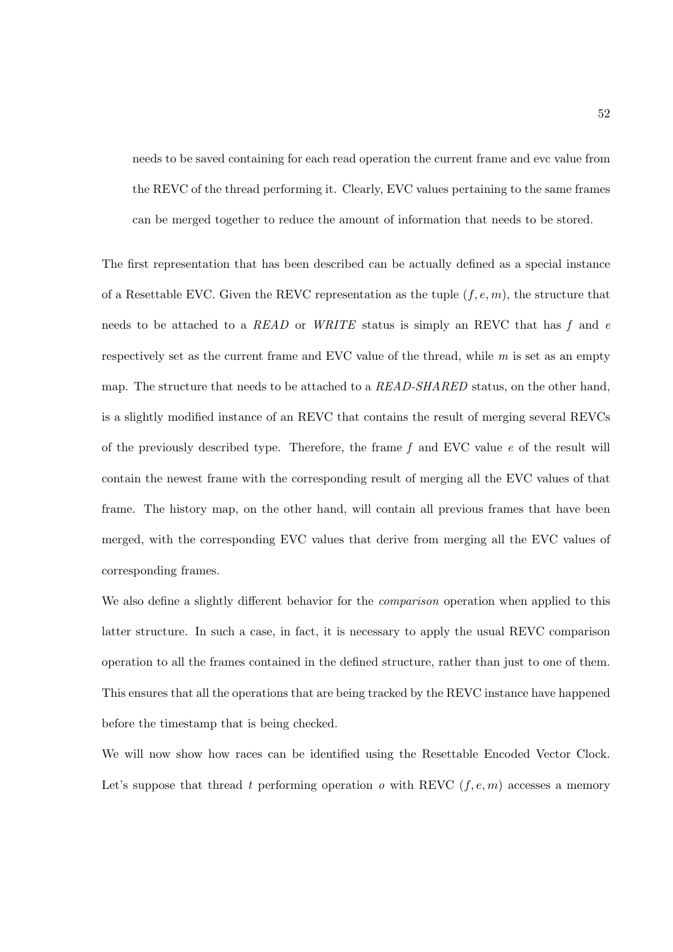needs to be saved containing for each read operation the current frame and evc value from the REVC of the thread performing it. Clearly, EVC values pertaining to the same frames can be merged together to reduce the amount of information that needs to be stored.

The first representation that has been described can be actually defined as a special instance of a Resettable EVC. Given the REVC representation as the tuple  $(f, e, m)$ , the structure that needs to be attached to a READ or WRITE status is simply an REVC that has  $f$  and  $e$ respectively set as the current frame and EVC value of the thread, while m is set as an empty map. The structure that needs to be attached to a READ-SHARED status, on the other hand, is a slightly modified instance of an REVC that contains the result of merging several REVCs of the previously described type. Therefore, the frame  $f$  and EVC value  $e$  of the result will contain the newest frame with the corresponding result of merging all the EVC values of that frame. The history map, on the other hand, will contain all previous frames that have been merged, with the corresponding EVC values that derive from merging all the EVC values of corresponding frames.

We also define a slightly different behavior for the *comparison* operation when applied to this latter structure. In such a case, in fact, it is necessary to apply the usual REVC comparison operation to all the frames contained in the defined structure, rather than just to one of them. This ensures that all the operations that are being tracked by the REVC instance have happened before the timestamp that is being checked.

We will now show how races can be identified using the Resettable Encoded Vector Clock. Let's suppose that thread t performing operation  $o$  with REVC  $(f, e, m)$  accesses a memory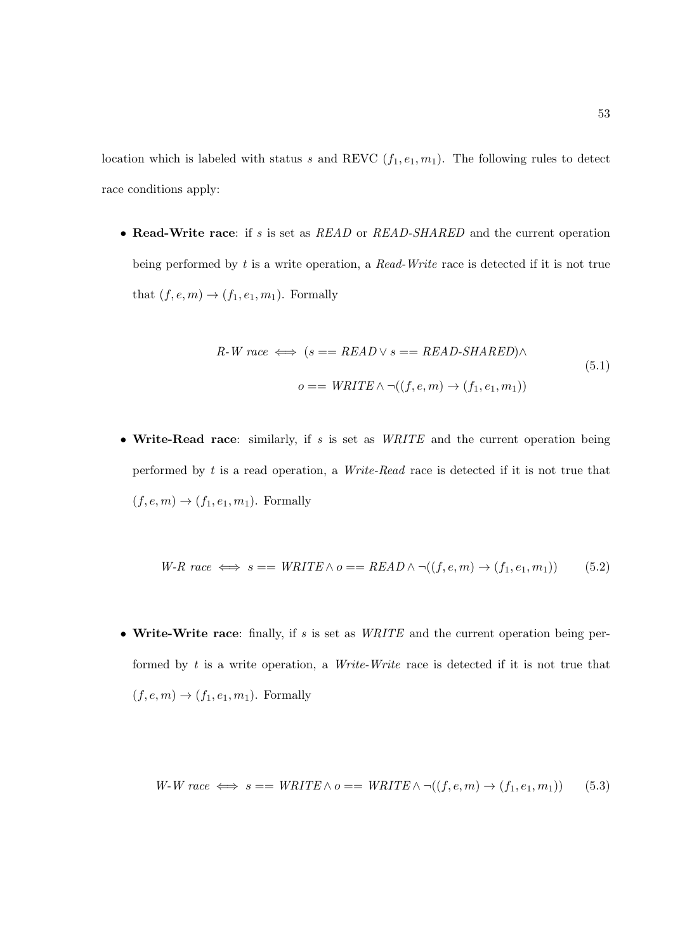location which is labeled with status s and REVC  $(f_1, e_1, m_1)$ . The following rules to detect race conditions apply:

• Read-Write race: if s is set as READ or READ-SHARED and the current operation being performed by t is a write operation, a Read-Write race is detected if it is not true that  $(f, e, m) \rightarrow (f_1, e_1, m_1)$ . Formally

$$
R-W\ race \iff (s == READ \lor s == READ-SHARED) \land o == WRITE \land \neg((f, e, m) \to (f_1, e_1, m_1))
$$
\n
$$
(5.1)
$$

• Write-Read race: similarly, if  $s$  is set as *WRITE* and the current operation being performed by t is a read operation, a Write-Read race is detected if it is not true that  $(f, e, m) \rightarrow (f_1, e_1, m_1)$ . Formally

$$
W-R\ race \iff s == \text{WRITE} \land o == \text{READ} \land \neg((f, e, m) \to (f_1, e_1, m_1))
$$
\n
$$
(5.2)
$$

• Write-Write race: finally, if  $s$  is set as  $WRITE$  and the current operation being performed by  $t$  is a write operation, a *Write-Write* race is detected if it is not true that  $(f, e, m) \rightarrow (f_1, e_1, m_1)$ . Formally

$$
W-W\ race \iff s == \text{WRITE} \land o == \text{WRITE} \land \neg((f, e, m) \to (f_1, e_1, m_1))
$$
 (5.3)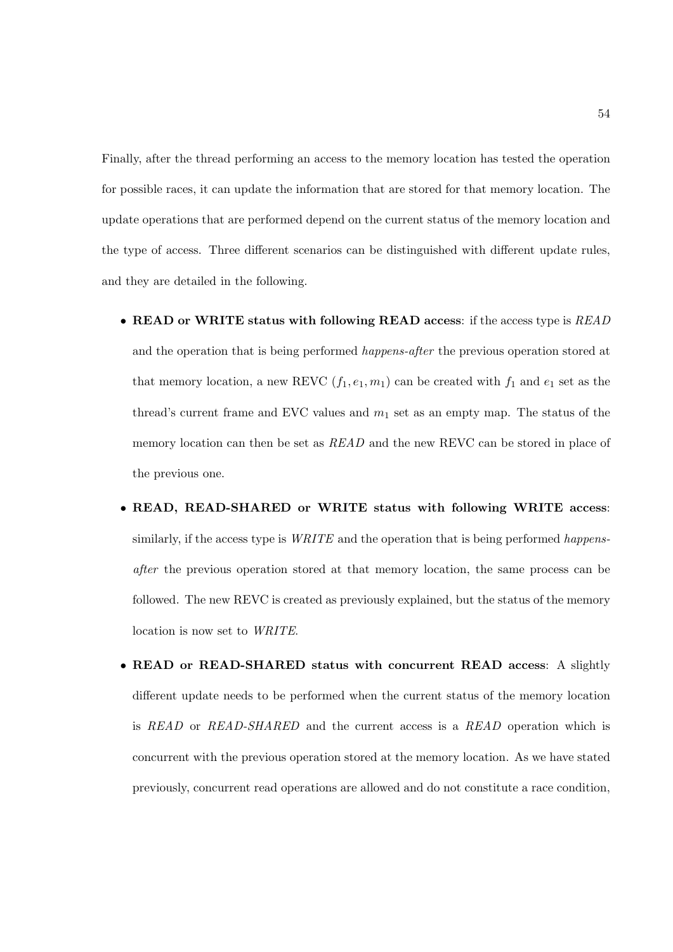Finally, after the thread performing an access to the memory location has tested the operation for possible races, it can update the information that are stored for that memory location. The update operations that are performed depend on the current status of the memory location and the type of access. Three different scenarios can be distinguished with different update rules, and they are detailed in the following.

- READ or WRITE status with following READ access: if the access type is READ and the operation that is being performed happens-after the previous operation stored at that memory location, a new REVC  $(f_1, e_1, m_1)$  can be created with  $f_1$  and  $e_1$  set as the thread's current frame and EVC values and  $m_1$  set as an empty map. The status of the memory location can then be set as  $READ$  and the new REVC can be stored in place of the previous one.
- READ, READ-SHARED or WRITE status with following WRITE access: similarly, if the access type is  $WRITE$  and the operation that is being performed happensafter the previous operation stored at that memory location, the same process can be followed. The new REVC is created as previously explained, but the status of the memory location is now set to WRITE.
- READ or READ-SHARED status with concurrent READ access: A slightly different update needs to be performed when the current status of the memory location is READ or READ-SHARED and the current access is a READ operation which is concurrent with the previous operation stored at the memory location. As we have stated previously, concurrent read operations are allowed and do not constitute a race condition,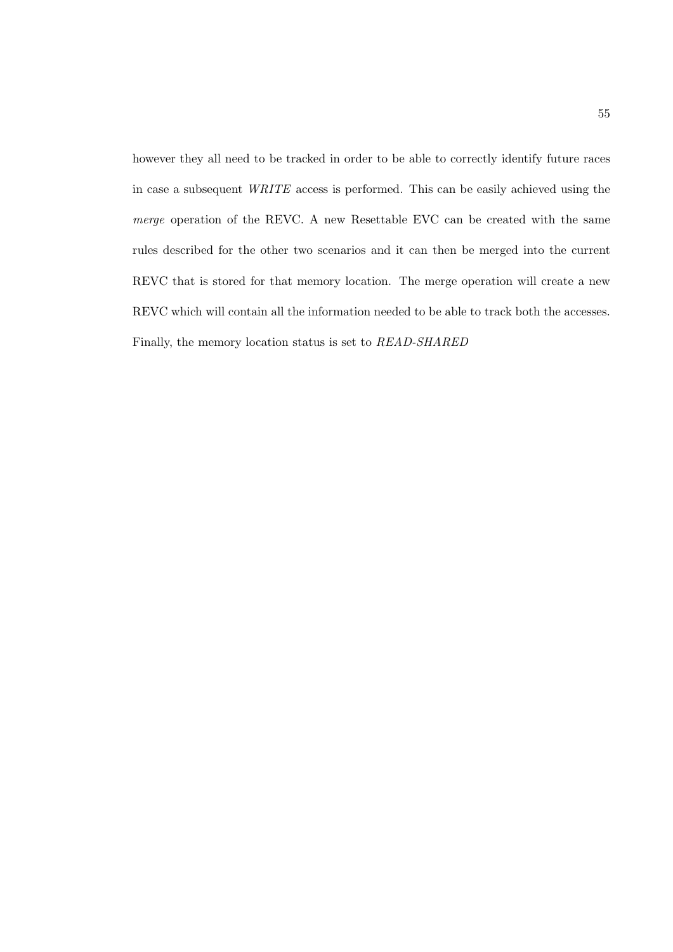however they all need to be tracked in order to be able to correctly identify future races in case a subsequent WRITE access is performed. This can be easily achieved using the merge operation of the REVC. A new Resettable EVC can be created with the same rules described for the other two scenarios and it can then be merged into the current REVC that is stored for that memory location. The merge operation will create a new REVC which will contain all the information needed to be able to track both the accesses. Finally, the memory location status is set to READ-SHARED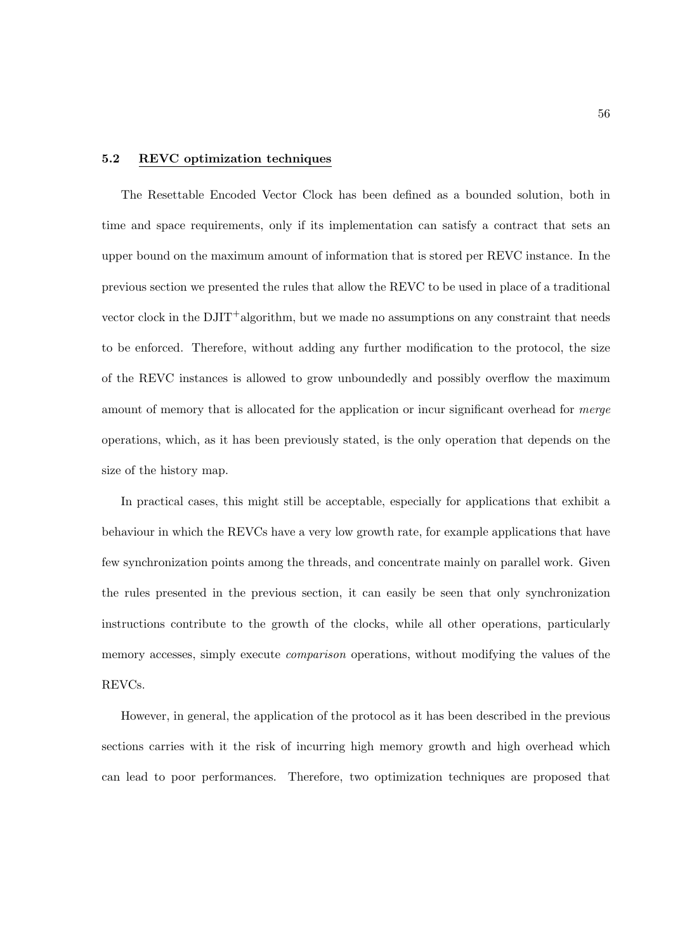# 5.2 REVC optimization techniques

The Resettable Encoded Vector Clock has been defined as a bounded solution, both in time and space requirements, only if its implementation can satisfy a contract that sets an upper bound on the maximum amount of information that is stored per REVC instance. In the previous section we presented the rules that allow the REVC to be used in place of a traditional vector clock in the DJIT+algorithm, but we made no assumptions on any constraint that needs to be enforced. Therefore, without adding any further modification to the protocol, the size of the REVC instances is allowed to grow unboundedly and possibly overflow the maximum amount of memory that is allocated for the application or incur significant overhead for *merge* operations, which, as it has been previously stated, is the only operation that depends on the size of the history map.

In practical cases, this might still be acceptable, especially for applications that exhibit a behaviour in which the REVCs have a very low growth rate, for example applications that have few synchronization points among the threads, and concentrate mainly on parallel work. Given the rules presented in the previous section, it can easily be seen that only synchronization instructions contribute to the growth of the clocks, while all other operations, particularly memory accesses, simply execute comparison operations, without modifying the values of the REVCs.

However, in general, the application of the protocol as it has been described in the previous sections carries with it the risk of incurring high memory growth and high overhead which can lead to poor performances. Therefore, two optimization techniques are proposed that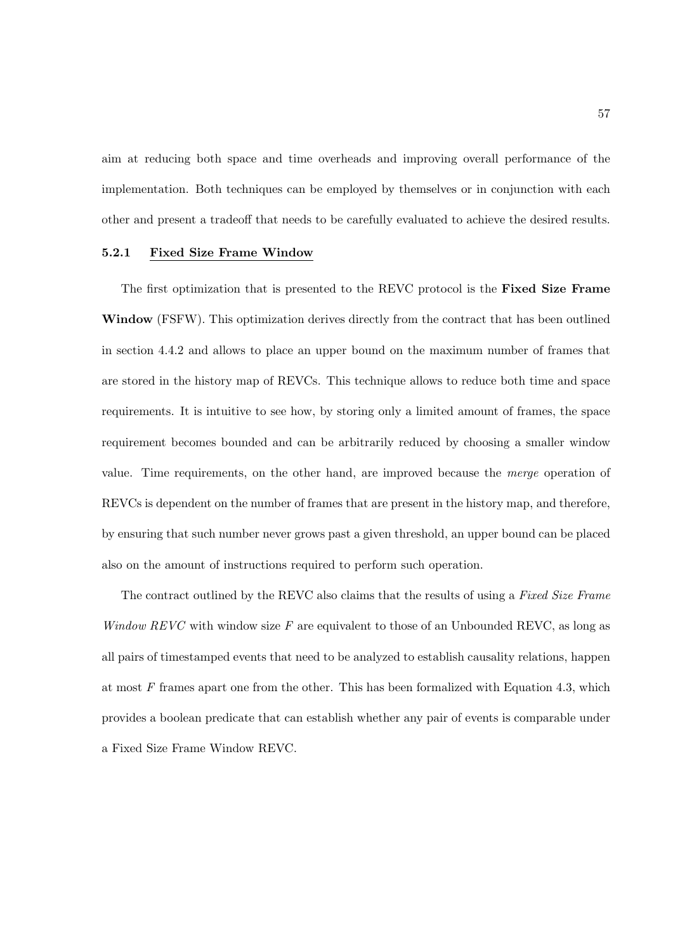aim at reducing both space and time overheads and improving overall performance of the implementation. Both techniques can be employed by themselves or in conjunction with each other and present a tradeoff that needs to be carefully evaluated to achieve the desired results.

## 5.2.1 Fixed Size Frame Window

The first optimization that is presented to the REVC protocol is the Fixed Size Frame Window (FSFW). This optimization derives directly from the contract that has been outlined in section 4.4.2 and allows to place an upper bound on the maximum number of frames that are stored in the history map of REVCs. This technique allows to reduce both time and space requirements. It is intuitive to see how, by storing only a limited amount of frames, the space requirement becomes bounded and can be arbitrarily reduced by choosing a smaller window value. Time requirements, on the other hand, are improved because the merge operation of REVCs is dependent on the number of frames that are present in the history map, and therefore, by ensuring that such number never grows past a given threshold, an upper bound can be placed also on the amount of instructions required to perform such operation.

The contract outlined by the REVC also claims that the results of using a Fixed Size Frame Window REVC with window size  $F$  are equivalent to those of an Unbounded REVC, as long as all pairs of timestamped events that need to be analyzed to establish causality relations, happen at most  $F$  frames apart one from the other. This has been formalized with Equation 4.3, which provides a boolean predicate that can establish whether any pair of events is comparable under a Fixed Size Frame Window REVC.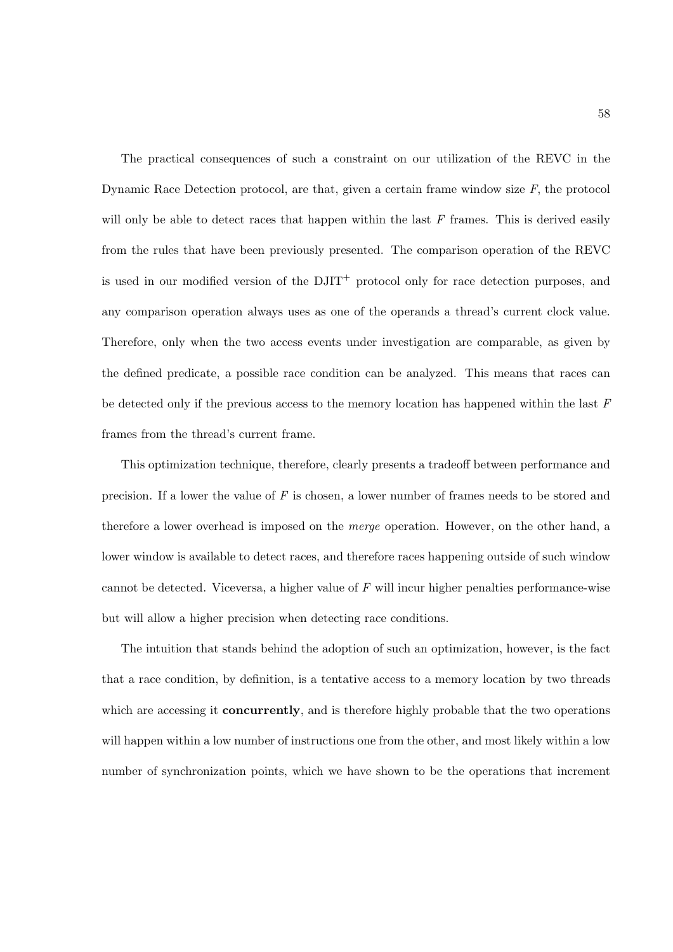The practical consequences of such a constraint on our utilization of the REVC in the Dynamic Race Detection protocol, are that, given a certain frame window size  $F$ , the protocol will only be able to detect races that happen within the last  $F$  frames. This is derived easily from the rules that have been previously presented. The comparison operation of the REVC is used in our modified version of the  $DJIT^+$  protocol only for race detection purposes, and any comparison operation always uses as one of the operands a thread's current clock value. Therefore, only when the two access events under investigation are comparable, as given by the defined predicate, a possible race condition can be analyzed. This means that races can be detected only if the previous access to the memory location has happened within the last  $F$ frames from the thread's current frame.

This optimization technique, therefore, clearly presents a tradeoff between performance and precision. If a lower the value of  $F$  is chosen, a lower number of frames needs to be stored and therefore a lower overhead is imposed on the merge operation. However, on the other hand, a lower window is available to detect races, and therefore races happening outside of such window cannot be detected. Viceversa, a higher value of  $F$  will incur higher penalties performance-wise but will allow a higher precision when detecting race conditions.

The intuition that stands behind the adoption of such an optimization, however, is the fact that a race condition, by definition, is a tentative access to a memory location by two threads which are accessing it **concurrently**, and is therefore highly probable that the two operations will happen within a low number of instructions one from the other, and most likely within a low number of synchronization points, which we have shown to be the operations that increment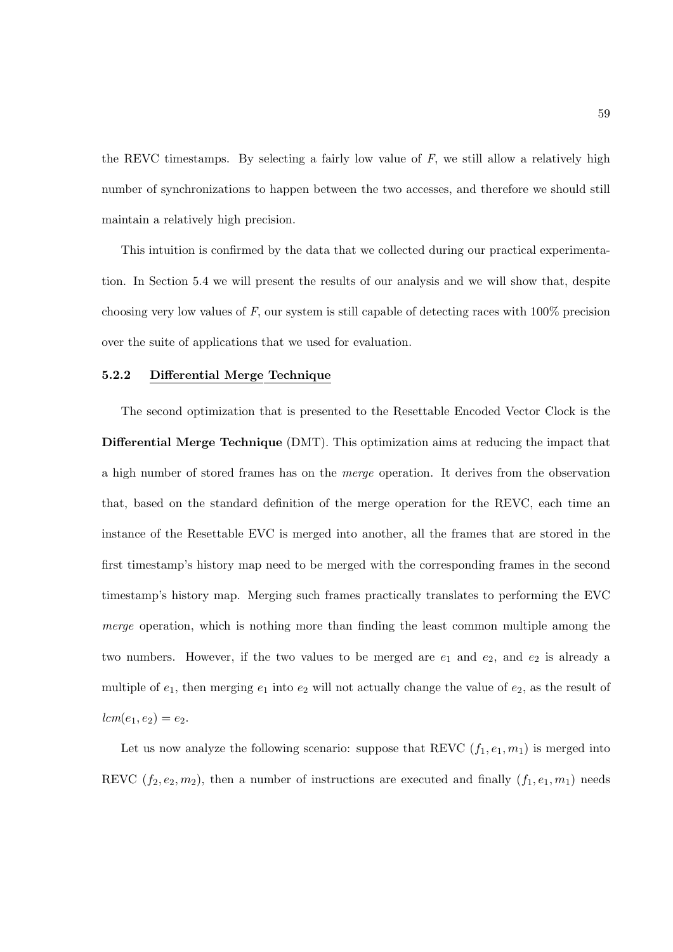the REVC timestamps. By selecting a fairly low value of  $F$ , we still allow a relatively high number of synchronizations to happen between the two accesses, and therefore we should still maintain a relatively high precision.

This intuition is confirmed by the data that we collected during our practical experimentation. In Section 5.4 we will present the results of our analysis and we will show that, despite choosing very low values of F, our system is still capable of detecting races with 100% precision over the suite of applications that we used for evaluation.

#### 5.2.2 Differential Merge Technique

The second optimization that is presented to the Resettable Encoded Vector Clock is the Differential Merge Technique (DMT). This optimization aims at reducing the impact that a high number of stored frames has on the merge operation. It derives from the observation that, based on the standard definition of the merge operation for the REVC, each time an instance of the Resettable EVC is merged into another, all the frames that are stored in the first timestamp's history map need to be merged with the corresponding frames in the second timestamp's history map. Merging such frames practically translates to performing the EVC merge operation, which is nothing more than finding the least common multiple among the two numbers. However, if the two values to be merged are  $e_1$  and  $e_2$ , and  $e_2$  is already a multiple of  $e_1$ , then merging  $e_1$  into  $e_2$  will not actually change the value of  $e_2$ , as the result of  $lcm(e_1, e_2) = e_2.$ 

Let us now analyze the following scenario: suppose that REVC  $(f_1, e_1, m_1)$  is merged into REVC  $(f_2, e_2, m_2)$ , then a number of instructions are executed and finally  $(f_1, e_1, m_1)$  needs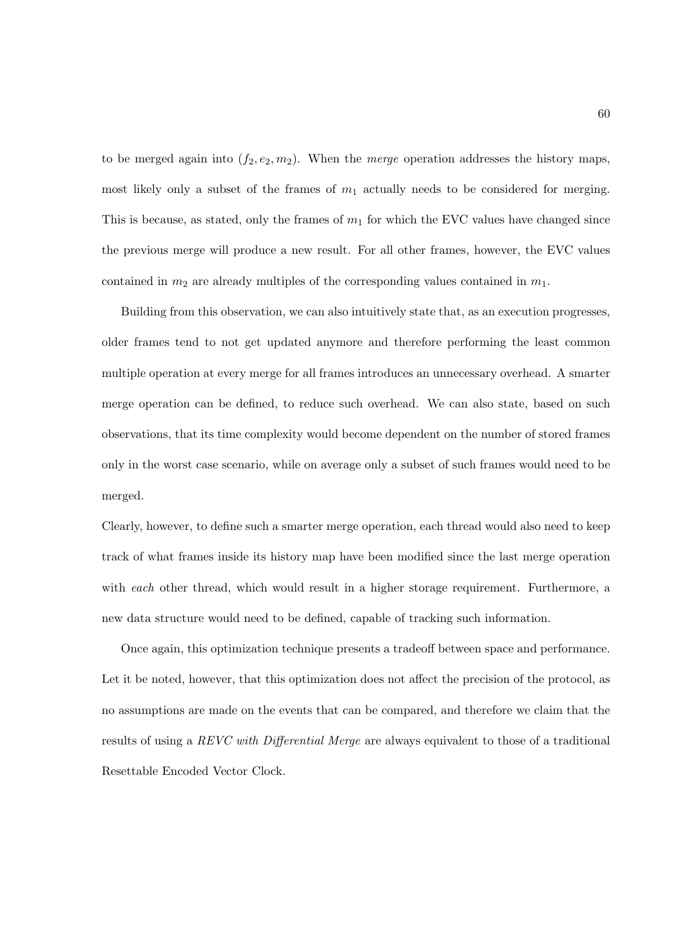to be merged again into  $(f_2, e_2, m_2)$ . When the *merge* operation addresses the history maps, most likely only a subset of the frames of  $m_1$  actually needs to be considered for merging. This is because, as stated, only the frames of  $m_1$  for which the EVC values have changed since the previous merge will produce a new result. For all other frames, however, the EVC values contained in  $m_2$  are already multiples of the corresponding values contained in  $m_1$ .

Building from this observation, we can also intuitively state that, as an execution progresses, older frames tend to not get updated anymore and therefore performing the least common multiple operation at every merge for all frames introduces an unnecessary overhead. A smarter merge operation can be defined, to reduce such overhead. We can also state, based on such observations, that its time complexity would become dependent on the number of stored frames only in the worst case scenario, while on average only a subset of such frames would need to be merged.

Clearly, however, to define such a smarter merge operation, each thread would also need to keep track of what frames inside its history map have been modified since the last merge operation with each other thread, which would result in a higher storage requirement. Furthermore, a new data structure would need to be defined, capable of tracking such information.

Once again, this optimization technique presents a tradeoff between space and performance. Let it be noted, however, that this optimization does not affect the precision of the protocol, as no assumptions are made on the events that can be compared, and therefore we claim that the results of using a REVC with Differential Merge are always equivalent to those of a traditional Resettable Encoded Vector Clock.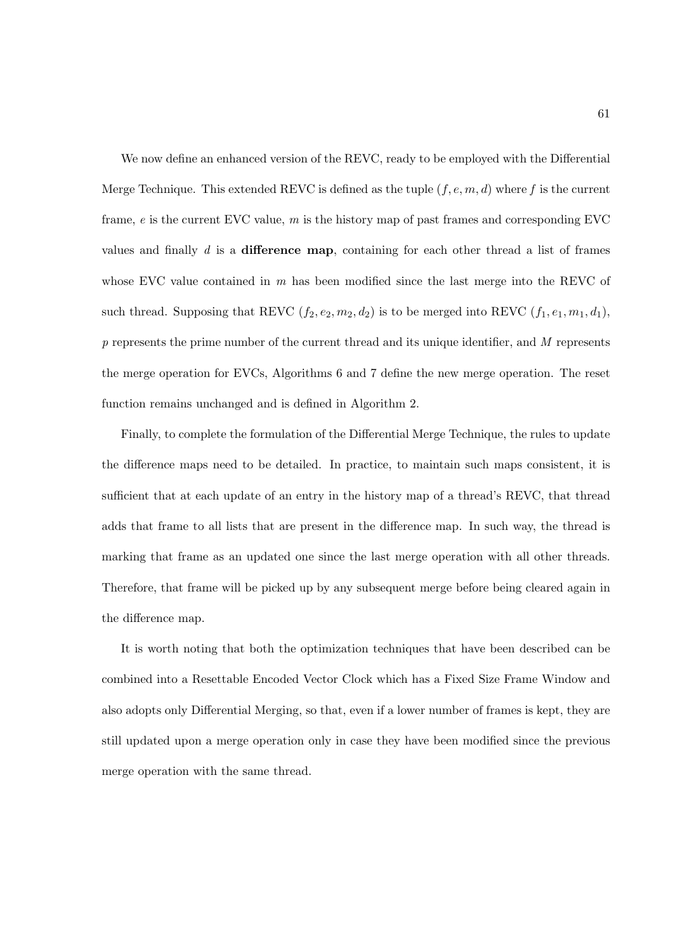We now define an enhanced version of the REVC, ready to be employed with the Differential Merge Technique. This extended REVC is defined as the tuple  $(f, e, m, d)$  where f is the current frame,  $e$  is the current EVC value,  $m$  is the history map of past frames and corresponding EVC values and finally  $d$  is a difference map, containing for each other thread a list of frames whose EVC value contained in  $m$  has been modified since the last merge into the REVC of such thread. Supposing that REVC  $(f_2, e_2, m_2, d_2)$  is to be merged into REVC  $(f_1, e_1, m_1, d_1)$ ,  $p$  represents the prime number of the current thread and its unique identifier, and  $M$  represents the merge operation for EVCs, Algorithms 6 and 7 define the new merge operation. The reset function remains unchanged and is defined in Algorithm 2.

Finally, to complete the formulation of the Differential Merge Technique, the rules to update the difference maps need to be detailed. In practice, to maintain such maps consistent, it is sufficient that at each update of an entry in the history map of a thread's REVC, that thread adds that frame to all lists that are present in the difference map. In such way, the thread is marking that frame as an updated one since the last merge operation with all other threads. Therefore, that frame will be picked up by any subsequent merge before being cleared again in the difference map.

It is worth noting that both the optimization techniques that have been described can be combined into a Resettable Encoded Vector Clock which has a Fixed Size Frame Window and also adopts only Differential Merging, so that, even if a lower number of frames is kept, they are still updated upon a merge operation only in case they have been modified since the previous merge operation with the same thread.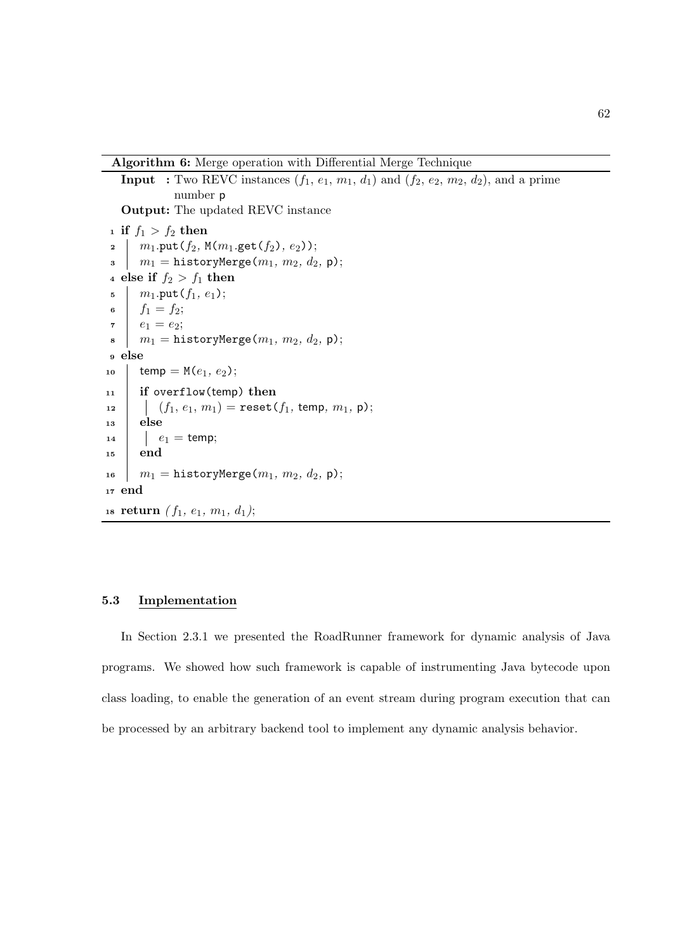Algorithm 6: Merge operation with Differential Merge Technique

```
Input : Two REVC instances (f_1, e_1, m_1, d_1) and (f_2, e_2, m_2, d_2), and a prime
               number p
   Output: The updated REVC instance
<sup>1</sup> if f_1 > f_2 then
2 | m_1.\text{put}(f_2, M(m_1.\text{get}(f_2), e_2));\begin{array}{c|c} \text{3} & m_1 = \text{historyMerge}(m_1, m_2, d_2, \, \textsf{p}); \end{array}4 else if f_2 > f_1 then
 = \, \ln m_1.put(f_1, e_1);6 f_1 = f_2;\tau \, | \, e_1 = e_2;\mathbf{s} | m_1 = \texttt{historyMerge}(m_1, m_2, d_2, \mathsf{p});9 else
10 temp = M(e_1, e_2);11 if overflow(temp) then
12 (f_1, e_1, m_1) = \text{reset}(f_1, \text{temp}, m_1, \text{p});13 else
14 e_1 = temp;
15 end
16 m_1 = historyMerge(m_1, m_2, d_2, \mathsf{p});
17 end
18 return (f_1, e_1, m_1, d_1);
```
# 5.3 Implementation

In Section 2.3.1 we presented the RoadRunner framework for dynamic analysis of Java programs. We showed how such framework is capable of instrumenting Java bytecode upon class loading, to enable the generation of an event stream during program execution that can be processed by an arbitrary backend tool to implement any dynamic analysis behavior.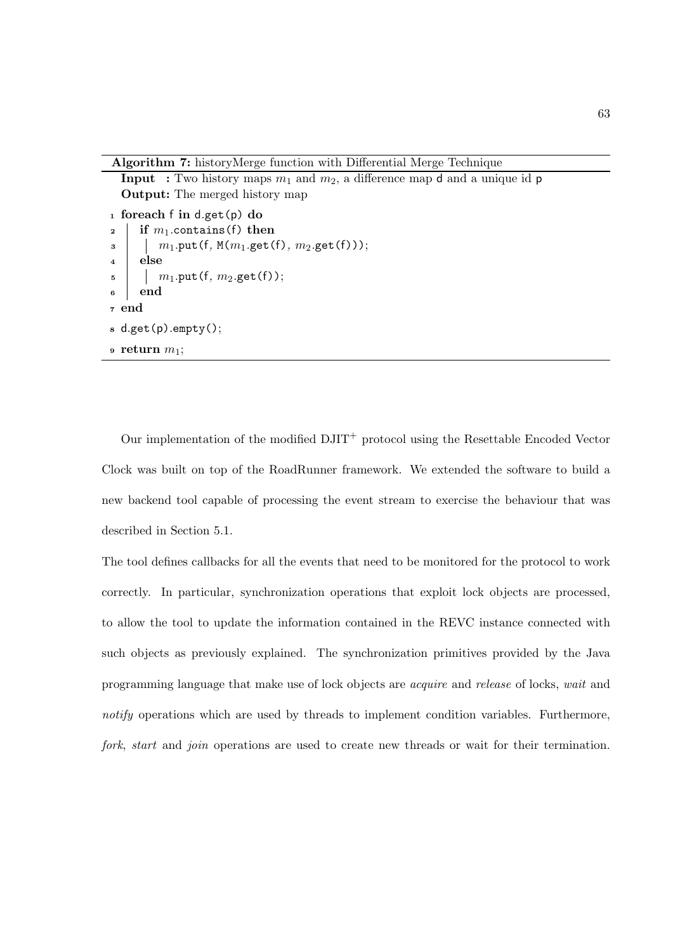Algorithm 7: historyMerge function with Differential Merge Technique

**Input** : Two history maps  $m_1$  and  $m_2$ , a difference map **d** and a unique id **p** 

```
Output: The merged history map
1 foreach f in d.get(p) do
2 if m_1 contains (f) then
\begin{array}{c|c} \mathbf{3} & | & | & m_1.\texttt{put}(\mathbf{f}, \, \mathtt{M}(m_1.\texttt{get}(\mathbf{f}), \, m_2.\texttt{get}(\mathbf{f}))))\end{array}_4 else
5 \mid m_1.\text{put}(f, m_2.\text{get}(f));6 end
7 end
s d.get(p).empty();
9 return m_1;
```
Our implementation of the modified DJIT<sup>+</sup> protocol using the Resettable Encoded Vector Clock was built on top of the RoadRunner framework. We extended the software to build a new backend tool capable of processing the event stream to exercise the behaviour that was described in Section 5.1.

The tool defines callbacks for all the events that need to be monitored for the protocol to work correctly. In particular, synchronization operations that exploit lock objects are processed, to allow the tool to update the information contained in the REVC instance connected with such objects as previously explained. The synchronization primitives provided by the Java programming language that make use of lock objects are acquire and release of locks, wait and notify operations which are used by threads to implement condition variables. Furthermore, fork, start and join operations are used to create new threads or wait for their termination.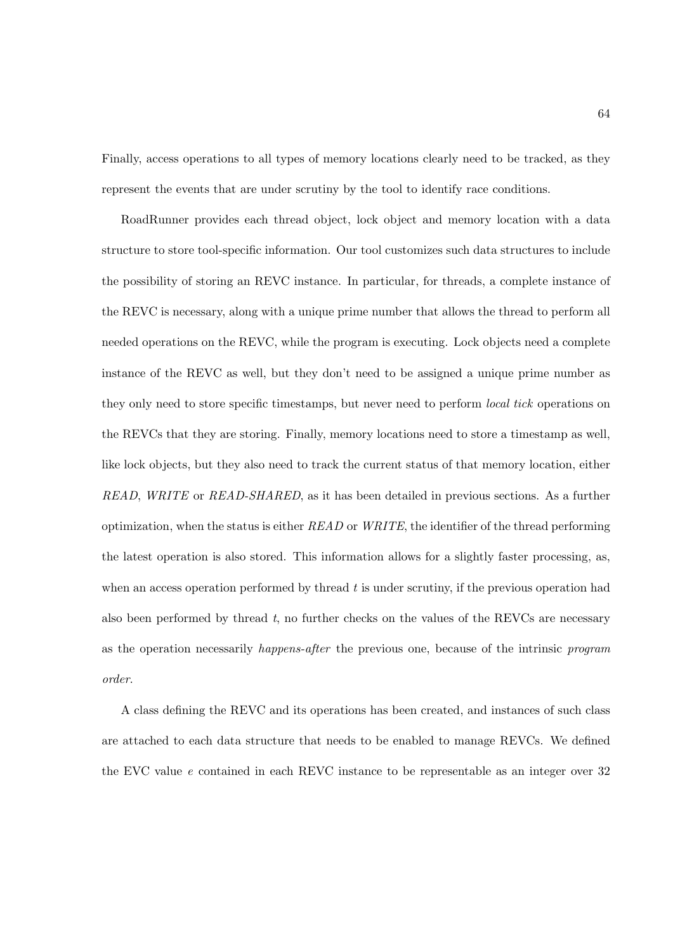Finally, access operations to all types of memory locations clearly need to be tracked, as they represent the events that are under scrutiny by the tool to identify race conditions.

RoadRunner provides each thread object, lock object and memory location with a data structure to store tool-specific information. Our tool customizes such data structures to include the possibility of storing an REVC instance. In particular, for threads, a complete instance of the REVC is necessary, along with a unique prime number that allows the thread to perform all needed operations on the REVC, while the program is executing. Lock objects need a complete instance of the REVC as well, but they don't need to be assigned a unique prime number as they only need to store specific timestamps, but never need to perform local tick operations on the REVCs that they are storing. Finally, memory locations need to store a timestamp as well, like lock objects, but they also need to track the current status of that memory location, either READ, WRITE or READ-SHARED, as it has been detailed in previous sections. As a further optimization, when the status is either  $READ$  or  $WRITE$ , the identifier of the thread performing the latest operation is also stored. This information allows for a slightly faster processing, as, when an access operation performed by thread  $t$  is under scrutiny, if the previous operation had also been performed by thread  $t$ , no further checks on the values of the REVCs are necessary as the operation necessarily happens-after the previous one, because of the intrinsic program order.

A class defining the REVC and its operations has been created, and instances of such class are attached to each data structure that needs to be enabled to manage REVCs. We defined the EVC value e contained in each REVC instance to be representable as an integer over 32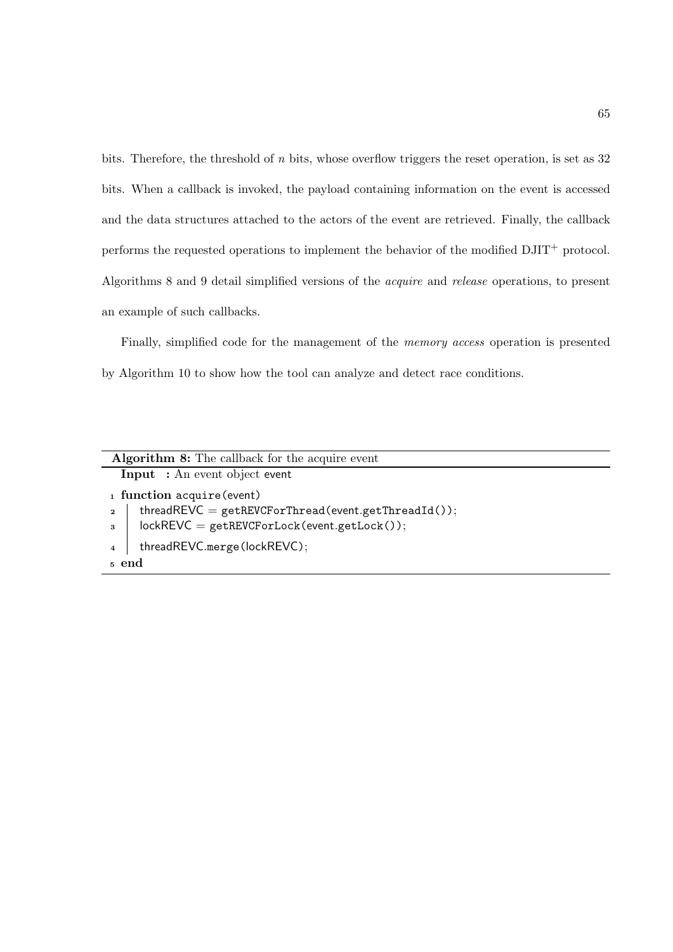bits. Therefore, the threshold of n bits, whose overflow triggers the reset operation, is set as 32 bits. When a callback is invoked, the payload containing information on the event is accessed and the data structures attached to the actors of the event are retrieved. Finally, the callback performs the requested operations to implement the behavior of the modified  $\text{DJIT}^+$  protocol. Algorithms 8 and 9 detail simplified versions of the acquire and release operations, to present an example of such callbacks.

Finally, simplified code for the management of the memory access operation is presented by Algorithm 10 to show how the tool can analyze and detect race conditions.

| <b>Algorithm 8:</b> The callback for the acquire event                  |  |  |  |  |  |
|-------------------------------------------------------------------------|--|--|--|--|--|
| <b>Input</b> : An event object event                                    |  |  |  |  |  |
| 1 function acquire (event)                                              |  |  |  |  |  |
| threadREVC = $getREVCF or Thread(event.getThreadId());$<br>$\mathbf{2}$ |  |  |  |  |  |
| $lockREVC = getREVCForLock(event.getLock());$<br>$3^{\circ}$            |  |  |  |  |  |
| threadREVC.merge(lockREVC);<br>$\overline{4}$                           |  |  |  |  |  |
| 5 end                                                                   |  |  |  |  |  |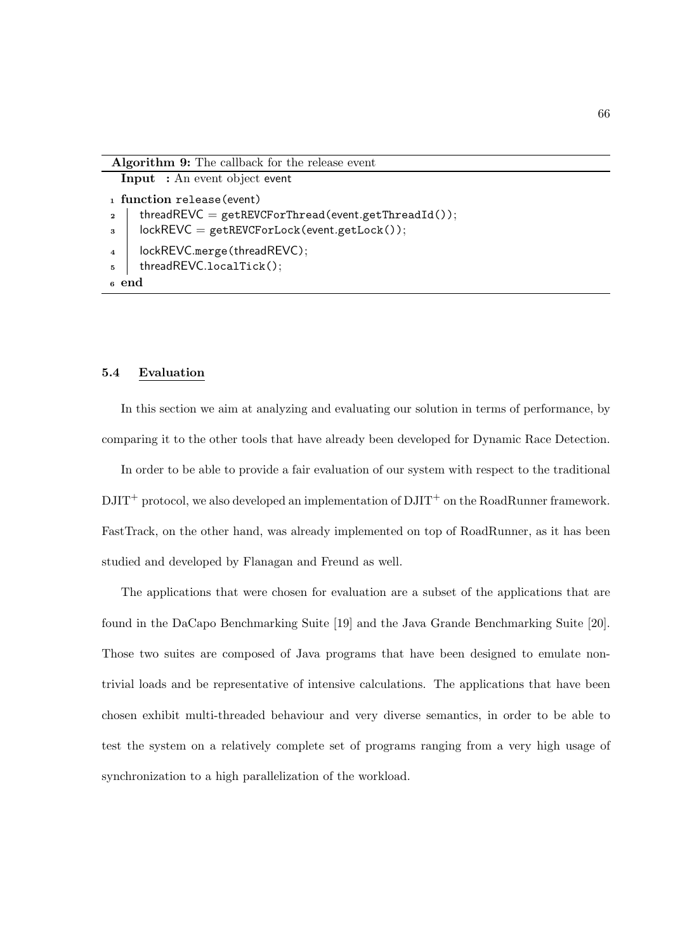Input : An event object event

<sup>1</sup> function release(event)

```
threadREVC = getREVCForThread(event.getThreadId());
```
 $\sigma$  lockREVC = getREVCForLock(event.getLock());

```
4 | lockREVC.merge(threadREVC);
```

```
5 threadREVC.localTick();
```

```
6 end
```
## 5.4 Evaluation

In this section we aim at analyzing and evaluating our solution in terms of performance, by comparing it to the other tools that have already been developed for Dynamic Race Detection.

In order to be able to provide a fair evaluation of our system with respect to the traditional  $\text{DJIT}^+$  protocol, we also developed an implementation of  $\text{DJIT}^+$  on the RoadRunner framework. FastTrack, on the other hand, was already implemented on top of RoadRunner, as it has been studied and developed by Flanagan and Freund as well.

The applications that were chosen for evaluation are a subset of the applications that are found in the DaCapo Benchmarking Suite [19] and the Java Grande Benchmarking Suite [20]. Those two suites are composed of Java programs that have been designed to emulate nontrivial loads and be representative of intensive calculations. The applications that have been chosen exhibit multi-threaded behaviour and very diverse semantics, in order to be able to test the system on a relatively complete set of programs ranging from a very high usage of synchronization to a high parallelization of the workload.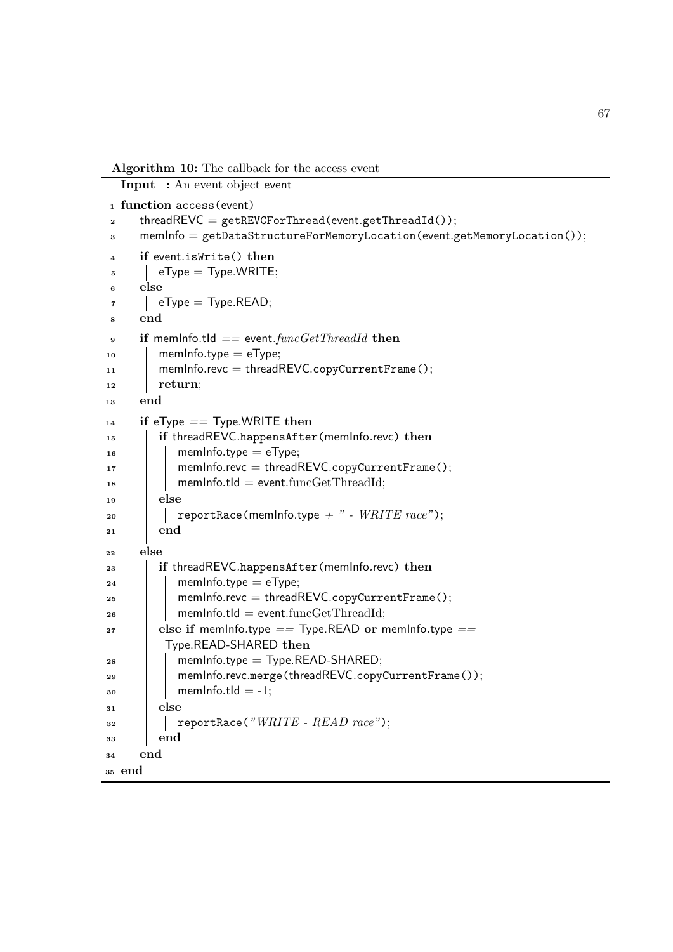Algorithm 10: The callback for the access event

Input : An event object event

<sup>1</sup> function access(event) 2 | threadREVC = getREVCForThread(event.getThreadId());  $3 \mid$  memInfo = getDataStructureForMemoryLocation(event.getMemoryLocation()); 4 if event. is Write () then  $5$  | eType = Type.WRITE;  $6 \mid$ else  $eType = Type. READ;$ <sup>8</sup> end  $\theta$  if memInfo.tId == event.funcGetThreadId then  $_{10}$  | memInfo.type = eType;  $11$  memInfo.revc = threadREVC.copyCurrentFrame();  $_{12}$  return; <sup>13</sup> end  $_{14}$  if eType  $==$  Type.WRITE then 15 **if threadREVC.happensAfter(memInfo.revc) then**  $_{16}$  | | memInfo.type = eType;  $17$  memInfo.revc = threadREVC.copyCurrentFrame();  $18$  memInfo.tld = event.funcGetThreadId;  $_{19}$  | else 20 | | reportRace(memInfo.type  $+$  " - WRITE race");  $_{21}$  end  $_{22}$  else  $23$  if threadREVC.happensAfter(memInfo.revc) then  $24$  | | memInfo.type = eType;  $25$  | | memInfo.revc = threadREVC.copyCurrentFrame();  $_{26}$  memInfo.tld = event.funcGetThreadId;  $27$  else if memInfo.type == Type.READ or memInfo.type == Type.READ-SHARED then  $_{28}$  | | memInfo.type = Type.READ-SHARED; 29 | | memInfo.revc.merge(threadREVC.copyCurrentFrame());  $_{30}$  | | memInfo.tId = -1;  $31$  else  $\begin{array}{c|c|c|c} \text{32} & \text{} & \text{} \\ \text{23} & \text{} & \text{} \\ \text{34} & \text{} & \text{} \\ \text{45} & \text{} & \text{} \\ \text{56} & \text{} & \text{} \\ \text{57} & \text{} & \text{} \\ \text{58} & \text{} & \text{} \\ \text{59} & \text{} & \text{} \\ \text{58} & \text{} & \text{} \\ \text{59} & \text{} & \text{} \\ \text{58} & \text{} & \text{} \\ \text{59} & \text{} & \text{} \\ \text{$  $33$  end  $34$  end <sup>35</sup> end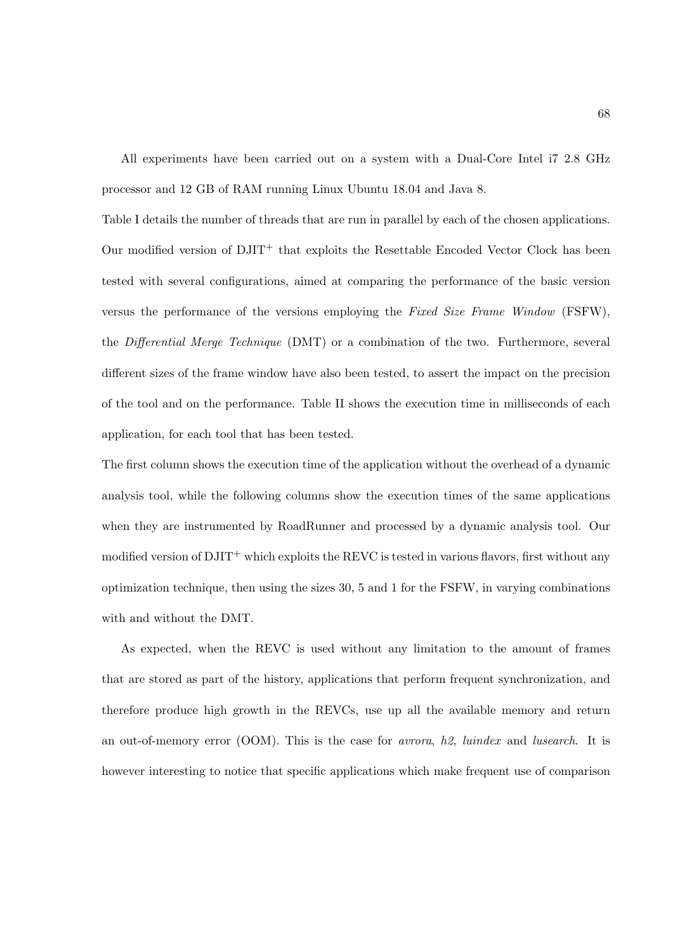All experiments have been carried out on a system with a Dual-Core Intel i7 2.8 GHz processor and 12 GB of RAM running Linux Ubuntu 18.04 and Java 8.

Table I details the number of threads that are run in parallel by each of the chosen applications. Our modified version of  $DJIT^+$  that exploits the Resettable Encoded Vector Clock has been tested with several configurations, aimed at comparing the performance of the basic version versus the performance of the versions employing the Fixed Size Frame Window (FSFW), the Differential Merge Technique (DMT) or a combination of the two. Furthermore, several different sizes of the frame window have also been tested, to assert the impact on the precision of the tool and on the performance. Table II shows the execution time in milliseconds of each application, for each tool that has been tested.

The first column shows the execution time of the application without the overhead of a dynamic analysis tool, while the following columns show the execution times of the same applications when they are instrumented by RoadRunner and processed by a dynamic analysis tool. Our modified version of  $\text{DJIT}^+$  which exploits the REVC is tested in various flavors, first without any optimization technique, then using the sizes 30, 5 and 1 for the FSFW, in varying combinations with and without the DMT.

As expected, when the REVC is used without any limitation to the amount of frames that are stored as part of the history, applications that perform frequent synchronization, and therefore produce high growth in the REVCs, use up all the available memory and return an out-of-memory error (OOM). This is the case for avrora, h2, luindex and lusearch. It is however interesting to notice that specific applications which make frequent use of comparison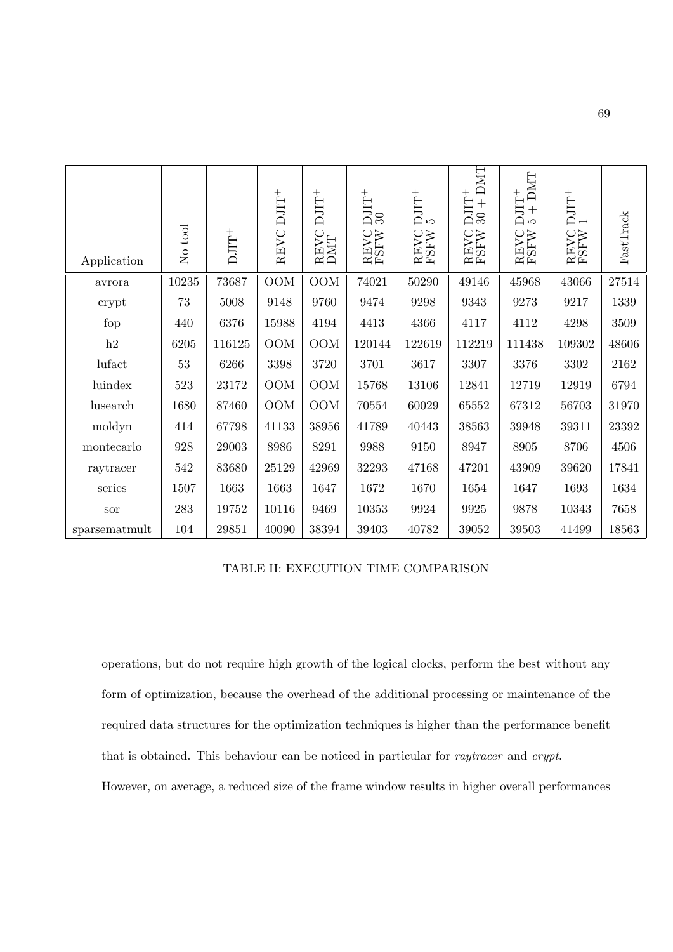| Application   | No tool   | $\rm{DJT^+}$ | REVC DJIT <sup>+</sup> | $\rm{DJIT}^+$<br>REVC<br>DMT | $\rm \frac{1}{20}$<br><b>REVC</b><br>FSFW | $\rm \frac{5}{5}$<br><b>REVC</b><br>FSFW | DMT<br>$\rm{DJT^+}$<br>$+$<br>$30\,$<br><b>REVC</b><br>FSFW | DMT<br>$DJIT^{+}$<br>$5 + DN$<br>REVC<br>FSFW | $\rm{DJIT}^+$<br><b>REVC</b><br>FSFW | FastTrack |
|---------------|-----------|--------------|------------------------|------------------------------|-------------------------------------------|------------------------------------------|-------------------------------------------------------------|-----------------------------------------------|--------------------------------------|-----------|
| avrora        | $10235\,$ | 73687        | <b>OOM</b>             | <b>OOM</b>                   | 74021                                     | 50290                                    | 49146                                                       | 45968                                         | 43066                                | 27514     |
| crypt         | 73        | 5008         | 9148                   | 9760                         | 9474                                      | 9298                                     | 9343                                                        | 9273                                          | 9217                                 | 1339      |
| fop           | 440       | 6376         | 15988                  | 4194                         | 4413                                      | 4366                                     | 4117                                                        | 4112                                          | 4298                                 | 3509      |
| h2            | 6205      | 116125       | <b>OOM</b>             | <b>OOM</b>                   | 120144                                    | 122619                                   | 112219                                                      | 111438                                        | 109302                               | 48606     |
| lufact        | 53        | 6266         | 3398                   | 3720                         | 3701                                      | 3617                                     | 3307                                                        | 3376                                          | 3302                                 | 2162      |
| luindex       | 523       | 23172        | <b>OOM</b>             | <b>OOM</b>                   | 15768                                     | 13106                                    | 12841                                                       | 12719                                         | 12919                                | 6794      |
| lusearch      | 1680      | 87460        | <b>OOM</b>             | OOM                          | 70554                                     | 60029                                    | 65552                                                       | 67312                                         | 56703                                | 31970     |
| moldyn        | 414       | 67798        | 41133                  | 38956                        | 41789                                     | 40443                                    | 38563                                                       | 39948                                         | 39311                                | 23392     |
| montecarlo    | 928       | 29003        | 8986                   | 8291                         | 9988                                      | 9150                                     | 8947                                                        | 8905                                          | 8706                                 | 4506      |
| raytracer     | 542       | 83680        | 25129                  | 42969                        | 32293                                     | 47168                                    | 47201                                                       | 43909                                         | 39620                                | 17841     |
| series        | 1507      | 1663         | 1663                   | 1647                         | 1672                                      | 1670                                     | 1654                                                        | 1647                                          | 1693                                 | 1634      |
| sor           | 283       | 19752        | 10116                  | 9469                         | 10353                                     | 9924                                     | 9925                                                        | 9878                                          | 10343                                | 7658      |
| sparsematmult | 104       | 29851        | 40090                  | 38394                        | 39403                                     | 40782                                    | 39052                                                       | 39503                                         | 41499                                | 18563     |

TABLE II: EXECUTION TIME COMPARISON

operations, but do not require high growth of the logical clocks, perform the best without any form of optimization, because the overhead of the additional processing or maintenance of the required data structures for the optimization techniques is higher than the performance benefit that is obtained. This behaviour can be noticed in particular for raytracer and crypt. However, on average, a reduced size of the frame window results in higher overall performances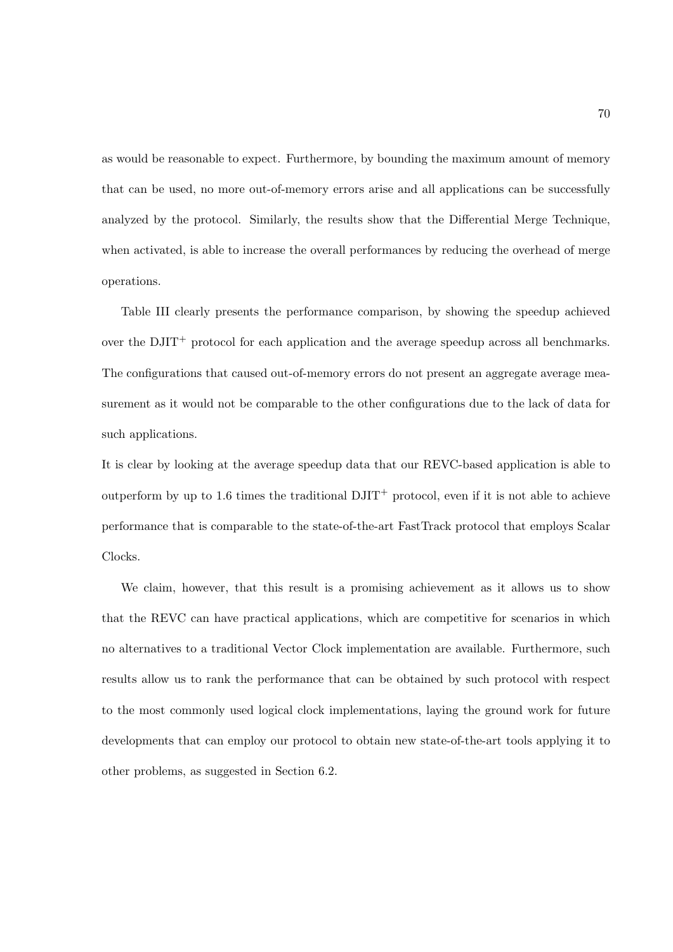as would be reasonable to expect. Furthermore, by bounding the maximum amount of memory that can be used, no more out-of-memory errors arise and all applications can be successfully analyzed by the protocol. Similarly, the results show that the Differential Merge Technique, when activated, is able to increase the overall performances by reducing the overhead of merge operations.

Table III clearly presents the performance comparison, by showing the speedup achieved over the DJIT<sup>+</sup> protocol for each application and the average speedup across all benchmarks. The configurations that caused out-of-memory errors do not present an aggregate average measurement as it would not be comparable to the other configurations due to the lack of data for such applications.

It is clear by looking at the average speedup data that our REVC-based application is able to outperform by up to 1.6 times the traditional  $DJIT^+$  protocol, even if it is not able to achieve performance that is comparable to the state-of-the-art FastTrack protocol that employs Scalar Clocks.

We claim, however, that this result is a promising achievement as it allows us to show that the REVC can have practical applications, which are competitive for scenarios in which no alternatives to a traditional Vector Clock implementation are available. Furthermore, such results allow us to rank the performance that can be obtained by such protocol with respect to the most commonly used logical clock implementations, laying the ground work for future developments that can employ our protocol to obtain new state-of-the-art tools applying it to other problems, as suggested in Section 6.2.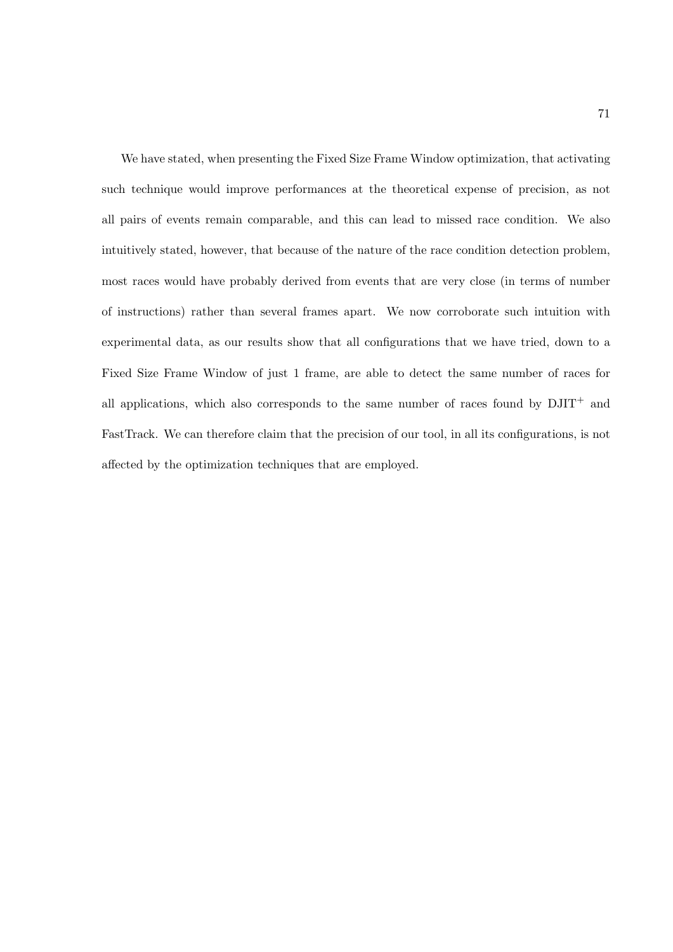We have stated, when presenting the Fixed Size Frame Window optimization, that activating such technique would improve performances at the theoretical expense of precision, as not all pairs of events remain comparable, and this can lead to missed race condition. We also intuitively stated, however, that because of the nature of the race condition detection problem, most races would have probably derived from events that are very close (in terms of number of instructions) rather than several frames apart. We now corroborate such intuition with experimental data, as our results show that all configurations that we have tried, down to a Fixed Size Frame Window of just 1 frame, are able to detect the same number of races for all applications, which also corresponds to the same number of races found by  $DJIT^+$  and FastTrack. We can therefore claim that the precision of our tool, in all its configurations, is not affected by the optimization techniques that are employed.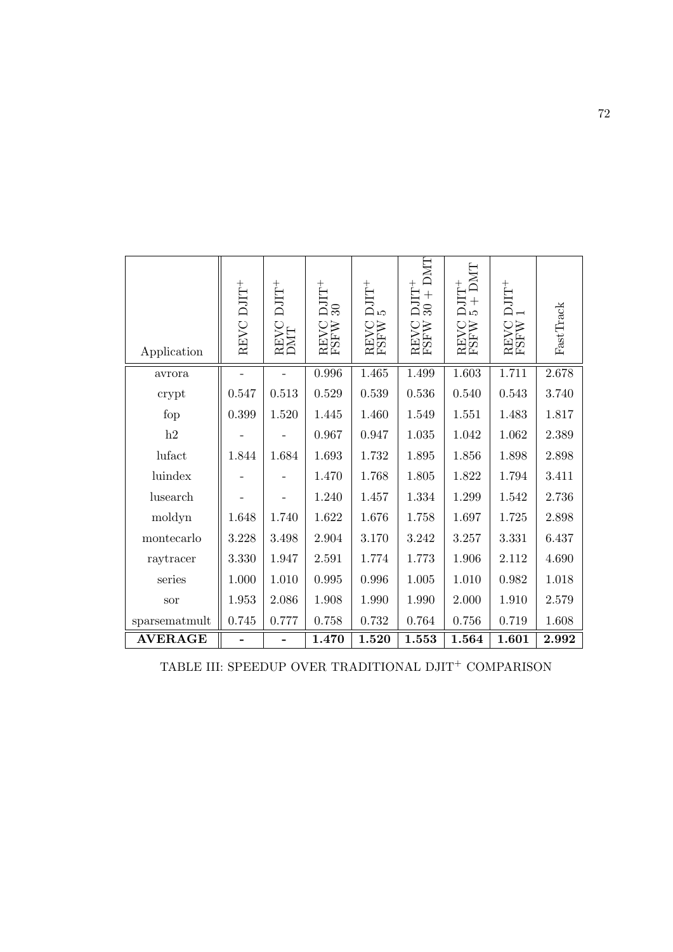| Application           | REVC DJIT <sup>+</sup> | $DJIT^{+}$<br>REVC<br>DMT | $\rm \frac{1}{20}$<br><b>REVC</b><br>FSFW | $DJIT^+$<br><b>REVC</b><br>FSFW | DMT<br>$DJIT^+$<br>$+$<br>$\mathcal{S}$<br>REVC<br>FSFW | DMT<br>$+$<br>ъp<br>REVC<br>FSFW | $\rm{DJIT^{+}}$<br>REVC<br>FSFW | FastTrack |
|-----------------------|------------------------|---------------------------|-------------------------------------------|---------------------------------|---------------------------------------------------------|----------------------------------|---------------------------------|-----------|
| avrora                |                        |                           | $\,0.996\,$                               | 1.465                           | 1.499                                                   | 1.603                            | 1.711                           | 2.678     |
| crypt                 | 0.547                  | 0.513                     | 0.529                                     | 0.539                           | 0.536                                                   | 0.540                            | 0.543                           | 3.740     |
| fop                   | 0.399                  | 1.520                     | 1.445                                     | 1.460                           | 1.549                                                   | 1.551                            | 1.483                           | 1.817     |
| h2                    |                        |                           | 0.967                                     | 0.947                           | 1.035                                                   | 1.042                            | 1.062                           | 2.389     |
| lufact                | 1.844                  | 1.684                     | 1.693                                     | 1.732                           | 1.895                                                   | 1.856                            | 1.898                           | 2.898     |
| luindex               |                        |                           | 1.470                                     | 1.768                           | 1.805                                                   | 1.822                            | 1.794                           | 3.411     |
| lusearch              |                        |                           | 1.240                                     | 1.457                           | 1.334                                                   | 1.299                            | 1.542                           | 2.736     |
| moldyn                | 1.648                  | 1.740                     | 1.622                                     | 1.676                           | 1.758                                                   | 1.697                            | 1.725                           | $2.898\,$ |
| montecarlo            | 3.228                  | 3.498                     | 2.904                                     | 3.170                           | 3.242                                                   | 3.257                            | 3.331                           | 6.437     |
| raytracer             | 3.330                  | 1.947                     | 2.591                                     | 1.774                           | 1.773                                                   | 1.906                            | 2.112                           | 4.690     |
| series                | 1.000                  | 1.010                     | $\,0.995\,$                               | 0.996                           | 1.005                                                   | 1.010                            | 0.982                           | 1.018     |
| sor                   | 1.953                  | 2.086                     | 1.908                                     | 1.990                           | 1.990                                                   | 2.000                            | 1.910                           | 2.579     |
| ${\tt sparsematmult}$ | 0.745                  | 0.777                     | 0.758                                     | 0.732                           | 0.764                                                   | 0.756                            | 0.719                           | 1.608     |
| <b>AVERAGE</b>        |                        |                           | 1.470                                     | 1.520                           | 1.553                                                   | 1.564                            | 1.601                           | 2.992     |

TABLE III: SPEEDUP OVER TRADITIONAL  $\mathrm{DJIT}^+$  COMPARISON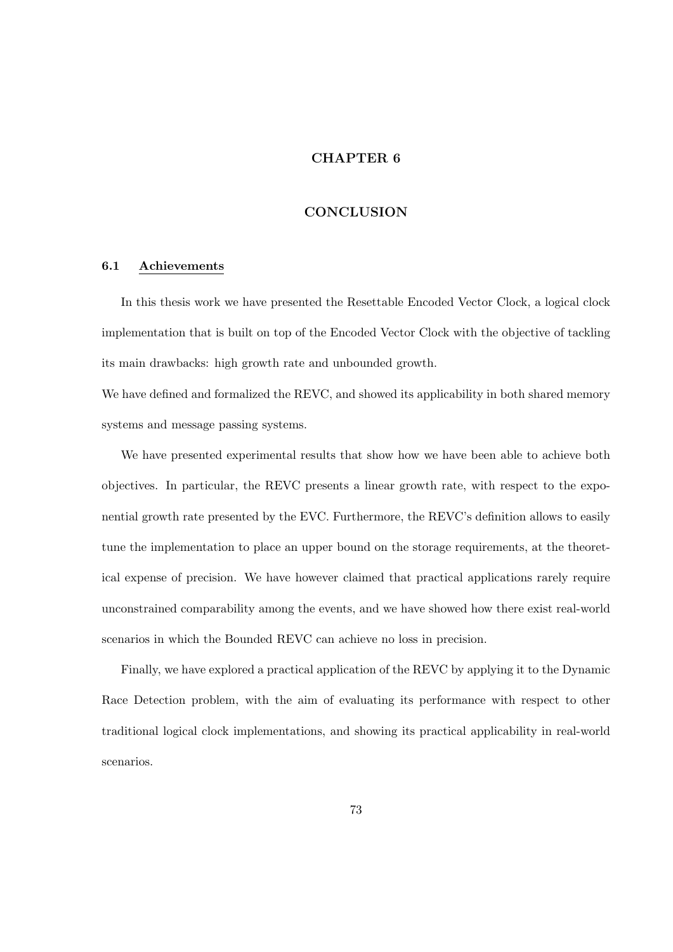# CHAPTER 6

#### CONCLUSION

## 6.1 Achievements

In this thesis work we have presented the Resettable Encoded Vector Clock, a logical clock implementation that is built on top of the Encoded Vector Clock with the objective of tackling its main drawbacks: high growth rate and unbounded growth.

We have defined and formalized the REVC, and showed its applicability in both shared memory systems and message passing systems.

We have presented experimental results that show how we have been able to achieve both objectives. In particular, the REVC presents a linear growth rate, with respect to the exponential growth rate presented by the EVC. Furthermore, the REVC's definition allows to easily tune the implementation to place an upper bound on the storage requirements, at the theoretical expense of precision. We have however claimed that practical applications rarely require unconstrained comparability among the events, and we have showed how there exist real-world scenarios in which the Bounded REVC can achieve no loss in precision.

Finally, we have explored a practical application of the REVC by applying it to the Dynamic Race Detection problem, with the aim of evaluating its performance with respect to other traditional logical clock implementations, and showing its practical applicability in real-world scenarios.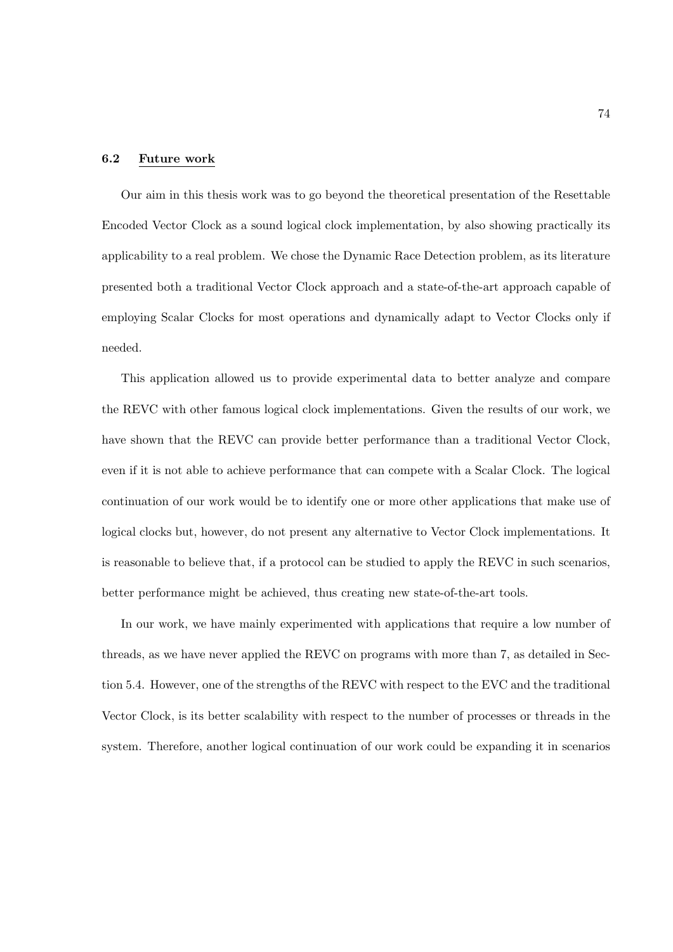#### 6.2 Future work

Our aim in this thesis work was to go beyond the theoretical presentation of the Resettable Encoded Vector Clock as a sound logical clock implementation, by also showing practically its applicability to a real problem. We chose the Dynamic Race Detection problem, as its literature presented both a traditional Vector Clock approach and a state-of-the-art approach capable of employing Scalar Clocks for most operations and dynamically adapt to Vector Clocks only if needed.

This application allowed us to provide experimental data to better analyze and compare the REVC with other famous logical clock implementations. Given the results of our work, we have shown that the REVC can provide better performance than a traditional Vector Clock, even if it is not able to achieve performance that can compete with a Scalar Clock. The logical continuation of our work would be to identify one or more other applications that make use of logical clocks but, however, do not present any alternative to Vector Clock implementations. It is reasonable to believe that, if a protocol can be studied to apply the REVC in such scenarios, better performance might be achieved, thus creating new state-of-the-art tools.

In our work, we have mainly experimented with applications that require a low number of threads, as we have never applied the REVC on programs with more than 7, as detailed in Section 5.4. However, one of the strengths of the REVC with respect to the EVC and the traditional Vector Clock, is its better scalability with respect to the number of processes or threads in the system. Therefore, another logical continuation of our work could be expanding it in scenarios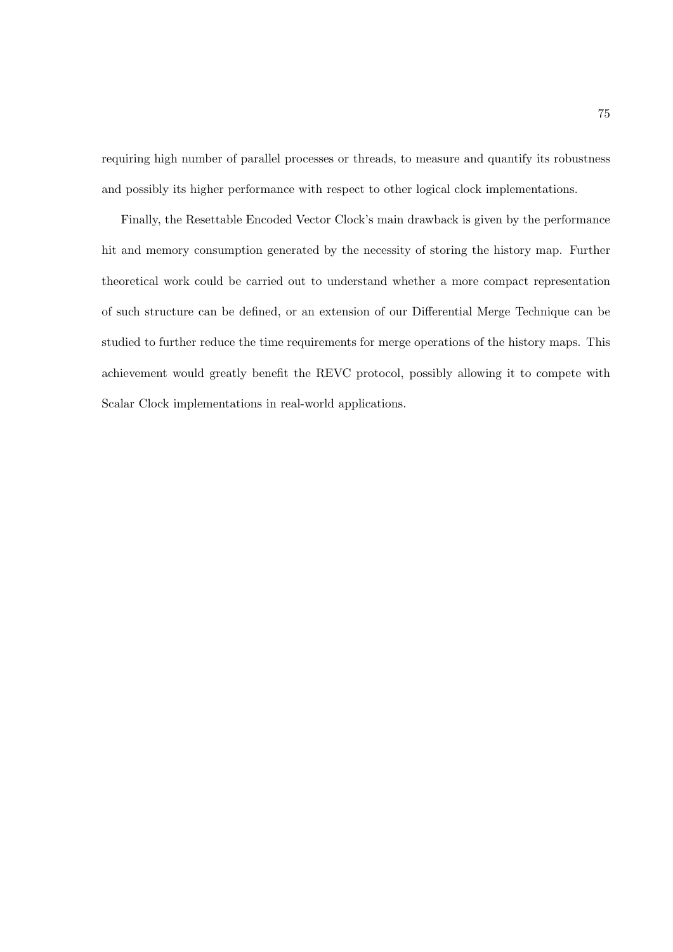requiring high number of parallel processes or threads, to measure and quantify its robustness and possibly its higher performance with respect to other logical clock implementations.

Finally, the Resettable Encoded Vector Clock's main drawback is given by the performance hit and memory consumption generated by the necessity of storing the history map. Further theoretical work could be carried out to understand whether a more compact representation of such structure can be defined, or an extension of our Differential Merge Technique can be studied to further reduce the time requirements for merge operations of the history maps. This achievement would greatly benefit the REVC protocol, possibly allowing it to compete with Scalar Clock implementations in real-world applications.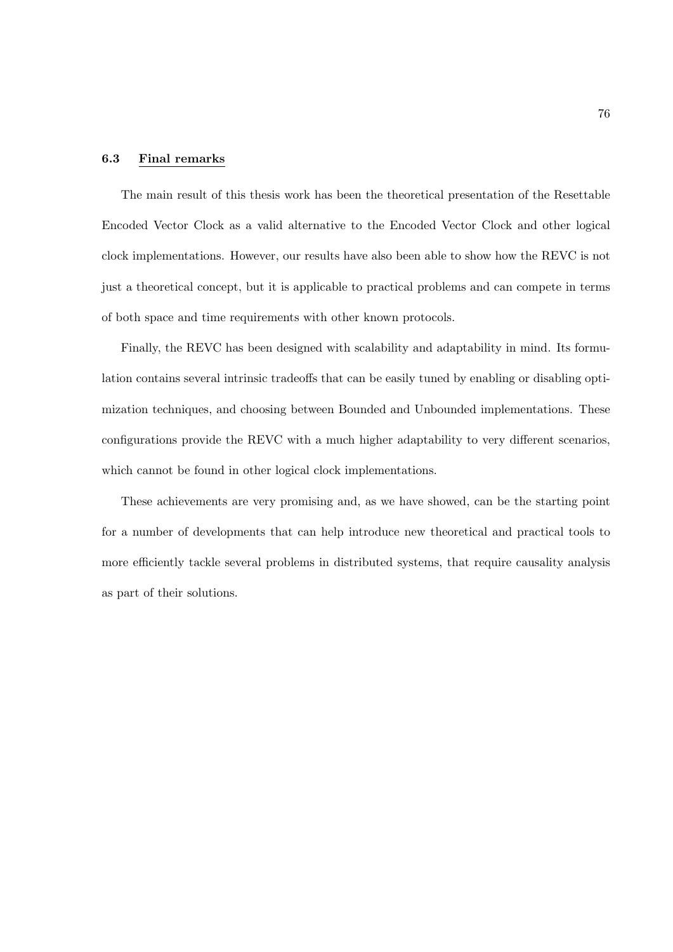#### 6.3 Final remarks

The main result of this thesis work has been the theoretical presentation of the Resettable Encoded Vector Clock as a valid alternative to the Encoded Vector Clock and other logical clock implementations. However, our results have also been able to show how the REVC is not just a theoretical concept, but it is applicable to practical problems and can compete in terms of both space and time requirements with other known protocols.

Finally, the REVC has been designed with scalability and adaptability in mind. Its formulation contains several intrinsic tradeoffs that can be easily tuned by enabling or disabling optimization techniques, and choosing between Bounded and Unbounded implementations. These configurations provide the REVC with a much higher adaptability to very different scenarios, which cannot be found in other logical clock implementations.

These achievements are very promising and, as we have showed, can be the starting point for a number of developments that can help introduce new theoretical and practical tools to more efficiently tackle several problems in distributed systems, that require causality analysis as part of their solutions.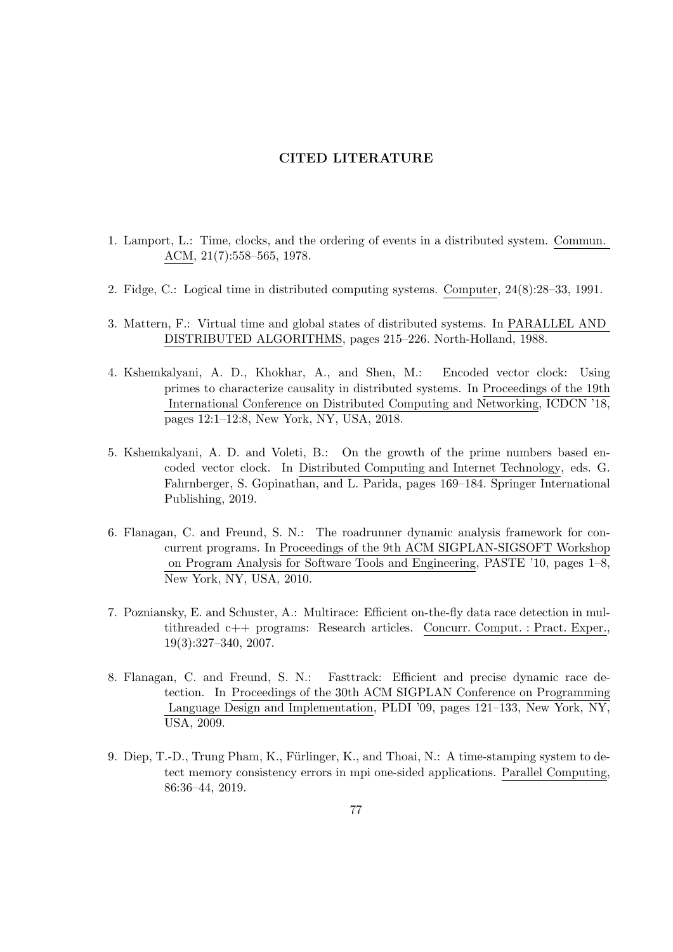# CITED LITERATURE

- 1. Lamport, L.: Time, clocks, and the ordering of events in a distributed system. Commun. ACM, 21(7):558–565, 1978.
- 2. Fidge, C.: Logical time in distributed computing systems. Computer, 24(8):28–33, 1991.
- 3. Mattern, F.: Virtual time and global states of distributed systems. In PARALLEL AND DISTRIBUTED ALGORITHMS, pages 215–226. North-Holland, 1988.
- 4. Kshemkalyani, A. D., Khokhar, A., and Shen, M.: Encoded vector clock: Using primes to characterize causality in distributed systems. In Proceedings of the 19th International Conference on Distributed Computing and Networking, ICDCN '18, pages 12:1–12:8, New York, NY, USA, 2018.
- 5. Kshemkalyani, A. D. and Voleti, B.: On the growth of the prime numbers based encoded vector clock. In Distributed Computing and Internet Technology, eds. G. Fahrnberger, S. Gopinathan, and L. Parida, pages 169–184. Springer International Publishing, 2019.
- 6. Flanagan, C. and Freund, S. N.: The roadrunner dynamic analysis framework for concurrent programs. In Proceedings of the 9th ACM SIGPLAN-SIGSOFT Workshop on Program Analysis for Software Tools and Engineering, PASTE '10, pages 1–8, New York, NY, USA, 2010.
- 7. Pozniansky, E. and Schuster, A.: Multirace: Efficient on-the-fly data race detection in multithreaded c++ programs: Research articles. Concurr. Comput. : Pract. Exper., 19(3):327–340, 2007.
- 8. Flanagan, C. and Freund, S. N.: Fasttrack: Efficient and precise dynamic race detection. In Proceedings of the 30th ACM SIGPLAN Conference on Programming Language Design and Implementation, PLDI '09, pages 121–133, New York, NY, USA, 2009.
- 9. Diep, T.-D., Trung Pham, K., Fürlinger, K., and Thoai, N.: A time-stamping system to detect memory consistency errors in mpi one-sided applications. Parallel Computing, 86:36–44, 2019.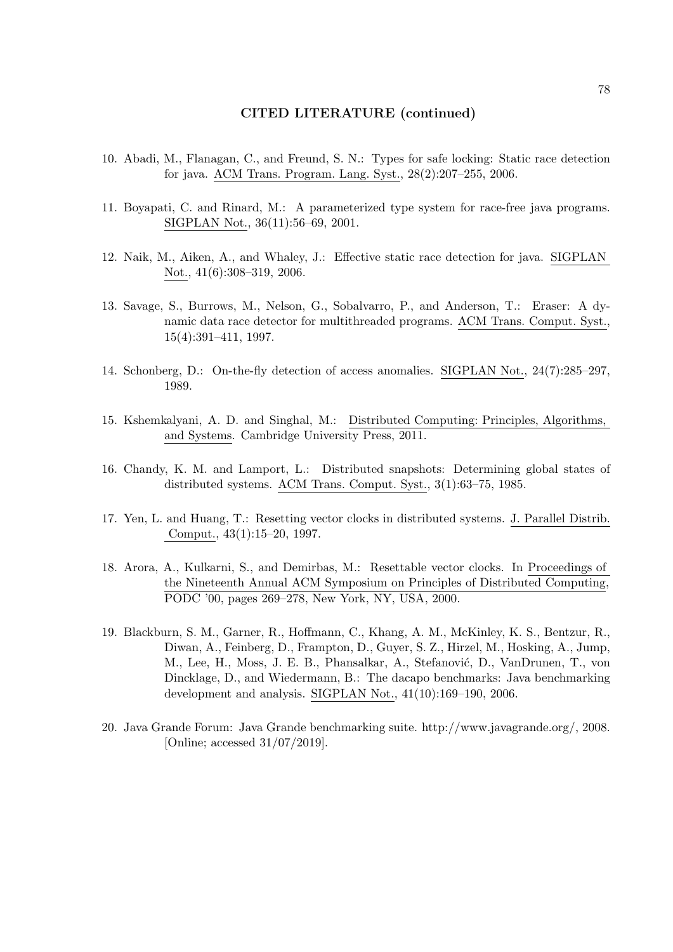#### CITED LITERATURE (continued)

- 10. Abadi, M., Flanagan, C., and Freund, S. N.: Types for safe locking: Static race detection for java. ACM Trans. Program. Lang. Syst., 28(2):207–255, 2006.
- 11. Boyapati, C. and Rinard, M.: A parameterized type system for race-free java programs. SIGPLAN Not., 36(11):56–69, 2001.
- 12. Naik, M., Aiken, A., and Whaley, J.: Effective static race detection for java. SIGPLAN Not., 41(6):308–319, 2006.
- 13. Savage, S., Burrows, M., Nelson, G., Sobalvarro, P., and Anderson, T.: Eraser: A dynamic data race detector for multithreaded programs. ACM Trans. Comput. Syst., 15(4):391–411, 1997.
- 14. Schonberg, D.: On-the-fly detection of access anomalies. SIGPLAN Not., 24(7):285–297, 1989.
- 15. Kshemkalyani, A. D. and Singhal, M.: Distributed Computing: Principles, Algorithms, and Systems. Cambridge University Press, 2011.
- 16. Chandy, K. M. and Lamport, L.: Distributed snapshots: Determining global states of distributed systems. ACM Trans. Comput. Syst., 3(1):63–75, 1985.
- 17. Yen, L. and Huang, T.: Resetting vector clocks in distributed systems. J. Parallel Distrib. Comput., 43(1):15–20, 1997.
- 18. Arora, A., Kulkarni, S., and Demirbas, M.: Resettable vector clocks. In Proceedings of the Nineteenth Annual ACM Symposium on Principles of Distributed Computing, PODC '00, pages 269–278, New York, NY, USA, 2000.
- 19. Blackburn, S. M., Garner, R., Hoffmann, C., Khang, A. M., McKinley, K. S., Bentzur, R., Diwan, A., Feinberg, D., Frampton, D., Guyer, S. Z., Hirzel, M., Hosking, A., Jump, M., Lee, H., Moss, J. E. B., Phansalkar, A., Stefanović, D., VanDrunen, T., von Dincklage, D., and Wiedermann, B.: The dacapo benchmarks: Java benchmarking development and analysis. SIGPLAN Not., 41(10):169–190, 2006.
- 20. Java Grande Forum: Java Grande benchmarking suite. http://www.javagrande.org/, 2008. [Online; accessed 31/07/2019].